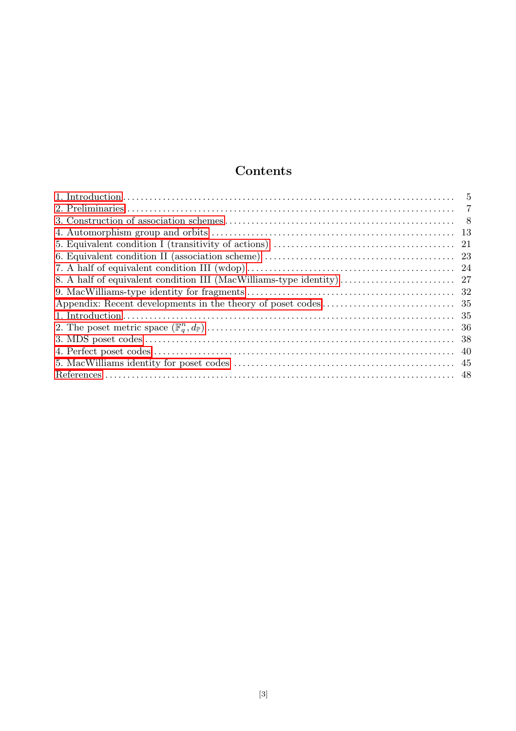## Contents

| $\overline{5}$ |
|----------------|
| -7             |
|                |
|                |
|                |
|                |
|                |
|                |
|                |
|                |
|                |
|                |
|                |
|                |
|                |
|                |
|                |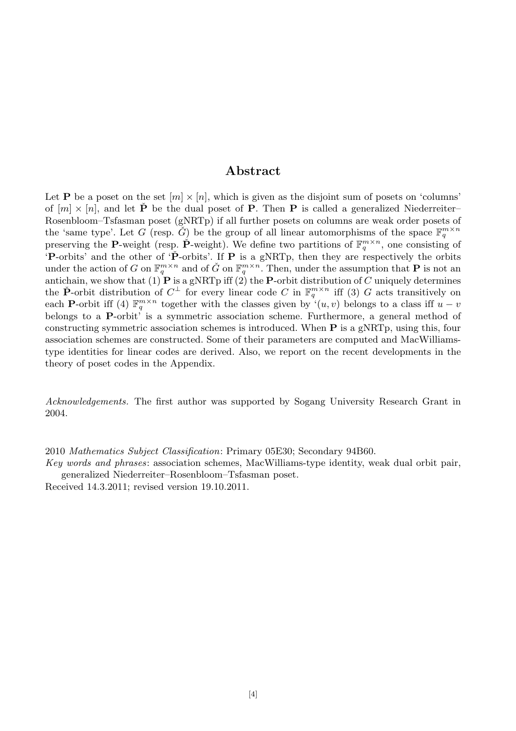## Abstract

Let **P** be a poset on the set  $[m] \times [n]$ , which is given as the disjoint sum of posets on 'columns' of  $[m] \times [n]$ , and let  $\check{P}$  be the dual poset of P. Then P is called a generalized Niederreiter– Rosenbloom–Tsfasman poset (gNRTp) if all further posets on columns are weak order posets of the 'same type'. Let G (resp.  $\check{G}$ ) be the group of all linear automorphisms of the space  $\mathbb{F}_q^{m \times n}$ preserving the P-weight (resp.  $\check{P}$ -weight). We define two partitions of  $\mathbb{F}_q^{m \times n}$ , one consisting of 'P-orbits' and the other of 'P-orbits'. If P is a gNRTp, then they are respectively the orbits under the action of G on  $\mathbb{F}_q^{m \times n}$  and of  $\check{G}$  on  $\mathbb{F}_q^{m \times n}$ . Then, under the assumption that **P** is not an antichain, we show that  $(1)$  P is a gNRTp iff  $(2)$  the P-orbit distribution of C uniquely determines the P-orbit distribution of  $C^{\perp}$  for every linear code C in  $\mathbb{F}_q^{m \times n}$  iff (3) G acts transitively on each P-orbit iff (4)  $\mathbb{F}_q^{m \times n}$  together with the classes given by  $\cdot(u, v)$  belongs to a class iff  $u - v$ belongs to a P-orbit' is a symmetric association scheme. Furthermore, a general method of constructing symmetric association schemes is introduced. When P is a gNRTp, using this, four association schemes are constructed. Some of their parameters are computed and MacWilliamstype identities for linear codes are derived. Also, we report on the recent developments in the theory of poset codes in the Appendix.

Acknowledgements. The first author was supported by Sogang University Research Grant in 2004.

2010 Mathematics Subject Classification: Primary 05E30; Secondary 94B60.

Key words and phrases: association schemes, MacWilliams-type identity, weak dual orbit pair, generalized Niederreiter–Rosenbloom–Tsfasman poset.

Received 14.3.2011; revised version 19.10.2011.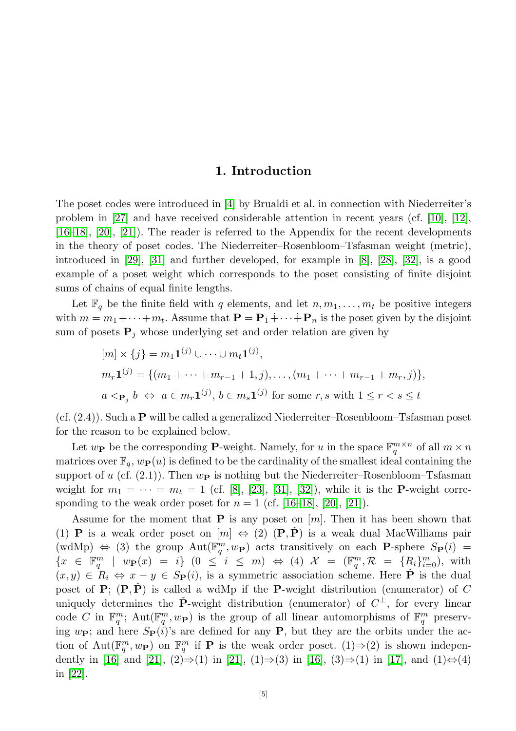## 1. Introduction

<span id="page-2-0"></span>The poset codes were introduced in [\[4\]](#page-45-1) by Brualdi et al. in connection with Niederreiter's problem in [\[27\]](#page-46-0) and have received considerable attention in recent years (cf. [\[10\]](#page-45-2), [\[12\]](#page-45-3), [\[16](#page-45-4)[–18\]](#page-45-5), [\[20\]](#page-45-6), [\[21\]](#page-46-1)). The reader is referred to the Appendix for the recent developments in the theory of poset codes. The Niederreiter–Rosenbloom–Tsfasman weight (metric), introduced in [\[29\]](#page-46-2), [\[31\]](#page-46-3) and further developed, for example in [\[8\]](#page-45-7), [\[28\]](#page-46-4), [\[32\]](#page-46-5), is a good example of a poset weight which corresponds to the poset consisting of finite disjoint sums of chains of equal finite lengths.

Let  $\mathbb{F}_q$  be the finite field with q elements, and let  $n, m_1, \ldots, m_t$  be positive integers with  $m = m_1 + \cdots + m_t$ . Assume that  $\mathbf{P} = \mathbf{P}_1 + \cdots + \mathbf{P}_n$  is the poset given by the disjoint sum of posets  $P_i$  whose underlying set and order relation are given by

$$
[m] \times \{j\} = m_1 \mathbf{1}^{(j)} \cup \dots \cup m_t \mathbf{1}^{(j)},
$$
  
\n
$$
m_r \mathbf{1}^{(j)} = \{ (m_1 + \dots + m_{r-1} + 1, j), \dots, (m_1 + \dots + m_{r-1} + m_r, j) \},
$$
  
\n
$$
a <_{\mathbf{P}_j} b \iff a \in m_r \mathbf{1}^{(j)}, b \in m_s \mathbf{1}^{(j)}
$$
 for some  $r, s$  with  $1 \le r < s \le t$ 

 $(cf. (2.4))$ . Such a **P** will be called a generalized Niederreiter–Rosenbloom–Tsfasman poset for the reason to be explained below.

Let  $w_{\mathbf{P}}$  be the corresponding **P**-weight. Namely, for u in the space  $\mathbb{F}_q^{m \times n}$  of all  $m \times n$ matrices over  $\mathbb{F}_q$ ,  $w_{\mathbf{P}}(u)$  is defined to be the cardinality of the smallest ideal containing the support of u (cf. (2.1)). Then  $w_{\mathbf{P}}$  is nothing but the Niederreiter–Rosenbloom–Tsfasman weight for  $m_1 = \cdots = m_t = 1$  (cf. [\[8\]](#page-45-7), [\[23\]](#page-46-6), [\[31\]](#page-46-3), [\[32\]](#page-46-5)), while it is the **P**-weight corresponding to the weak order poset for  $n = 1$  (cf. [\[16](#page-45-4)[–18\]](#page-45-5), [\[20\]](#page-45-6), [\[21\]](#page-46-1)).

Assume for the moment that  $P$  is any poset on  $[m]$ . Then it has been shown that (1) **P** is a weak order poset on  $[m] \Leftrightarrow (2)$  (**P**, **P**) is a weak dual MacWilliams pair (wdMp)  $\Leftrightarrow$  (3) the group  $Aut(\mathbb{F}_q^m, w_{\mathbf{P}})$  acts transitively on each **P**-sphere  $S_{\mathbf{P}}(i)$  =  $\{x \in \mathbb{F}_q^m \mid w_{\mathbf{P}}(x) = i\}$   $(0 \leq i \leq m) \Leftrightarrow (4)$   $\mathcal{X} = (\mathbb{F}_q^m, \mathcal{R} = \{R_i\}_{i=0}^m)$ , with  $(x, y) \in R_i \Leftrightarrow x - y \in S_{\mathbf{P}}(i)$ , is a symmetric association scheme. Here  $\mathbf{P}$  is the dual poset of  $P$ ;  $(P, \dot{P})$  is called a wdMp if the P-weight distribution (enumerator) of C uniquely determines the  $\check{P}$ -weight distribution (enumerator) of  $C^{\perp}$ , for every linear code C in  $\mathbb{F}_q^m$ ; Aut $(\mathbb{F}_q^m, w_{\mathbf{P}})$  is the group of all linear automorphisms of  $\mathbb{F}_q^m$  preserving  $w_{\textbf{P}}$ ; and here  $S_{\textbf{P}}(i)$ 's are defined for any **P**, but they are the orbits under the action of  $Aut(\mathbb{F}_q^m, w_{\mathbf{P}})$  on  $\mathbb{F}_q^m$  if **P** is the weak order poset. (1)⇒(2) is shown indepen-dently in [\[16\]](#page-45-4) and [\[21\]](#page-46-1),  $(2) \Rightarrow (1)$  in [21],  $(1) \Rightarrow (3)$  in [16],  $(3) \Rightarrow (1)$  in [\[17\]](#page-45-8), and  $(1) \Leftrightarrow (4)$ in [\[22\]](#page-46-7).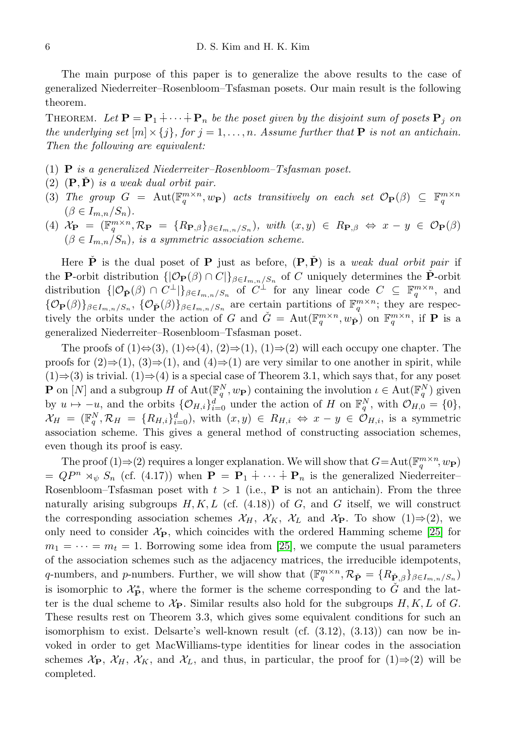The main purpose of this paper is to generalize the above results to the case of generalized Niederreiter–Rosenbloom–Tsfasman posets. Our main result is the following theorem.

THEOREM. Let  $\mathbf{P} = \mathbf{P}_1 \dotplus \cdots \dotplus \mathbf{P}_n$  be the poset given by the disjoint sum of posets  $\mathbf{P}_j$  on the underlying set  $[m] \times \{j\}$ , for  $j = 1, \ldots, n$ . Assume further that **P** is not an antichain. Then the following are equivalent:

- (1) **P** is a generalized Niederreiter–Rosenbloom–Tsfasman poset.
- (2)  $(P, \dot{P})$  is a weak dual orbit pair.
- (3) The group  $G = \text{Aut}(\mathbb{F}_q^{m \times n}, w_{\mathbf{P}})$  acts transitively on each set  $\mathcal{O}_{\mathbf{P}}(\beta) \subseteq \mathbb{F}_q^{m \times n}$  $(\beta \in I_{m,n}/S_n).$
- (4)  $\mathcal{X}_{\mathbf{P}} = (\mathbb{F}_{q}^{m \times n}, \mathcal{R}_{\mathbf{P}} = \{R_{\mathbf{P},\beta}\}_{\beta \in I_{m,n}/S_n}), \ with \ (x,y) \in R_{\mathbf{P},\beta} \Leftrightarrow x y \in \mathcal{O}_{\mathbf{P}}(\beta)$  $(\beta \in I_{m,n}/S_n)$ , is a symmetric association scheme.

Here  $\dot{P}$  is the dual poset of P just as before,  $(P, \dot{P})$  is a *weak dual orbit pair* if the P-orbit distribution  $\{|\mathcal{O}_{\mathbf{P}}(\beta) \cap C|\}_{\beta \in I_{m,n}/S_n}$  of C uniquely determines the P-orbit distribution  $\{|\mathcal{O}_{\check{P}}(\beta)\cap C^{\perp}|\}_{\beta\in I_{m,n}/S_n}$  of  $C^{\perp}$  for any linear code  $C \subseteq \mathbb{F}_q^{m\times n}$ , and  $\{\mathcal{O}_{\mathbf{P}}(\beta)\}_{\beta \in I_{m,n}/S_n}$ ,  $\{\mathcal{O}_{\check{\mathbf{P}}}(\beta)\}_{\beta \in I_{m,n}/S_n}$  are certain partitions of  $\mathbb{F}_q^{m \times n}$ ; they are respectively the orbits under the action of G and  $\check{G} = \text{Aut}(\mathbb{F}_q^{m \times n}, w_{\check{P}})$  on  $\mathbb{F}_q^{m \times n}$ , if **P** is a generalized Niederreiter–Rosenbloom–Tsfasman poset.

The proofs of  $(1) \Leftrightarrow (3), (1) \Leftrightarrow (4), (2) \Rightarrow (1), (1) \Rightarrow (2)$  will each occupy one chapter. The proofs for  $(2) \Rightarrow (1)$ ,  $(3) \Rightarrow (1)$ , and  $(4) \Rightarrow (1)$  are very similar to one another in spirit, while  $(1) \Rightarrow (3)$  is trivial.  $(1) \Rightarrow (4)$  is a special case of Theorem 3.1, which says that, for any poset **P** on [N] and a subgroup H of  $\text{Aut}(\mathbb{F}_q^N, w_{\mathbf{P}})$  containing the involution  $\iota \in \text{Aut}(\mathbb{F}_q^N)$  given by  $u \mapsto -u$ , and the orbits  $\{\mathcal{O}_{H,i}\}_{i=0}^d$  under the action of H on  $\mathbb{F}_q^N$ , with  $\mathcal{O}_{H,0} = \{0\}$ ,  $\mathcal{X}_H = (\mathbb{F}_q^N, \mathcal{R}_H = \{R_{H,i}\}_{i=0}^d), \text{ with } (x, y) \in R_{H,i} \Leftrightarrow x - y \in \mathcal{O}_{H,i}, \text{ is a symmetric}$ association scheme. This gives a general method of constructing association schemes, even though its proof is easy.

The proof (1)  $\Rightarrow$  (2) requires a longer explanation. We will show that  $G = \text{Aut}(\mathbb{F}_q^{m \times n}, w_{\mathbf{P}})$  $= QP^n \rtimes_{\psi} S_n$  (cf. (4.17)) when  $\mathbf{P} = \mathbf{P}_1 \dotplus \cdots \dotplus \mathbf{P}_n$  is the generalized Niederreiter– Rosenbloom–Tsfasman poset with  $t > 1$  (i.e., **P** is not an antichain). From the three naturally arising subgroups  $H, K, L$  (cf. (4.18)) of  $G$ , and  $G$  itself, we will construct the corresponding association schemes  $\mathcal{X}_H$ ,  $\mathcal{X}_K$ ,  $\mathcal{X}_L$  and  $\mathcal{X}_P$ . To show (1)⇒(2), we only need to consider  $\mathcal{X}_{\mathbf{P}}$ , which coincides with the ordered Hamming scheme [\[25\]](#page-46-8) for  $m_1 = \cdots = m_t = 1$ . Borrowing some idea from [\[25\]](#page-46-8), we compute the usual parameters of the association schemes such as the adjacency matrices, the irreducible idempotents, q-numbers, and p-numbers. Further, we will show that  $(\mathbb{F}_q^{m \times n}, \mathcal{R}_{\check{\mathbf{P}}} = \{R_{\check{\mathbf{P}},\beta}\}_{\beta \in I_{m,n}/S_n}$ is isomorphic to  $\mathcal{X}_{\mathbf{P}}^*$ , where the former is the scheme corresponding to  $\check{G}$  and the latter is the dual scheme to  $\mathcal{X}_{\mathbf{P}}$ . Similar results also hold for the subgroups  $H, K, L$  of G. These results rest on Theorem 3.3, which gives some equivalent conditions for such an isomorphism to exist. Delsarte's well-known result (cf. (3.12), (3.13)) can now be invoked in order to get MacWilliams-type identities for linear codes in the association schemes  $\mathcal{X}_{\mathbf{P}}, \mathcal{X}_H, \mathcal{X}_K$ , and  $\mathcal{X}_L$ , and thus, in particular, the proof for  $(1) \Rightarrow (2)$  will be completed.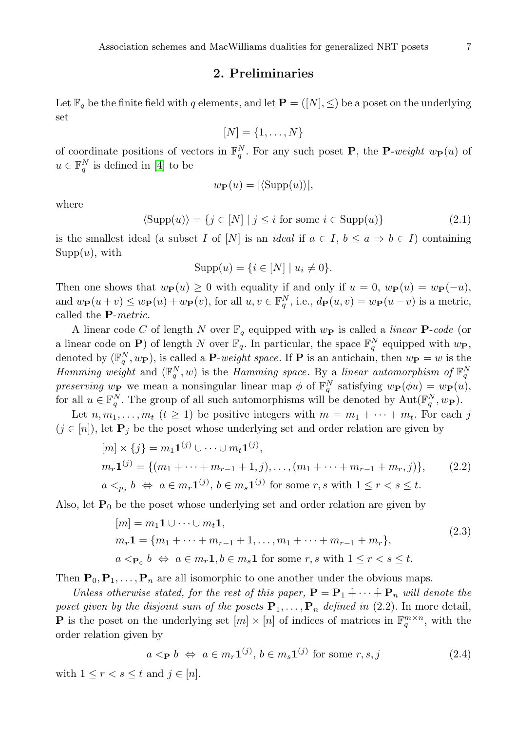## 2. Preliminaries

<span id="page-4-0"></span>Let  $\mathbb{F}_q$  be the finite field with q elements, and let  $\mathbf{P} = ([N], \leq)$  be a poset on the underlying set

$$
[N] = \{1, \ldots, N\}
$$

of coordinate positions of vectors in  $\mathbb{F}_q^N$ . For any such poset **P**, the **P**-weight  $w_{\mathbf{P}}(u)$  of  $u \in \mathbb{F}_q^N$  is defined in [\[4\]](#page-45-1) to be

$$
w_{\mathbf{P}}(u) = |\langle \text{Supp}(u) \rangle|,
$$

where

 $\langle \text{Supp}(u) \rangle = \{ j \in [N] \mid j \leq i \text{ for some } i \in \text{Supp}(u) \}$  (2.1)

is the smallest ideal (a subset I of [N] is an ideal if  $a \in I$ ,  $b \le a \Rightarrow b \in I$ ) containing  $Supp(u)$ , with

$$
Supp(u) = \{ i \in [N] \mid u_i \neq 0 \}.
$$

Then one shows that  $w_{\mathbf{P}}(u) \geq 0$  with equality if and only if  $u = 0$ ,  $w_{\mathbf{P}}(u) = w_{\mathbf{P}}(-u)$ , and  $w_{\mathbf{P}}(u+v) \leq w_{\mathbf{P}}(u) + w_{\mathbf{P}}(v)$ , for all  $u, v \in \mathbb{F}_q^N$ , i.e.,  $d_{\mathbf{P}}(u, v) = w_{\mathbf{P}}(u-v)$  is a metric, called the P-metric.

A linear code C of length N over  $\mathbb{F}_q$  equipped with  $w_{\mathbf{P}}$  is called a linear **P**-code (or a linear code on P) of length N over  $\mathbb{F}_q$ . In particular, the space  $\mathbb{F}_q^N$  equipped with  $w_{\mathbf{P}}$ , denoted by  $(\mathbb{F}_q^N, w_{\mathbf{P}})$ , is called a **P**-weight space. If **P** is an antichain, then  $w_{\mathbf{P}} = w$  is the Hamming weight and  $(\mathbb{F}_q^N, w)$  is the Hamming space. By a linear automorphism of  $\mathbb{F}_q^N$ preserving  $w_{\mathbf{P}}$  we mean a nonsingular linear map  $\phi$  of  $\mathbb{F}_q^N$  satisfying  $w_{\mathbf{P}}(\phi u) = w_{\mathbf{P}}(u)$ , for all  $u \in \mathbb{F}_q^N$ . The group of all such automorphisms will be denoted by  $\mathrm{Aut}(\mathbb{F}_q^N, w_{\mathbf{P}})$ .

Let  $n, m_1, \ldots, m_t$   $(t \geq 1)$  be positive integers with  $m = m_1 + \cdots + m_t$ . For each j  $(j \in [n])$ , let  $P_j$  be the poset whose underlying set and order relation are given by

$$
[m] \times \{j\} = m_1 \mathbf{1}^{(j)} \cup \dots \cup m_t \mathbf{1}^{(j)},
$$
  
\n
$$
m_r \mathbf{1}^{(j)} = \{ (m_1 + \dots + m_{r-1} + 1, j), \dots, (m_1 + \dots + m_{r-1} + m_r, j) \},
$$
  
\n
$$
a <_{p_j} b \Leftrightarrow a \in m_r \mathbf{1}^{(j)}, b \in m_s \mathbf{1}^{(j)} \text{ for some } r, s \text{ with } 1 \le r < s \le t.
$$
 (2.2)

Also, let  $P_0$  be the poset whose underlying set and order relation are given by

$$
[m] = m_1 \mathbf{1} \cup \cdots \cup m_t \mathbf{1},
$$
  
\n
$$
m_r \mathbf{1} = \{m_1 + \cdots + m_{r-1} + 1, \ldots, m_1 + \cdots + m_{r-1} + m_r\},
$$
  
\n
$$
a < \mathbf{p}_0 \; b \iff a \in m_r \mathbf{1}, b \in m_s \mathbf{1} \text{ for some } r, s \text{ with } 1 \le r < s \le t.
$$
\n
$$
(2.3)
$$

Then  $P_0, P_1, \ldots, P_n$  are all isomorphic to one another under the obvious maps.

Unless otherwise stated, for the rest of this paper,  $\mathbf{P} = \mathbf{P}_1 \dotplus \cdots \dotplus \mathbf{P}_n$  will denote the poset given by the disjoint sum of the posets  $P_1, \ldots, P_n$  defined in (2.2). In more detail, **P** is the poset on the underlying set  $[m] \times [n]$  of indices of matrices in  $\mathbb{F}_q^{m \times n}$ , with the order relation given by

$$
a <_{\mathbf{P}} b \Leftrightarrow a \in m_r \mathbf{1}^{(j)}, b \in m_s \mathbf{1}^{(j)}
$$
 for some  $r, s, j$  (2.4)

with  $1 \leq r < s \leq t$  and  $j \in [n]$ .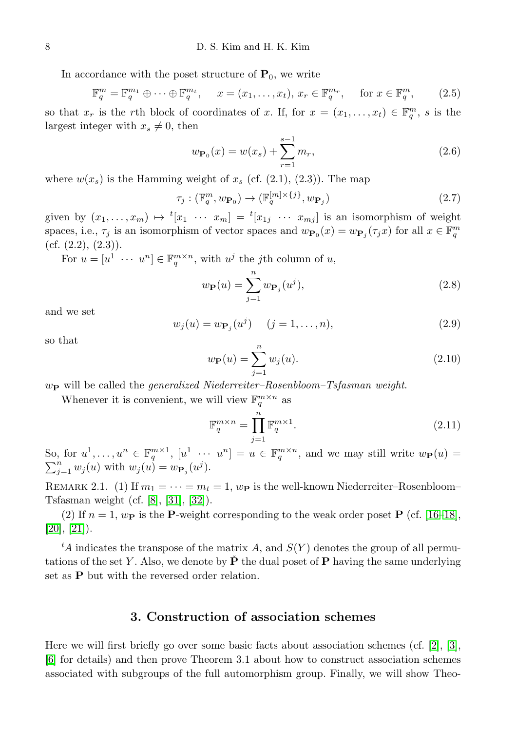In accordance with the poset structure of  $P_0$ , we write

$$
\mathbb{F}_q^m = \mathbb{F}_q^{m_1} \oplus \cdots \oplus \mathbb{F}_q^{m_t}, \quad x = (x_1, \ldots, x_t), \, x_r \in \mathbb{F}_q^{m_r}, \quad \text{for } x \in \mathbb{F}_q^m, \tag{2.5}
$$

so that  $x_r$  is the rth block of coordinates of x. If, for  $x = (x_1, \ldots, x_t) \in \mathbb{F}_q^m$ , s is the largest integer with  $x_s \neq 0$ , then

$$
w_{\mathbf{P}_0}(x) = w(x_s) + \sum_{r=1}^{s-1} m_r,
$$
\n(2.6)

where  $w(x_s)$  is the Hamming weight of  $x_s$  (cf. (2.1), (2.3)). The map

$$
\tau_j : (\mathbb{F}_q^m, w_{\mathbf{P}_0}) \to (\mathbb{F}_q^{[m] \times \{j\}}, w_{\mathbf{P}_j})
$$
\n
$$
(2.7)
$$

given by  $(x_1, \ldots, x_m) \mapsto {}^t[x_1 \cdots x_m] = {}^t[x_{1j} \cdots x_{mj}]$  is an isomorphism of weight spaces, i.e.,  $\tau_j$  is an isomorphism of vector spaces and  $w_{\mathbf{P}_0}(x) = w_{\mathbf{P}_j}(\tau_j x)$  for all  $x \in \mathbb{F}_q^m$ (cf.  $(2.2)$ ,  $(2.3)$ ).

For  $u = [u^1 \cdots u^n] \in \mathbb{F}_q^{m \times n}$ , with  $u^j$  the *j*th column of u,

$$
w_{\mathbf{P}}(u) = \sum_{j=1}^{n} w_{\mathbf{P}_j}(u^j),
$$
\n(2.8)

and we set

$$
w_j(u) = w_{\mathbf{P}_j}(u^j) \quad (j = 1, ..., n),
$$
\n(2.9)

so that

$$
w_{\mathbf{P}}(u) = \sum_{j=1}^{n} w_j(u).
$$
 (2.10)

 $w_{\textbf{P}}$  will be called the generalized Niederreiter–Rosenbloom–Tsfasman weight.

Whenever it is convenient, we will view  $\mathbb{F}_q^{m \times n}$  as

$$
\mathbb{F}_q^{m \times n} = \prod_{j=1}^n \mathbb{F}_q^{m \times 1}.
$$
\n(2.11)

So, for  $u^1, \ldots, u^n \in \mathbb{F}_q^{m \times 1}$ ,  $[u^1 \cdots u^n] = u \in \mathbb{F}_q^{m \times n}$ , and we may still write  $w_{\mathbf{P}}(u) =$  $\sum_{j=1}^n w_j(u)$  with  $w_j(u) = w_{\mathbf{P}_j}(u^j)$ .

REMARK 2.1. (1) If  $m_1 = \cdots = m_t = 1$ ,  $w_P$  is the well-known Niederreiter–Rosenbloom– Tsfasman weight (cf. [\[8\]](#page-45-7), [\[31\]](#page-46-3), [\[32\]](#page-46-5)).

(2) If  $n = 1$ ,  $w_{\text{P}}$  is the P-weight corresponding to the weak order poset P (cf. [\[16–](#page-45-4)[18\]](#page-45-5),  $[20]$ ,  $[21]$ ).

<span id="page-5-0"></span><sup>t</sup>A indicates the transpose of the matrix A, and  $S(Y)$  denotes the group of all permutations of the set Y. Also, we denote by  $\dot{\mathbf{P}}$  the dual poset of P having the same underlying set as P but with the reversed order relation.

## 3. Construction of association schemes

Here we will first briefly go over some basic facts about association schemes (cf. [\[2\]](#page-45-9), [\[3\]](#page-45-10), [\[6\]](#page-45-11) for details) and then prove Theorem 3.1 about how to construct association schemes associated with subgroups of the full automorphism group. Finally, we will show Theo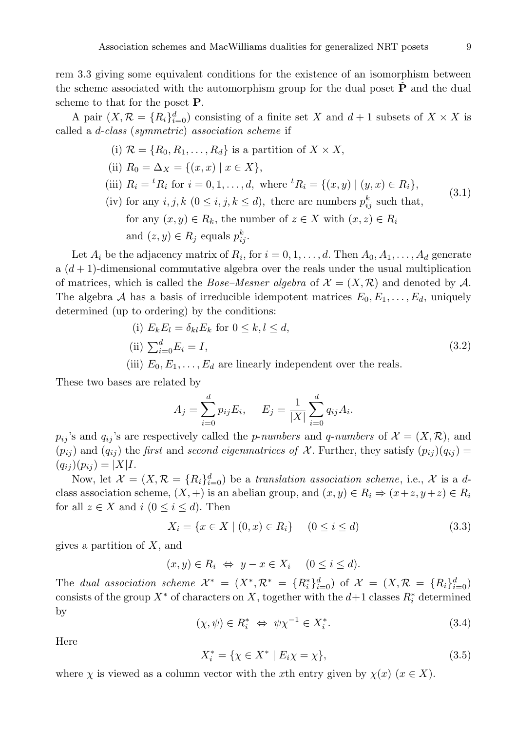rem 3.3 giving some equivalent conditions for the existence of an isomorphism between the scheme associated with the automorphism group for the dual poset  $P$  and the dual scheme to that for the poset P.

A pair  $(X, \mathcal{R} = \{R_i\}_{i=0}^d)$  consisting of a finite set X and  $d+1$  subsets of  $X \times X$  is called a d-class (symmetric) association scheme if

- (i)  $\mathcal{R} = \{R_0, R_1, \ldots, R_d\}$  is a partition of  $X \times X$ ,
- (ii)  $R_0 = \Delta_X = \{(x, x) \mid x \in X\},\$
- (iii)  $R_i = {}^t R_i$  for  $i = 0, 1, ..., d$ , where  ${}^t R_i = \{(x, y) | (y, x) \in R_i\}$ , (3.1)
- (iv) for any  $i, j, k \ (0 \leq i, j, k \leq d)$ , there are numbers  $p_{ij}^k$  such that, for any  $(x, y) \in R_k$ , the number of  $z \in X$  with  $(x, z) \in R_i$ and  $(z, y) \in R_j$  equals  $p_{ij}^k$ .

Let  $A_i$  be the adjacency matrix of  $R_i$ , for  $i = 0, 1, \ldots, d$ . Then  $A_0, A_1, \ldots, A_d$  generate a  $(d+1)$ -dimensional commutative algebra over the reals under the usual multiplication of matrices, which is called the *Bose–Mesner algebra* of  $\mathcal{X} = (X, \mathcal{R})$  and denoted by  $\mathcal{A}$ . The algebra A has a basis of irreducible idempotent matrices  $E_0, E_1, \ldots, E_d$ , uniquely determined (up to ordering) by the conditions:

\n- (i) 
$$
E_k E_l = \delta_{kl} E_k
$$
 for  $0 \leq k, l \leq d$ ,
\n- (ii)  $\sum_{i=0}^d E_i = I$ ,
\n- (iii)  $E_0, E_1, \ldots, E_d$  are linearly independent over the reals.
\n

These two bases are related by

$$
A_j = \sum_{i=0}^d p_{ij} E_i, \quad E_j = \frac{1}{|X|} \sum_{i=0}^d q_{ij} A_i.
$$

 $p_{ij}$ 's and  $q_{ij}$ 's are respectively called the *p-numbers* and *q-numbers* of  $\mathcal{X} = (X, \mathcal{R})$ , and  $(p_{ij})$  and  $(q_{ij})$  the *first* and *second eigenmatrices of* X. Further, they satisfy  $(p_{ij})(q_{ij}) =$  $(q_{ij} )(p_{ij} ) = |X| I.$ 

Now, let  $\mathcal{X} = (X, \mathcal{R} = \{R_i\}_{i=0}^d)$  be a translation association scheme, i.e., X is a dclass association scheme,  $(X, +)$  is an abelian group, and  $(x, y) \in R_i \Rightarrow (x+z, y+z) \in R_i$ for all  $z \in X$  and  $i \ (0 \leq i \leq d)$ . Then

$$
X_i = \{ x \in X \mid (0, x) \in R_i \} \quad (0 \le i \le d)
$$
\n(3.3)

gives a partition of  $X$ , and

$$
(x, y) \in R_i \Leftrightarrow y - x \in X_i \quad (0 \le i \le d).
$$

The dual association scheme  $\mathcal{X}^* = (X^*, \mathcal{R}^* = \{R_i^*\}_{i=0}^d)$  of  $\mathcal{X} = (X, \mathcal{R} = \{R_i\}_{i=0}^d)$ consists of the group  $X^*$  of characters on X, together with the  $d+1$  classes  $R_i^*$  determined by

$$
(\chi, \psi) \in R_i^* \iff \psi \chi^{-1} \in X_i^*.
$$
\n(3.4)

Here

$$
X_i^* = \{ \chi \in X^* \mid E_i \chi = \chi \},\tag{3.5}
$$

where  $\chi$  is viewed as a column vector with the xth entry given by  $\chi(x)$  ( $x \in X$ ).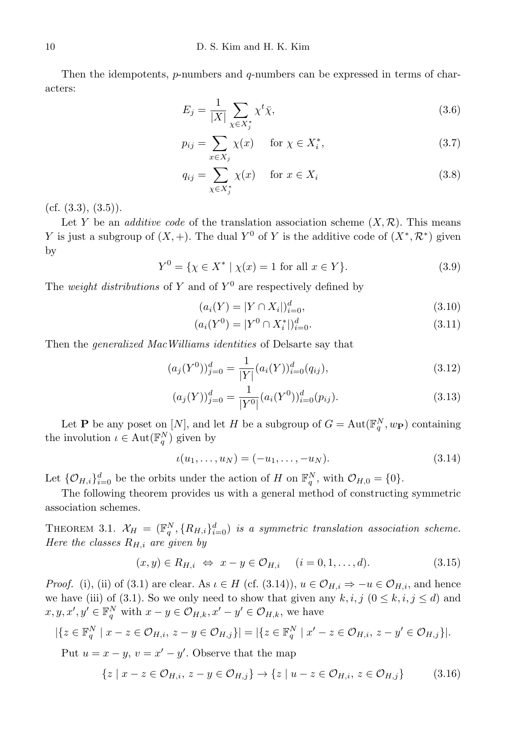Then the idempotents,  $p$ -numbers and  $q$ -numbers can be expressed in terms of characters:

$$
E_j = \frac{1}{|X|} \sum_{\chi \in X_j^*} \chi^t \bar{\chi},\tag{3.6}
$$

$$
p_{ij} = \sum_{x \in X_j} \chi(x) \quad \text{for } \chi \in X_i^*, \tag{3.7}
$$

$$
q_{ij} = \sum_{\chi \in X_j^*} \chi(x) \quad \text{for } x \in X_i
$$
\n(3.8)

(cf.  $(3.3), (3.5)$ ).

Let Y be an *additive code* of the translation association scheme  $(X,\mathcal{R})$ . This means Y is just a subgroup of  $(X, +)$ . The dual Y<sup>0</sup> of Y is the additive code of  $(X^*, \mathcal{R}^*)$  given by

$$
Y^{0} = \{ \chi \in X^* \mid \chi(x) = 1 \text{ for all } x \in Y \}. \tag{3.9}
$$

The *weight distributions* of Y and of  $Y^0$  are respectively defined by

$$
(a_i(Y) = |Y \cap X_i|)_{i=0}^d,
$$
\n(3.10)

$$
(a_i(Y^0) = |Y^0 \cap X_i^*|)_{i=0}^d.
$$
\n(3.11)

Then the generalized MacWilliams identities of Delsarte say that

$$
(a_j(Y^0))_{j=0}^d = \frac{1}{|Y|} (a_i(Y))_{i=0}^d (q_{ij}),
$$
\n(3.12)

$$
(a_j(Y))_{j=0}^d = \frac{1}{|Y^0|} (a_i(Y^0))_{i=0}^d (p_{ij}).
$$
\n(3.13)

Let **P** be any poset on [N], and let H be a subgroup of  $G = \text{Aut}(\mathbb{F}_q^N, w_{\mathbf{P}})$  containing the involution  $\iota \in \text{Aut}(\mathbb{F}_q^N)$  given by

$$
\iota(u_1,\ldots,u_N) = (-u_1,\ldots,-u_N). \tag{3.14}
$$

Let  $\{\mathcal{O}_{H,i}\}_{i=0}^d$  be the orbits under the action of H on  $\mathbb{F}_q^N$ , with  $\mathcal{O}_{H,0} = \{0\}.$ 

The following theorem provides us with a general method of constructing symmetric association schemes.

THEOREM 3.1.  $\mathcal{X}_H = (\mathbb{F}_q^N, \{R_{H,i}\}_{i=0}^d)$  is a symmetric translation association scheme. Here the classes  $R_{H,i}$  are given by

$$
(x,y)\in R_{H,i} \Leftrightarrow x-y\in\mathcal{O}_{H,i} \quad (i=0,1,\ldots,d). \tag{3.15}
$$

*Proof.* (i), (ii) of (3.1) are clear. As  $\iota \in H$  (cf. (3.14)),  $u \in \mathcal{O}_{H,i} \Rightarrow -u \in \mathcal{O}_{H,i}$ , and hence we have (iii) of (3.1). So we only need to show that given any  $k, i, j \in \mathcal{S}$  and  $x, y, x', y' \in \mathbb{F}_q^N$  with  $x - y \in \mathcal{O}_{H,k}, x' - y' \in \mathcal{O}_{H,k}$ , we have

$$
|\{z \in \mathbb{F}_q^N \mid x - z \in \mathcal{O}_{H,i}, z - y \in \mathcal{O}_{H,j}\}| = |\{z \in \mathbb{F}_q^N \mid x' - z \in \mathcal{O}_{H,i}, z - y' \in \mathcal{O}_{H,j}\}|.
$$

Put  $u = x - y$ ,  $v = x' - y'$ . Observe that the map

$$
\{z \mid x - z \in \mathcal{O}_{H,i}, z - y \in \mathcal{O}_{H,j}\} \to \{z \mid u - z \in \mathcal{O}_{H,i}, z \in \mathcal{O}_{H,j}\}\tag{3.16}
$$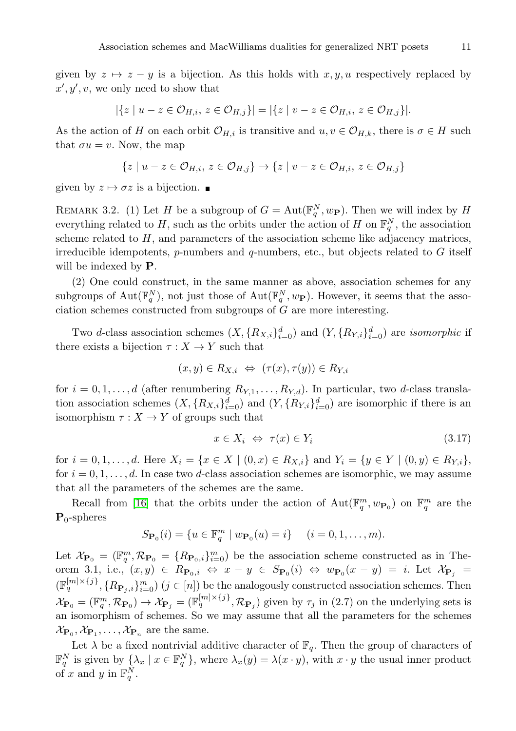given by  $z \mapsto z - y$  is a bijection. As this holds with  $x, y, u$  respectively replaced by  $x', y', v$ , we only need to show that

$$
|\{z \mid u - z \in \mathcal{O}_{H,i}, z \in \mathcal{O}_{H,j}\}| = |\{z \mid v - z \in \mathcal{O}_{H,i}, z \in \mathcal{O}_{H,j}\}|.
$$

As the action of H on each orbit  $\mathcal{O}_{H,i}$  is transitive and  $u, v \in \mathcal{O}_{H,k}$ , there is  $\sigma \in H$  such that  $\sigma u = v$ . Now, the map

$$
\{z \mid u-z \in \mathcal{O}_{H,i}, z \in \mathcal{O}_{H,j}\} \rightarrow \{z \mid v-z \in \mathcal{O}_{H,i}, z \in \mathcal{O}_{H,j}\}
$$

given by  $z \mapsto \sigma z$  is a bijection.

REMARK 3.2. (1) Let H be a subgroup of  $G = Aut(\mathbb{F}_q^N, w_{\mathbf{P}})$ . Then we will index by H everything related to H, such as the orbits under the action of H on  $\mathbb{F}_q^N$ , the association scheme related to  $H$ , and parameters of the association scheme like adjacency matrices, irreducible idempotents,  $p$ -numbers and  $q$ -numbers, etc., but objects related to  $G$  itself will be indexed by  $P$ .

(2) One could construct, in the same manner as above, association schemes for any subgroups of  $\text{Aut}(\mathbb{F}_q^N)$ , not just those of  $\text{Aut}(\mathbb{F}_q^N, w_{\mathbf{P}})$ . However, it seems that the association schemes constructed from subgroups of G are more interesting.

Two d-class association schemes  $(X, \{R_{X,i}\}_{i=0}^d)$  and  $(Y, \{R_{Y,i}\}_{i=0}^d)$  are *isomorphic* if there exists a bijection  $\tau : X \to Y$  such that

$$
(x, y) \in R_{X,i} \Leftrightarrow (\tau(x), \tau(y)) \in R_{Y,i}
$$

for  $i = 0, 1, \ldots, d$  (after renumbering  $R_{Y,1}, \ldots, R_{Y,d}$ ). In particular, two d-class translation association schemes  $(X, \{R_{X,i}\}_{i=0}^d)$  and  $(Y, \{R_{Y,i}\}_{i=0}^d)$  are isomorphic if there is an isomorphism  $\tau : X \to Y$  of groups such that

$$
x \in X_i \iff \tau(x) \in Y_i \tag{3.17}
$$

for  $i = 0, 1, ..., d$ . Here  $X_i = \{x \in X \mid (0, x) \in R_{X,i}\}\$  and  $Y_i = \{y \in Y \mid (0, y) \in R_{Y,i}\}\$ , for  $i = 0, 1, \ldots, d$ . In case two d-class association schemes are isomorphic, we may assume that all the parameters of the schemes are the same.

Recall from [\[16\]](#page-45-4) that the orbits under the action of  $\text{Aut}(\mathbb{F}_q^m, w_{\mathbf{P}_0})$  on  $\mathbb{F}_q^m$  are the  $P_0$ -spheres

$$
S_{\mathbf{P}_0}(i) = \{ u \in \mathbb{F}_q^m \mid w_{\mathbf{P}_0}(u) = i \} \quad (i = 0, 1, \dots, m).
$$

Let  $\mathcal{X}_{\mathbf{P}_0} = (\mathbb{F}_q^m, \mathcal{R}_{\mathbf{P}_0} = \{R_{\mathbf{P}_0,i}\}_{i=0}^m$  be the association scheme constructed as in Theorem 3.1, i.e.,  $(x, y) \in R_{\mathbf{P}_0,i} \Leftrightarrow x - y \in S_{\mathbf{P}_0}(i) \Leftrightarrow w_{\mathbf{P}_0}(x - y) = i$ . Let  $\mathcal{X}_{\mathbf{P}_j} =$  $(\mathbb{F}_q^{[m]\times\{j\}}, \{R_{\mathbf{P}_j,i}\}_{i=0}^m)$   $(j \in [n])$  be the analogously constructed association schemes. Then  $\mathcal{X}_{\mathbf{P}_0} = (\mathbb{F}_q^m, \mathcal{R}_{\mathbf{P}_0}) \to \mathcal{X}_{\mathbf{P}_j} = (\mathbb{F}_q^{[m] \times \{j\}}, \mathcal{R}_{\mathbf{P}_j})$  given by  $\tau_j$  in (2.7) on the underlying sets is an isomorphism of schemes. So we may assume that all the parameters for the schemes  $\mathcal{X}_{\mathbf{P}_0}, \mathcal{X}_{\mathbf{P}_1}, \dots, \mathcal{X}_{\mathbf{P}_n}$  are the same.

Let  $\lambda$  be a fixed nontrivial additive character of  $\mathbb{F}_q$ . Then the group of characters of  $\mathbb{F}_q^N$  is given by  $\{\lambda_x \mid x \in \mathbb{F}_q^N\}$ , where  $\lambda_x(y) = \lambda(x \cdot y)$ , with  $x \cdot y$  the usual inner product of x and y in  $\mathbb{F}_q^N$ .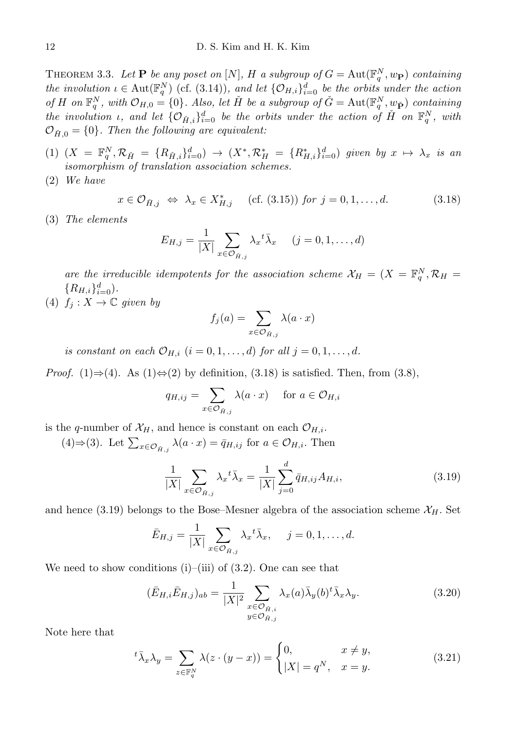THEOREM 3.3. Let **P** be any poset on  $[N]$ , H a subgroup of  $G = \text{Aut}(\mathbb{F}_q^N, w_{\mathbf{P}})$  containing the involution  $\iota \in \text{Aut}(\mathbb{F}_q^N)$  (cf. (3.14)), and let  $\{\mathcal{O}_{H,i}\}_{i=0}^d$  be the orbits under the action of H on  $\mathbb{F}_q^N$ , with  $\mathcal{O}_{H,0} = \{0\}$ . Also, let H be a subgroup of  $\check{G} = \text{Aut}(\mathbb{F}_q^N, w_{\check{\mathbf{P}}})$  containing the involution  $\iota$ , and let  $\{\mathcal{O}_{\check{H},i}\}_{i=0}^d$  be the orbits under the action of  $\check{H}$  on  $\mathbb{F}_q^N$ , with  $\mathcal{O}_{H,0} = \{0\}$ . Then the following are equivalent:

- (1)  $(X = \mathbb{F}_q^N, \mathcal{R}_{\check{H}} = \{R_{\check{H},i}\}_{i=0}^d) \to (X^*, \mathcal{R}_{H}^* = \{R_{H,i}^*\}_{i=0}^d)$  given by  $x \mapsto \lambda_x$  is an isomorphism of translation association schemes.
- (2) We have

$$
x \in \mathcal{O}_{\check{H},j} \iff \lambda_x \in X^*_{H,j} \quad \text{(cf. (3.15)) for } j = 0, 1, \dots, d. \tag{3.18}
$$

(3) The elements

$$
E_{H,j} = \frac{1}{|X|} \sum_{x \in \mathcal{O}_{\tilde{H},j}} \lambda_x^{\ t} \bar{\lambda}_x \qquad (j = 0, 1, \dots, d)
$$

are the irreducible idempotents for the association scheme  $\mathcal{X}_H = (X = \mathbb{F}_q^N, \mathcal{R}_H =$  $\{R_{H,i}\}_{i=0}^d$ ).

(4)  $f_i: X \to \mathbb{C}$  given by

$$
f_j(a) = \sum_{x \in \mathcal{O}_{\check{H},j}} \lambda(a \cdot x)
$$

is constant on each  $\mathcal{O}_{H,i}$   $(i = 0, 1, \ldots, d)$  for all  $j = 0, 1, \ldots, d$ .

*Proof.* (1)⇒(4). As (1)⇔(2) by definition, (3.18) is satisfied. Then, from (3.8),

$$
q_{H,ij} = \sum_{x \in \mathcal{O}_{\tilde{H},j}} \lambda(a \cdot x) \quad \text{for } a \in \mathcal{O}_{H,i}
$$

is the q-number of  $\mathcal{X}_H$ , and hence is constant on each  $\mathcal{O}_{H,i}$ .

(4)⇒(3). Let  $\sum_{x \in \mathcal{O}_{\tilde{H},j}} \lambda(a \cdot x) = \bar{q}_{H,ij}$  for  $a \in \mathcal{O}_{H,i}$ . Then

$$
\frac{1}{|X|} \sum_{x \in \mathcal{O}_{\tilde{H},j}} \lambda_x^{\ t} \bar{\lambda}_x = \frac{1}{|X|} \sum_{j=0}^d \bar{q}_{H,ij} A_{H,i},\tag{3.19}
$$

and hence (3.19) belongs to the Bose–Mesner algebra of the association scheme  $\mathcal{X}_H$ . Set

$$
\bar{E}_{H,j} = \frac{1}{|X|} \sum_{x \in \mathcal{O}_{\bar{H},j}} \lambda_x^{-t} \bar{\lambda}_x, \quad j = 0, 1, \dots, d.
$$

We need to show conditions  $(i)$ – $(iii)$  of  $(3.2)$ . One can see that

$$
(\bar{E}_{H,i}\bar{E}_{H,j})_{ab} = \frac{1}{|X|^2} \sum_{\substack{x \in \mathcal{O}_{\tilde{H},i} \\ y \in \mathcal{O}_{\tilde{H},j}}} \lambda_x(a)\bar{\lambda}_y(b)^t \bar{\lambda}_x \lambda_y.
$$
 (3.20)

Note here that

$$
{}^{t}\bar{\lambda}_{x}\lambda_{y} = \sum_{z \in \mathbb{F}_{q}^{N}} \lambda(z \cdot (y - x)) = \begin{cases} 0, & x \neq y, \\ |X| = q^{N}, & x = y. \end{cases}
$$
 (3.21)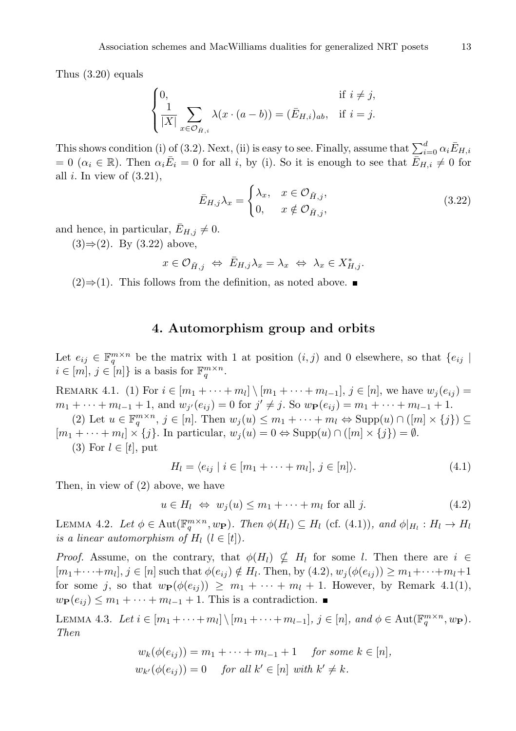Thus (3.20) equals

$$
\begin{cases}\n0, & \text{if } i \neq j, \\
\frac{1}{|X|} \sum_{x \in \mathcal{O}_{\tilde{H},i}} \lambda(x \cdot (a - b)) = (\bar{E}_{H,i})_{ab}, & \text{if } i = j.\n\end{cases}
$$

This shows condition (i) of (3.2). Next, (ii) is easy to see. Finally, assume that  $\sum_{i=0}^{d} \alpha_i \bar{E}_{H,i}$  $= 0$  ( $\alpha_i \in \mathbb{R}$ ). Then  $\alpha_i \overline{E}_i = 0$  for all i, by (i). So it is enough to see that  $\overline{E}_{H,i} \neq 0$  for all  $i$ . In view of  $(3.21)$ ,

$$
\bar{E}_{H,j}\lambda_x = \begin{cases} \lambda_x, & x \in \mathcal{O}_{\tilde{H},j}, \\ 0, & x \notin \mathcal{O}_{\tilde{H},j}, \end{cases}
$$
(3.22)

and hence, in particular,  $E_{H,j} \neq 0$ .

 $(3) \Rightarrow (2)$ . By  $(3.22)$  above,

$$
x \in \mathcal{O}_{\check{H},j} \iff \bar{E}_{H,j}\lambda_x = \lambda_x \iff \lambda_x \in X_{H,j}^*.
$$

<span id="page-10-0"></span> $(2) \Rightarrow (1)$ . This follows from the definition, as noted above. ■

## 4. Automorphism group and orbits

Let  $e_{ij} \in \mathbb{F}_q^{m \times n}$  be the matrix with 1 at position  $(i, j)$  and 0 elsewhere, so that  $\{e_{ij} \mid$  $i \in [m], j \in [n]$  is a basis for  $\mathbb{F}_q^{m \times n}$ .

REMARK 4.1. (1) For  $i \in [m_1 + \cdots + m_l] \setminus [m_1 + \cdots + m_{l-1}], j \in [n]$ , we have  $w_j(e_{ij}) =$  $m_1 + \cdots + m_{l-1} + 1$ , and  $w_{j'}(e_{ij}) = 0$  for  $j' \neq j$ . So  $w_{\mathbf{P}}(e_{ij}) = m_1 + \cdots + m_{l-1} + 1$ .

(2) Let  $u \in \mathbb{F}_q^{m \times n}$ ,  $j \in [n]$ . Then  $w_j(u) \leq m_1 + \cdots + m_l \Leftrightarrow \text{Supp}(u) \cap ([m] \times \{j\}) \subseteq$  $[m_1 + \cdots + m_l] \times \{j\}$ . In particular,  $w_j(u) = 0 \Leftrightarrow \text{Supp}(u) \cap ([m] \times \{j\}) = \emptyset$ .

(3) For  $l \in [t]$ , put

$$
H_l = \langle e_{ij} \mid i \in [m_1 + \dots + m_l], j \in [n] \rangle.
$$
 (4.1)

Then, in view of (2) above, we have

$$
u \in H_l \iff w_j(u) \le m_1 + \dots + m_l \text{ for all } j. \tag{4.2}
$$

LEMMA 4.2. Let  $\phi \in \text{Aut}(\mathbb{F}_q^{m \times n}, w_{\mathbf{P}})$ . Then  $\phi(H_l) \subseteq H_l$  (cf. (4.1)), and  $\phi|_{H_l} : H_l \to H_l$ is a linear automorphism of  $H_l$   $(l \in [t])$ .

*Proof.* Assume, on the contrary, that  $\phi(H_l) \nsubseteq H_l$  for some l. Then there are  $i \in$  $[m_1+\cdots+m_l], j \in [n]$  such that  $\phi(e_{ij}) \notin H_l$ . Then, by  $(4.2), w_j(\phi(e_{ij})) \geq m_1+\cdots+m_l+1$ for some j, so that  $w_{\mathbf{P}}(\phi(e_{ij})) \geq m_1 + \cdots + m_l + 1$ . However, by Remark 4.1(1),  $w_{\mathbf{P}}(e_{ij}) \leq m_1 + \cdots + m_{l-1} + 1$ . This is a contradiction.

LEMMA 4.3. Let  $i \in [m_1 + \cdots + m_l] \setminus [m_1 + \cdots + m_{l-1}], j \in [n],$  and  $\phi \in \text{Aut}(\mathbb{F}_q^{m \times n}, w_{\mathbf{P}})$ . Then

$$
w_k(\phi(e_{ij})) = m_1 + \dots + m_{l-1} + 1 \quad \text{for some } k \in [n],
$$
  

$$
w_{k'}(\phi(e_{ij})) = 0 \quad \text{for all } k' \in [n] \text{ with } k' \neq k.
$$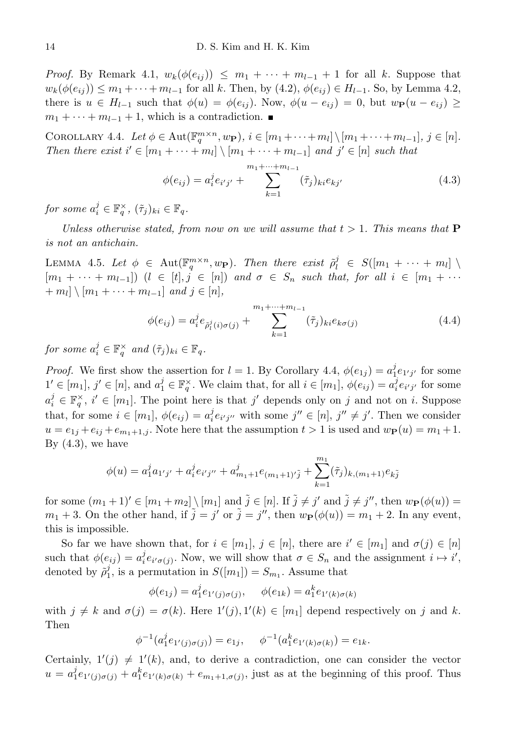*Proof.* By Remark 4.1,  $w_k(\phi(e_{ij})) \leq m_1 + \cdots + m_{l-1} + 1$  for all k. Suppose that  $w_k(\phi(e_{ij})) \leq m_1 + \cdots + m_{l-1}$  for all k. Then, by  $(4.2)$ ,  $\phi(e_{ij}) \in H_{l-1}$ . So, by Lemma 4.2, there is  $u \in H_{l-1}$  such that  $\phi(u) = \phi(e_{ij})$ . Now,  $\phi(u - e_{ij}) = 0$ , but  $w_{\mathbf{P}}(u - e_{ij}) \ge$  $m_1 + \cdots + m_{l-1} + 1$ , which is a contradiction.

COROLLARY 4.4. Let  $\phi \in \text{Aut}(\mathbb{F}_q^{m \times n}, w_{\mathbf{P}}), i \in [m_1 + \cdots + m_l] \setminus [m_1 + \cdots + m_{l-1}], j \in [n]$ . Then there exist  $i' \in [m_1 + \cdots + m_l] \setminus [m_1 + \cdots + m_{l-1}]$  and  $j' \in [n]$  such that

$$
\phi(e_{ij}) = a_i^j e_{i'j'} + \sum_{k=1}^{m_1 + \dots + m_{l-1}} (\tilde{\tau}_j)_{ki} e_{kj'}
$$
\n(4.3)

for some  $a_i^j \in \mathbb{F}_q^{\times}$ ,  $(\tilde{\tau}_j)_{ki} \in \mathbb{F}_q$ .

Unless otherwise stated, from now on we will assume that  $t > 1$ . This means that **P** is not an antichain.

LEMMA 4.5. Let  $\phi \in \text{Aut}(\mathbb{F}_q^{m \times n}, w_{\mathbf{P}})$ . Then there exist  $\tilde{\rho}_l^j \in S([m_1 + \cdots + m_l])$  $[m_1 + \cdots + m_{l-1}])$   $(l \in [t], j \in [n])$  and  $\sigma \in S_n$  such that, for all  $i \in [m_1 + \cdots + m_{l-1}]$  $+m_l$ ]  $\setminus$   $[m_1 + \cdots + m_{l-1}]$  and  $j \in [n]$ ,

$$
\phi(e_{ij}) = a_i^j e_{\tilde{\rho}_l^j(i)\sigma(j)} + \sum_{k=1}^{m_1 + \dots + m_{l-1}} (\tilde{\tau}_j)_{ki} e_{k\sigma(j)} \tag{4.4}
$$

for some  $a_i^j \in \mathbb{F}_q^{\times}$  and  $(\tilde{\tau}_j)_{ki} \in \mathbb{F}_q$ .

*Proof.* We first show the assertion for  $l = 1$ . By Corollary 4.4,  $\phi(e_{1j}) = a_1^j e_{1'j'}$  for some  $1' \in [m_1], j' \in [n],$  and  $a_1^j \in \mathbb{F}_q^{\times}$ . We claim that, for all  $i \in [m_1], \phi(e_{ij}) = a_i^j e_{i'j'}$  for some  $a_i^j \in \mathbb{F}_q^{\times}$ ,  $i' \in [m_1]$ . The point here is that j' depends only on j and not on i. Suppose that, for some  $i \in [m_1]$ ,  $\phi(e_{ij}) = a_i^j e_{i'j''}$  with some  $j'' \in [n]$ ,  $j'' \neq j'$ . Then we consider  $u = e_{1j} + e_{ij} + e_{m_1+1,j}$ . Note here that the assumption  $t > 1$  is used and  $w_{\mathbf{P}}(u) = m_1 + 1$ . By  $(4.3)$ , we have

$$
\phi(u) = a_1^j a_{1'j'} + a_i^j e_{i'j''} + a_{m_1+1}^j e_{(m_1+1)'\tilde{j}} + \sum_{k=1}^{m_1} (\tilde{\tau}_j)_{k,(m_1+1)} e_{k\tilde{j}}
$$

for some  $(m_1 + 1)' \in [m_1 + m_2] \setminus [m_1]$  and  $\tilde{j} \in [n]$ . If  $\tilde{j} \neq j'$  and  $\tilde{j} \neq j''$ , then  $w_{\mathbf{P}}(\phi(u)) =$  $m_1 + 3$ . On the other hand, if  $\tilde{j} = j'$  or  $\tilde{j} = j''$ , then  $w_{\mathbf{P}}(\phi(u)) = m_1 + 2$ . In any event, this is impossible.

So far we have shown that, for  $i \in [m_1]$ ,  $j \in [n]$ , there are  $i' \in [m_1]$  and  $\sigma(j) \in [n]$ such that  $\phi(e_{ij}) = a_i^j e_{i' \sigma(j)}$ . Now, we will show that  $\sigma \in S_n$  and the assignment  $i \mapsto i'$ , denoted by  $\tilde{\rho}_1^j$ , is a permutation in  $S([m_1]) = S_{m_1}$ . Assume that

$$
\phi(e_{1j}) = a_1^j e_{1'(j)\sigma(j)}, \quad \phi(e_{1k}) = a_1^k e_{1'(k)\sigma(k)}
$$

with  $j \neq k$  and  $\sigma(j) = \sigma(k)$ . Here  $1'(j), 1'(k) \in [m_1]$  depend respectively on j and k. Then

$$
\phi^{-1}(a_1^j e_{1'(j)\sigma(j)}) = e_{1j}, \quad \phi^{-1}(a_1^k e_{1'(k)\sigma(k)}) = e_{1k}.
$$

Certainly,  $1'(j) \neq 1'(k)$ , and, to derive a contradiction, one can consider the vector  $u = a_1^j e_{1'(j)\sigma(j)} + a_1^k e_{1'(k)\sigma(k)} + e_{m_1+1,\sigma(j)}$ , just as at the beginning of this proof. Thus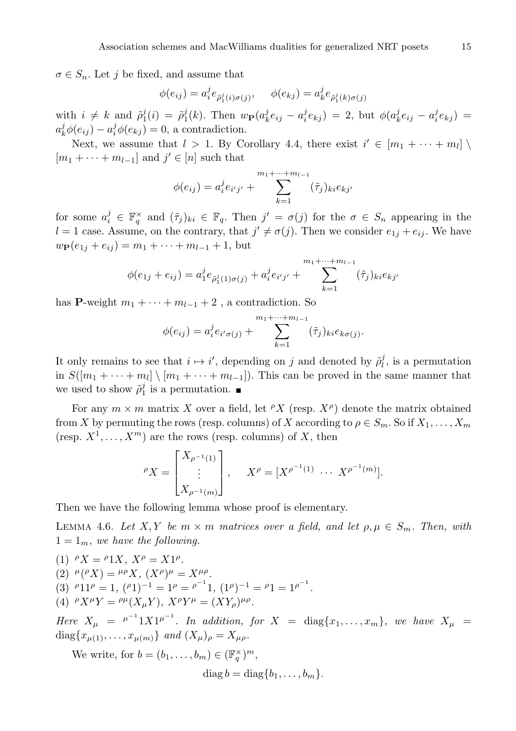$\sigma \in S_n$ . Let j be fixed, and assume that

$$
\phi(e_{ij}) = a_i^j e_{\tilde{\rho}_1^j(i)\sigma(j)}, \quad \phi(e_{kj}) = a_k^j e_{\tilde{\rho}_1^j(k)\sigma(j)}
$$

with  $i \neq k$  and  $\tilde{\rho}_1^j(i) = \tilde{\rho}_1^j(k)$ . Then  $w_{\mathbf{P}}(a_k^j e_{ij} - a_i^j e_{kj}) = 2$ , but  $\phi(a_k^j e_{ij} - a_i^j e_{kj}) =$  $a_k^j \phi(e_{ij}) - a_i^j \phi(e_{kj}) = 0$ , a contradiction.

Next, we assume that  $l > 1$ . By Corollary 4.4, there exist  $i' \in [m_1 + \cdots + m_l]$  $[m_1 + \cdots + m_{l-1}]$  and  $j' \in [n]$  such that

$$
\phi(e_{ij}) = a_i^j e_{i'j'} + \sum_{k=1}^{m_1 + \dots + m_{l-1}} (\tilde{\tau}_j)_{ki} e_{kj'}
$$

for some  $a_i^j \in \mathbb{F}_q^{\times}$  and  $(\tilde{\tau}_j)_{ki} \in \mathbb{F}_q$ . Then  $j' = \sigma(j)$  for the  $\sigma \in S_n$  appearing in the  $l = 1$  case. Assume, on the contrary, that  $j' \neq \sigma(j)$ . Then we consider  $e_{1j} + e_{ij}$ . We have  $w_{\mathbf{P}}(e_{1j} + e_{ij}) = m_1 + \cdots + m_{l-1} + 1$ , but

$$
\phi(e_{1j} + e_{ij}) = a_1^j e_{\tilde{\rho}_1^j(1)\sigma(j)} + a_i^j e_{i'j'} + \sum_{k=1}^{m_1 + \dots + m_{l-1}} (\tilde{\tau}_j)_{ki} e_{kj'}
$$

has P-weight  $m_1 + \cdots + m_{l-1} + 2$ , a contradiction. So

$$
\phi(e_{ij}) = a_i^j e_{i'\sigma(j)} + \sum_{k=1}^{m_1 + \dots + m_{l-1}} (\tilde{\tau}_j)_{ki} e_{k\sigma(j)}.
$$

It only remains to see that  $i \mapsto i'$ , depending on j and denoted by  $\tilde{\rho}_l^j$ , is a permutation in  $S([m_1 + \cdots + m_l] \setminus [m_1 + \cdots + m_{l-1}])$ . This can be proved in the same manner that we used to show  $\tilde{\rho}_1^j$  is a permutation.

For any  $m \times m$  matrix X over a field, let  $\ell X$  (resp.  $X^{\rho}$ ) denote the matrix obtained from X by permuting the rows (resp. columns) of X according to  $\rho \in S_m$ . So if  $X_1, \ldots, X_m$ (resp.  $X^1, \ldots, X^m$ ) are the rows (resp. columns) of X, then

$$
{}^{\rho}X = \begin{bmatrix} X_{\rho^{-1}(1)} \\ \vdots \\ X_{\rho^{-1}(m)} \end{bmatrix}, \quad X^{\rho} = [X^{\rho^{-1}(1)} \cdots X^{\rho^{-1}(m)}].
$$

Then we have the following lemma whose proof is elementary.

LEMMA 4.6. Let X, Y be  $m \times m$  matrices over a field, and let  $\rho, \mu \in S_m$ . Then, with  $1 = 1_m$ , we have the following.

(1)  ${}^{\rho}X = {}^{\rho}1X$ ,  $X^{\rho} = X1^{\rho}$ . (2)  $^{\mu}({^{\rho}X}) = {^{\mu\rho}X}, (X^{\rho})^{\mu} = X^{\mu\rho}.$ (3)  $P11P = 1$ ,  $(P1)^{-1} = 1^P = P^{-1}1$ ,  $(1^P)^{-1} = P1 = 1^{P^{-1}}$ . (4)  ${}^{\rho}X^{\mu}Y = {}^{\rho\mu}(X_{\mu}Y), X^{\rho}Y^{\mu} = (XY_{\rho})^{\mu\rho}.$ 

Here  $X_\mu = \mu^{-1} 1 X 1^{\mu^{-1}}$ . In addition, for  $X = \text{diag}\{x_1, \ldots, x_m\}$ , we have  $X_\mu =$ diag ${x_{\mu(1)}, \ldots, x_{\mu(m)}}$  and  $(X_{\mu})_{\rho} = X_{\mu\rho}$ .

We write, for  $b = (b_1, \ldots, b_m) \in (\mathbb{F}_q^{\times})^m$ ,  $\text{diag } b = \text{diag } \{b_1, \ldots, b_m\}.$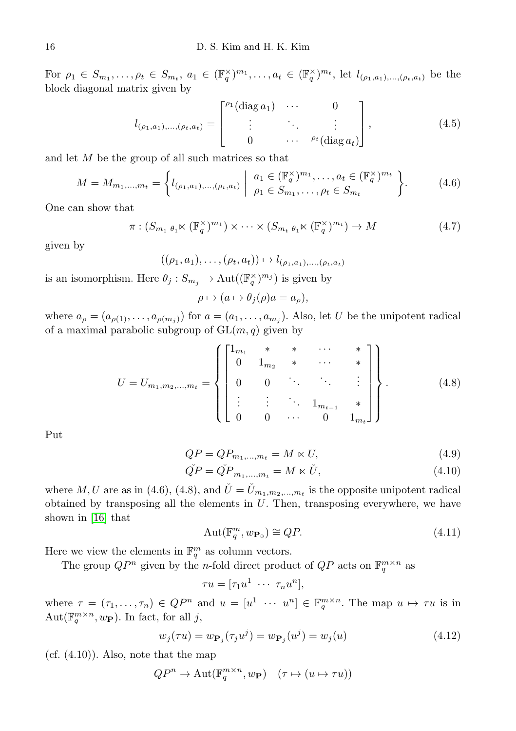For  $\rho_1 \in S_{m_1}, \ldots, \rho_t \in S_{m_t}, a_1 \in (\mathbb{F}_q^{\times})^{m_1}, \ldots, a_t \in (\mathbb{F}_q^{\times})^{m_t}$ , let  $l_{(\rho_1, a_1), \ldots, (\rho_t, a_t)}$  be the block diagonal matrix given by

$$
l_{(\rho_1, a_1), ..., (\rho_t, a_t)} = \begin{bmatrix} \rho_1(\text{diag } a_1) & \cdots & 0 \\ \vdots & \ddots & \vdots \\ 0 & \cdots & \rho_t(\text{diag } a_t) \end{bmatrix},
$$
(4.5)

and let M be the group of all such matrices so that

$$
M = M_{m_1, \dots, m_t} = \left\{ l_{(\rho_1, a_1), \dots, (\rho_t, a_t)} \middle| \begin{array}{c} a_1 \in (\mathbb{F}_q^{\times})^{m_1}, \dots, a_t \in (\mathbb{F}_q^{\times})^{m_t} \\ \rho_1 \in S_{m_1}, \dots, \rho_t \in S_{m_t} \end{array} \right\}.
$$
 (4.6)

One can show that

$$
\pi: (S_{m_1 \theta_1} \ltimes (\mathbb{F}_q^{\times})^{m_1}) \times \cdots \times (S_{m_t \theta_1} \ltimes (\mathbb{F}_q^{\times})^{m_t}) \to M \tag{4.7}
$$

given by

$$
((\rho_1, a_1), \ldots, (\rho_t, a_t)) \mapsto l_{(\rho_1, a_1), \ldots, (\rho_t, a_t)}
$$

is an isomorphism. Here  $\theta_j : S_{m_j} \to \text{Aut}((\mathbb{F}_q^{\times})^{m_j})$  is given by

$$
\rho \mapsto (a \mapsto \theta_j(\rho)a = a_\rho),
$$

where  $a_{\rho} = (a_{\rho(1)}, \ldots, a_{\rho(m_j)})$  for  $a = (a_1, \ldots, a_{m_j})$ . Also, let U be the unipotent radical of a maximal parabolic subgroup of  $GL(m, q)$  given by

$$
U = U_{m_1, m_2, \dots, m_t} = \left\{ \begin{bmatrix} 1_{m_1} & * & * & \cdots & * \\ 0 & 1_{m_2} & * & \cdots & * \\ 0 & 0 & \ddots & \ddots & \vdots \\ \vdots & \vdots & \ddots & 1_{m_{t-1}} & * \\ 0 & 0 & \cdots & 0 & 1_{m_t} \end{bmatrix} \right\}.
$$
 (4.8)

Put

$$
QP = QP_{m_1,\dots,m_t} = M \ltimes U,\tag{4.9}
$$

$$
\tilde{QP} = \tilde{QP}_{m_1,\dots,m_t} = M \ltimes \tilde{U},\tag{4.10}
$$

where M, U are as in (4.6), (4.8), and  $\check{U} = \check{U}_{m_1,m_2,...,m_t}$  is the opposite unipotent radical obtained by transposing all the elements in  $U$ . Then, transposing everywhere, we have shown in [\[16\]](#page-45-4) that

$$
Aut(\mathbb{F}_q^m, w_{\mathbf{P}_0}) \cong QP.
$$
\n(4.11)

Here we view the elements in  $\mathbb{F}_q^m$  as column vectors.

The group  $QP^n$  given by the *n*-fold direct product of  $QP$  acts on  $\mathbb{F}_q^{m \times n}$  as

$$
\tau u = [\tau_1 u^1 \ \cdots \ \tau_n u^n],
$$

where  $\tau = (\tau_1, \ldots, \tau_n) \in QP^n$  and  $u = [u^1 \cdots u^n] \in \mathbb{F}_q^{m \times n}$ . The map  $u \mapsto \tau u$  is in Aut $(\mathbb{F}_q^{m \times n}, w_{\mathbf{P}})$ . In fact, for all j,

$$
w_j(\tau u) = w_{\mathbf{P}_j}(\tau_j u^j) = w_{\mathbf{P}_j}(u^j) = w_j(u)
$$
\n(4.12)

 $(cf. (4.10))$ . Also, note that the map

$$
QP^n \to \text{Aut}(\mathbb{F}_q^{m \times n}, w_\mathbf{P}) \quad (\tau \mapsto (u \mapsto \tau u))
$$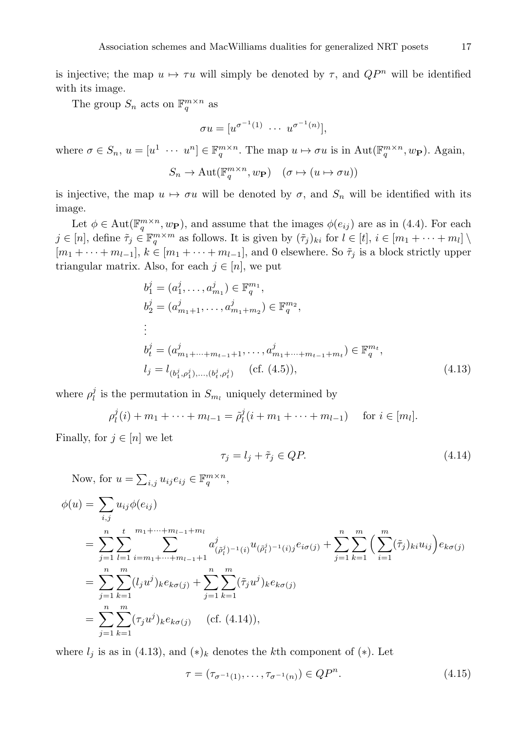is injective; the map  $u \mapsto \tau u$  will simply be denoted by  $\tau$ , and  $QP^n$  will be identified with its image.

The group  $S_n$  acts on  $\mathbb{F}_q^{m \times n}$  as

$$
\sigma u = [u^{\sigma^{-1}(1)} \cdots u^{\sigma^{-1}(n)}],
$$

where  $\sigma \in S_n$ ,  $u = [u^1 \cdots u^n] \in \mathbb{F}_q^{m \times n}$ . The map  $u \mapsto \sigma u$  is in Aut $(\mathbb{F}_q^{m \times n}, w_{\mathbf{P}})$ . Again,

$$
S_n \to \mathrm{Aut}(\mathbb{F}_q^{m \times n}, w_\mathbf{P}) \quad (\sigma \mapsto (u \mapsto \sigma u))
$$

is injective, the map  $u \mapsto \sigma u$  will be denoted by  $\sigma$ , and  $S_n$  will be identified with its image.

Let  $\phi \in \text{Aut}(\mathbb{F}_q^{m \times n}, w_{\mathbf{P}})$ , and assume that the images  $\phi(e_{ij})$  are as in (4.4). For each  $j \in [n]$ , define  $\tilde{\tau}_j \in \mathbb{F}_q^{m \times m}$  as follows. It is given by  $(\tilde{\tau}_j)_{ki}$  for  $l \in [t], i \in [m_1 + \cdots + m_l] \setminus \mathbb{F}_q$  $[m_1 + \cdots + m_{l-1}], k \in [m_1 + \cdots + m_{l-1}],$  and 0 elsewhere. So  $\tilde{\tau}_j$  is a block strictly upper triangular matrix. Also, for each  $j \in [n]$ , we put

$$
b_1^j = (a_1^j, \dots, a_{m_1}^j) \in \mathbb{F}_q^{m_1},
$$
  
\n
$$
b_2^j = (a_{m_1+1}^j, \dots, a_{m_1+m_2}^j) \in \mathbb{F}_q^{m_2},
$$
  
\n
$$
\vdots
$$
  
\n
$$
b_t^j = (a_{m_1+\dots+m_{t-1}+1}^j, \dots, a_{m_1+\dots+m_{t-1}+m_t}^j) \in \mathbb{F}_q^{m_t},
$$
  
\n
$$
l_j = l_{(b_1^j, \rho_1^j), \dots, (b_t^j, \rho_t^j)} \quad (\text{cf. (4.5)}),
$$
  
\n(4.13)

where  $\rho_l^j$  is the permutation in  $S_{m_l}$  uniquely determined by

$$
\rho_l^j(i) + m_1 + \dots + m_{l-1} = \tilde{\rho}_l^j(i + m_1 + \dots + m_{l-1}) \quad \text{for } i \in [m_l].
$$

Finally, for  $j \in [n]$  we let

$$
\tau_j = l_j + \tilde{\tau}_j \in QP. \tag{4.14}
$$

Now, for  $u = \sum_{i,j} u_{ij} e_{ij} \in \mathbb{F}_q^{m \times n}$ ,

$$
\begin{split}\n\phi(u) &= \sum_{i,j} u_{ij} \phi(e_{ij}) \\
&= \sum_{j=1}^{n} \sum_{l=1}^{t} \sum_{i=m_1+\dots+m_{l-1}+m_l}^{m_1+\dots+m_{l-1}+m_l} a^j_{(\tilde{\rho}_l^j)^{-1}(i)} u_{(\tilde{\rho}_l^j)^{-1}(i)} e_{i\sigma(j)} + \sum_{j=1}^{n} \sum_{k=1}^{m} \left( \sum_{i=1}^{m} (\tilde{\tau}_j)_{ki} u_{ij} \right) e_{k\sigma(j)} \\
&= \sum_{j=1}^{n} \sum_{k=1}^{m} (l_j u^j)_k e_{k\sigma(j)} + \sum_{j=1}^{n} \sum_{k=1}^{m} (\tilde{\tau}_j u^j)_k e_{k\sigma(j)} \\
&= \sum_{j=1}^{n} \sum_{k=1}^{m} (\tau_j u^j)_k e_{k\sigma(j)} \quad \text{(cf. (4.14)),\n\end{split}
$$

where  $l_i$  is as in (4.13), and  $(*)_k$  denotes the kth component of  $(*)$ . Let

$$
\tau = (\tau_{\sigma^{-1}(1)}, \dots, \tau_{\sigma^{-1}(n)}) \in QP^n.
$$
\n(4.15)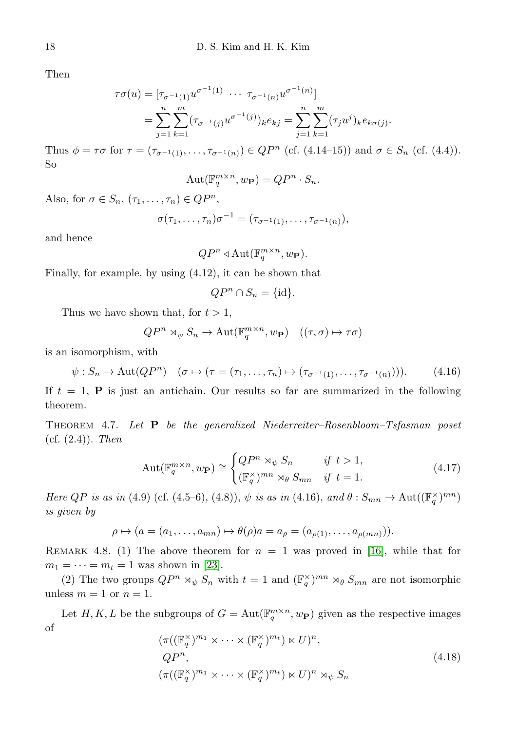Then

$$
\tau \sigma(u) = [\tau_{\sigma^{-1}(1)} u^{\sigma^{-1}(1)} \cdots \tau_{\sigma^{-1}(n)} u^{\sigma^{-1}(n)}]
$$
  
= 
$$
\sum_{j=1}^{n} \sum_{k=1}^{m} (\tau_{\sigma^{-1}(j)} u^{\sigma^{-1}(j)})_k e_{kj} = \sum_{j=1}^{n} \sum_{k=1}^{m} (\tau_j u^j)_k e_{k\sigma(j)}.
$$

Thus  $\phi = \tau \sigma$  for  $\tau = (\tau_{\sigma^{-1}(1)}, \ldots, \tau_{\sigma^{-1}(n)}) \in QP^n$  (cf. (4.14–15)) and  $\sigma \in S_n$  (cf. (4.4)). So

$$
Aut(\mathbb{F}_q^{m \times n}, w_{\mathbf{P}}) = QP^n \cdot S_n.
$$

Also, for  $\sigma \in S_n$ ,  $(\tau_1, \ldots, \tau_n) \in QP^n$ ,

$$
\sigma(\tau_1,\ldots,\tau_n)\sigma^{-1}=(\tau_{\sigma^{-1}(1)},\ldots,\tau_{\sigma^{-1}(n)}),
$$

and hence

$$
QP^n \triangleleft \operatorname{Aut}(\mathbb{F}_q^{m \times n}, w_{\mathbf{P}}).
$$

Finally, for example, by using (4.12), it can be shown that

$$
QP^n \cap S_n = \{\mathrm{id}\}.
$$

Thus we have shown that, for  $t > 1$ ,

$$
QP^n\rtimes_\psi S_n\to \operatorname{Aut}(\mathbb{F}_q^{m\times n},w_\mathbf{P})\quad((\tau,\sigma)\mapsto \tau\sigma)
$$

is an isomorphism, with

$$
\psi : S_n \to \text{Aut}(QP^n) \quad (\sigma \mapsto (\tau = (\tau_1, \dots, \tau_n) \mapsto (\tau_{\sigma^{-1}(1)}, \dots, \tau_{\sigma^{-1}(n)}))). \tag{4.16}
$$

If  $t = 1$ , **P** is just an antichain. Our results so far are summarized in the following theorem.

Theorem 4.7. Let P be the generalized Niederreiter–Rosenbloom–Tsfasman poset (cf.  $(2.4)$ ). Then

$$
\operatorname{Aut}(\mathbb{F}_q^{m \times n}, w_{\mathbf{P}}) \cong \begin{cases} QP^n \rtimes_{\psi} S_n & \text{if } t > 1, \\ (\mathbb{F}_q^{\times})^{mn} \rtimes_{\theta} S_{mn} & \text{if } t = 1. \end{cases} \tag{4.17}
$$

Here QP is as in (4.9) (cf. (4.5–6), (4.8)),  $\psi$  is as in (4.16), and  $\theta : S_{mn} \to \text{Aut}((\mathbb{F}_q^{\times})^{mn})$ is given by

$$
\rho \mapsto (a = (a_1, \dots, a_{mn}) \mapsto \theta(\rho)a = a_{\rho} = (a_{\rho(1)}, \dots, a_{\rho(mn)})).
$$

REMARK 4.8. (1) The above theorem for  $n = 1$  was proved in [\[16\]](#page-45-4), while that for  $m_1 = \cdots = m_t = 1$  was shown in [\[23\]](#page-46-6).

(2) The two groups  $QP^n \rtimes_{\psi} S_n$  with  $t = 1$  and  $(\mathbb{F}_q^{\times})^{mn} \rtimes_{\theta} S_{mn}$  are not isomorphic unless  $m = 1$  or  $n = 1$ .

Let H, K, L be the subgroups of  $G = \text{Aut}(\mathbb{F}_q^{m \times n}, w_{\mathbf{P}})$  given as the respective images of

$$
(\pi((\mathbb{F}_q^{\times})^{m_1} \times \cdots \times (\mathbb{F}_q^{\times})^{m_t}) \times U)^n, QP^n, (\pi((\mathbb{F}_q^{\times})^{m_1} \times \cdots \times (\mathbb{F}_q^{\times})^{m_t}) \times U)^n \rtimes_{\psi} S_n
$$
(4.18)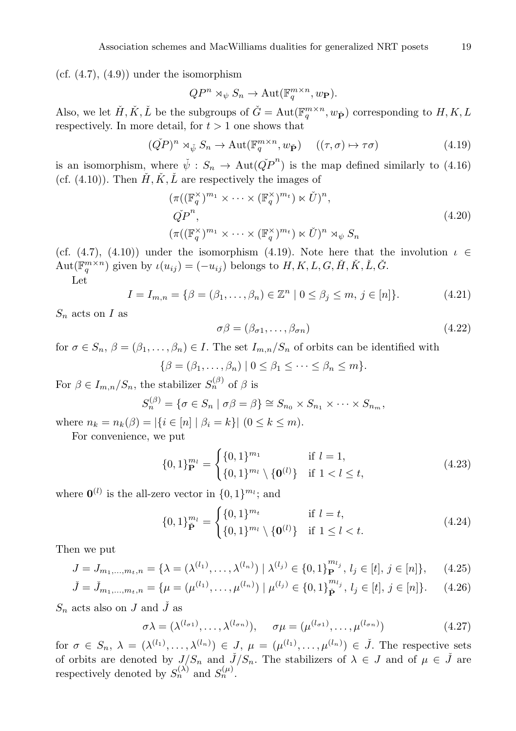(cf.  $(4.7)$ ,  $(4.9)$ ) under the isomorphism

$$
QP^n \rtimes_{\psi} S_n \to \text{Aut}(\mathbb{F}_q^{m \times n}, w_{\mathbf{P}}).
$$

Also, we let  $\check{H}, \check{K}, \check{L}$  be the subgroups of  $\check{G} = \text{Aut}(\mathbb{F}_q^{m \times n}, w_{\check{\mathbf{P}}})$  corresponding to  $H, K, L$ respectively. In more detail, for  $t > 1$  one shows that

$$
(\tilde{Q}P)^n \rtimes_{\check{\psi}} S_n \to \text{Aut}(\mathbb{F}_q^{m \times n}, w_{\check{\mathbf{P}}}) \quad ((\tau, \sigma) \mapsto \tau \sigma) \tag{4.19}
$$

is an isomorphism, where  $\check{\psi}: S_n \to \text{Aut}(\check{QP}^n)$  is the map defined similarly to (4.16) (cf.  $(4.10)$ ). Then  $\check{H}, \check{K}, \check{L}$  are respectively the images of

$$
(\pi((\mathbb{F}_q^{\times})^{m_1} \times \cdots \times (\mathbb{F}_q^{\times})^{m_t}) \times \check{U})^n,
$$
  
\n
$$
\tilde{QP}^n,
$$
  
\n
$$
(\pi((\mathbb{F}_q^{\times})^{m_1} \times \cdots \times (\mathbb{F}_q^{\times})^{m_t}) \times \check{U})^n \rtimes_{\psi} S_n
$$
\n
$$
(4.20)
$$

(cf. (4.7), (4.10)) under the isomorphism (4.19). Note here that the involution  $\iota \in$  $\text{Aut}(\mathbb{F}_q^{m\times n})$  given by  $\iota(u_{ij}) = (-u_{ij})$  belongs to  $H, K, L, G, \check{H}, \check{K}, \check{L}, \check{G}$ .

Let

$$
I = I_{m,n} = \{ \beta = (\beta_1, \dots, \beta_n) \in \mathbb{Z}^n \mid 0 \le \beta_j \le m, j \in [n] \}. \tag{4.21}
$$

 $S_n$  acts on I as

$$
\sigma\beta = (\beta_{\sigma 1}, \dots, \beta_{\sigma n}) \tag{4.22}
$$

for  $\sigma \in S_n$ ,  $\beta = (\beta_1, \ldots, \beta_n) \in I$ . The set  $I_{m,n}/S_n$  of orbits can be identified with

$$
\{\beta = (\beta_1, \dots, \beta_n) \mid 0 \le \beta_1 \le \dots \le \beta_n \le m\}.
$$

For  $\beta \in I_{m,n}/S_n$ , the stabilizer  $S_n^{(\beta)}$  of  $\beta$  is

$$
S_n^{(\beta)} = \{ \sigma \in S_n \mid \sigma \beta = \beta \} \cong S_{n_0} \times S_{n_1} \times \cdots \times S_{n_m},
$$

where  $n_k = n_k(\beta) = |\{i \in [n] | \beta_i = k\}| (0 \le k \le m).$ 

For convenience, we put

$$
\{0,1\}_{\mathbf{P}}^{m_l} = \begin{cases} \{0,1\}^{m_1} & \text{if } l = 1, \\ \{0,1\}^{m_l} \setminus \{\mathbf{0}^{(l)}\} & \text{if } 1 < l \le t, \end{cases}
$$
(4.23)

where  $\mathbf{0}^{(l)}$  is the all-zero vector in  $\{0, 1\}^{m_l}$ ; and

$$
\{0,1\}_{\tilde{\mathbf{P}}}^{m_l} = \begin{cases} \{0,1\}^{m_t} & \text{if } l = t, \\ \{0,1\}^{m_l} \setminus \{\mathbf{0}^{(l)}\} & \text{if } 1 \le l < t. \end{cases} \tag{4.24}
$$

Then we put

$$
J = J_{m_1,\dots,m_t,n} = \{ \lambda = (\lambda^{(l_1)},\dots,\lambda^{(l_n)}) \mid \lambda^{(l_j)} \in \{0,1\}_{\mathbf{P}}^{m_{l_j}}, l_j \in [t], j \in [n] \},\qquad(4.25)
$$

$$
\check{J} = \check{J}_{m_1,\dots,m_t,n} = \{ \mu = (\mu^{(l_1)},\dots,\mu^{(l_n)}) \mid \mu^{(l_j)} \in \{0,1\}^{m_{l_j}}_{\check{P}}, l_j \in [t], j \in [n] \}. \tag{4.26}
$$

 $S_n$  acts also on J and J as

$$
\sigma \lambda = (\lambda^{(l_{\sigma 1})}, \dots, \lambda^{(l_{\sigma n})}), \quad \sigma \mu = (\mu^{(l_{\sigma 1})}, \dots, \mu^{(l_{\sigma n})})
$$
(4.27)

for  $\sigma \in S_n$ ,  $\lambda = (\lambda^{(l_1)}, \ldots, \lambda^{(l_n)}) \in J$ ,  $\mu = (\mu^{(l_1)}, \ldots, \mu^{(l_n)}) \in \check{J}$ . The respective sets of orbits are denoted by  $J/S_n$  and  $\check{J}/S_n$ . The stabilizers of  $\lambda \in J$  and of  $\mu \in \check{J}$  are respectively denoted by  $S_n^{(\lambda)}$  and  $S_n^{(\mu)}$ .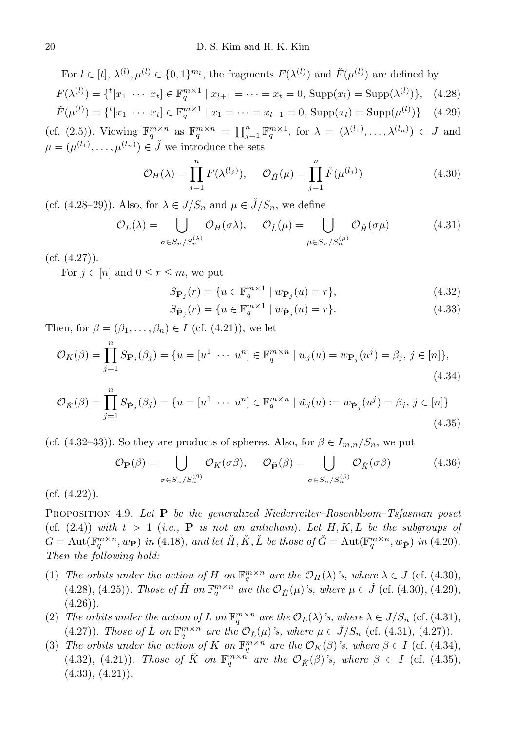For 
$$
l \in [t], \lambda^{(l)}, \mu^{(l)} \in \{0, 1\}^{m_l}
$$
, the fragments  $F(\lambda^{(l)})$  and  $\check{F}(\mu^{(l)})$  are defined by  $F(\lambda^{(l)}) = \{^t[x_1 \cdots x_t] \in \mathbb{F}_q^{m \times 1} \mid x_{l+1} = \cdots = x_t = 0, \text{ Supp}(x_l) = \text{Supp}(\lambda^{(l)})\}, \quad (4.28)$ \n $\check{F}(\mu^{(l)}) = \{^t[x_1 \cdots x_t] \in \mathbb{F}_q^{m \times 1} \mid x_1 = \cdots = x_{l-1} = 0, \text{Supp}(x_l) = \text{Supp}(\mu^{(l)})\} \quad (4.29)$ \n $(cf. (2.5))$ . Viewing  $\mathbb{F}_q^{m \times n}$  as  $\mathbb{F}_q^{m \times n} = \prod_{j=1}^n \mathbb{F}_q^{m \times 1}$ , for  $\lambda = (\lambda^{(l_1)}, \ldots, \lambda^{(l_n)}) \in J$  and  $\mu = (\mu^{(l_1)}, \ldots, \mu^{(l_n)}) \in \check{J}$  we introduce the sets

$$
\mathcal{O}_H(\lambda) = \prod_{j=1}^n F(\lambda^{(l_j)}), \quad \mathcal{O}_{\tilde{H}}(\mu) = \prod_{j=1}^n \check{F}(\mu^{(l_j)})
$$
(4.30)

(cf.  $(4.28-29)$ ). Also, for  $\lambda \in J/S_n$  and  $\mu \in \check{J}/S_n$ , we define

$$
\mathcal{O}_L(\lambda) = \bigcup_{\sigma \in S_n / S_n^{(\lambda)}} \mathcal{O}_H(\sigma \lambda), \quad \mathcal{O}_{\check{L}}(\mu) = \bigcup_{\mu \in S_n / S_n^{(\mu)}} \mathcal{O}_{\check{H}}(\sigma \mu) \tag{4.31}
$$

 $(cf. (4.27)).$ 

For  $j \in [n]$  and  $0 \leq r \leq m$ , we put

$$
S_{\mathbf{P}_j}(r) = \{ u \in \mathbb{F}_q^{m \times 1} \mid w_{\mathbf{P}_j}(u) = r \},\tag{4.32}
$$

$$
S_{\check{\mathbf{P}}_j}(r) = \{ u \in \mathbb{F}_q^{m \times 1} \mid w_{\check{\mathbf{P}}_j}(u) = r \}. \tag{4.33}
$$

Then, for  $\beta = (\beta_1, \ldots, \beta_n) \in I$  (cf. (4.21)), we let

$$
\mathcal{O}_K(\beta) = \prod_{j=1}^n S_{\mathbf{P}_j}(\beta_j) = \{ u = [u^1 \cdots u^n] \in \mathbb{F}_q^{m \times n} \mid w_j(u) = w_{\mathbf{P}_j}(u^j) = \beta_j, \, j \in [n] \},\tag{4.34}
$$

$$
\mathcal{O}_{\check{K}}(\beta) = \prod_{j=1}^{n} S_{\check{\mathbf{P}}_j}(\beta_j) = \{ u = [u^1 \cdots u^n] \in \mathbb{F}_q^{m \times n} \mid \check{w}_j(u) := w_{\check{\mathbf{P}}_j}(u^j) = \beta_j, \, j \in [n] \}
$$
\n(4.35)

(cf. (4.32–33)). So they are products of spheres. Also, for  $\beta \in I_{m,n}/S_n$ , we put

$$
\mathcal{O}_{\mathbf{P}}(\beta) = \bigcup_{\sigma \in S_n / S_n^{(\beta)}} \mathcal{O}_K(\sigma \beta), \quad \mathcal{O}_{\check{\mathbf{P}}}(\beta) = \bigcup_{\sigma \in S_n / S_n^{(\beta)}} \mathcal{O}_{\check{K}}(\sigma \beta) \tag{4.36}
$$

 $(cf. (4.22)).$ 

**PROPOSITION 4.9.** Let  $P$  be the generalized Niederreiter–Rosenbloom–Tsfasman poset (cf.  $(2.4)$ ) with  $t > 1$  (i.e., **P** is not an antichain). Let H, K, L be the subgroups of  $G = \text{Aut}(\mathbb{F}_q^{m \times n}, w_{\mathbf{P}})$  in (4.18), and let  $\check{H}, \check{K}, \check{L}$  be those of  $\check{G} = \text{Aut}(\mathbb{F}_q^{m \times n}, w_{\check{\mathbf{P}}})$  in (4.20). Then the following hold:

- (1) The orbits under the action of H on  $\mathbb{F}_q^{m \times n}$  are the  $\mathcal{O}_H(\lambda)$ 's, where  $\lambda \in J$  (cf. (4.30), (4.28), (4.25)). Those of  $\check{H}$  on  $\mathbb{F}_q^{m \times n}$  are the  $\mathcal{O}_{\check{H}}(\mu)$ 's, where  $\mu \in \check{J}$  (cf. (4.30), (4.29),  $(4.26)$ .
- (2) The orbits under the action of L on  $\mathbb{F}_q^{m \times n}$  are the  $\mathcal{O}_L(\lambda)$ 's, where  $\lambda \in J/S_n$  (cf. (4.31), (4.27)). Those of  $\check{L}$  on  $\mathbb{F}_q^{m \times n}$  are the  $\mathcal{O}_{\check{L}}(\mu)$ 's, where  $\mu \in \check{J}/S_n$  (cf. (4.31), (4.27)).
- (3) The orbits under the action of K on  $\mathbb{F}_q^{m \times n}$  are the  $\mathcal{O}_K(\beta)$ 's, where  $\beta \in I$  (cf. (4.34), (4.32), (4.21)). Those of  $\check{K}$  on  $\mathbb{F}_q^{m \times n}$  are the  $\mathcal{O}_{\check{K}}(\beta)$ 's, where  $\beta \in I$  (cf. (4.35),  $(4.33), (4.21)$ .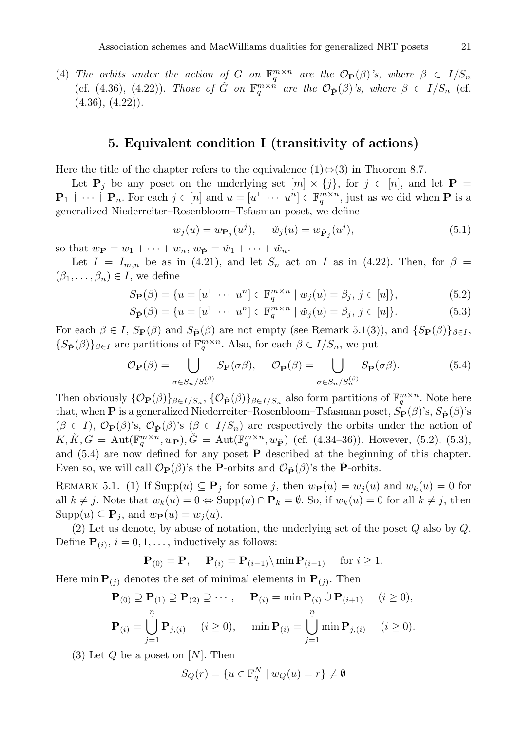<span id="page-18-0"></span>(4) The orbits under the action of G on  $\mathbb{F}_q^{m \times n}$  are the  $\mathcal{O}_{\mathbf{P}}(\beta)$ 's, where  $\beta \in I/S_n$ (cf. (4.36), (4.22)). Those of  $\check{G}$  on  $\mathbb{F}_q^{m \times n}$  are the  $\mathcal{O}_{\check{P}}(\beta)$ 's, where  $\beta \in I/S_n$  (cf.  $(4.36), (4.22)$ .

#### 5. Equivalent condition I (transitivity of actions)

Here the title of the chapter refers to the equivalence  $(1) \Leftrightarrow (3)$  in Theorem 8.7.

Let  $P_i$  be any poset on the underlying set  $[m] \times \{j\}$ , for  $j \in [n]$ , and let  $P =$  $\mathbf{P}_1$  +  $\cdots$  +  $\mathbf{P}_n$ . For each  $j \in [n]$  and  $u = [u^1 \cdots u^n] \in \mathbb{F}_q^{m \times n}$ , just as we did when **P** is a generalized Niederreiter–Rosenbloom–Tsfasman poset, we define

$$
w_j(u) = w_{\mathbf{P}_j}(u^j), \quad \check{w}_j(u) = w_{\check{\mathbf{P}}_j}(u^j), \tag{5.1}
$$

so that  $w_{\mathbf{P}} = w_1 + \cdots + w_n$ ,  $w_{\mathbf{P}} = \check{w}_1 + \cdots + \check{w}_n$ .

Let  $I = I_{m,n}$  be as in (4.21), and let  $S_n$  act on I as in (4.22). Then, for  $\beta =$  $(\beta_1,\ldots,\beta_n)\in I$ , we define

$$
S_{\mathbf{P}}(\beta) = \{ u = [u^1 \ \cdots \ u^n] \in \mathbb{F}_q^{m \times n} \mid w_j(u) = \beta_j, \ j \in [n] \},\tag{5.2}
$$

$$
S_{\tilde{\mathbf{P}}}(\beta) = \{ u = [u^1 \ \cdots \ u^n] \in \mathbb{F}_q^{m \times n} \mid \check{w}_j(u) = \beta_j, \ j \in [n] \}. \tag{5.3}
$$

For each  $\beta \in I$ ,  $S_{\mathbf{P}}(\beta)$  and  $S_{\tilde{\mathbf{P}}}(\beta)$  are not empty (see Remark 5.1(3)), and  $\{S_{\mathbf{P}}(\beta)\}_{\beta \in I}$ ,  ${S_{\check{\mathbf{P}}}(\beta)}_{\beta \in I}$  are partitions of  $\mathbb{F}_q^{m \times n}$ . Also, for each  $\beta \in I/S_n$ , we put

$$
\mathcal{O}_{\mathbf{P}}(\beta) = \bigcup_{\sigma \in S_n/S_n^{(\beta)}} S_{\mathbf{P}}(\sigma \beta), \quad \mathcal{O}_{\check{\mathbf{P}}}(\beta) = \bigcup_{\sigma \in S_n/S_n^{(\beta)}} S_{\check{\mathbf{P}}}(\sigma \beta). \tag{5.4}
$$

Then obviously  $\{\mathcal{O}_{\mathbf{P}}(\beta)\}_{{\beta \in I}/{S_n}}, \{\mathcal{O}_{\check{\mathbf{P}}}(\beta)\}_{{\beta \in I}/{S_n}}$  also form partitions of  $\mathbb{F}_q^{m \times n}$ . Note here that, when **P** is a generalized Niederreiter–Rosenbloom–Tsfasman poset,  $S_P(\beta)$ 's,  $S_{\tilde{P}}(\beta)$ 's  $(\beta \in I), \mathcal{O}_{\mathbf{P}}(\beta)$ 's,  $\mathcal{O}_{\mathbf{P}}(\beta)$ 's  $(\beta \in I/S_n)$  are respectively the orbits under the action of  $K, \check{K}, G = \text{Aut}(\mathbb{F}_q^{m \times n}, w_{\mathbf{P}}), \check{G} = \text{Aut}(\mathbb{F}_q^{m \times n}, w_{\tilde{\mathbf{P}}})$  (cf. (4.34–36)). However, (5.2), (5.3), and (5.4) are now defined for any poset P described at the beginning of this chapter. Even so, we will call  $\mathcal{O}_{\mathbf{P}}(\beta)$ 's the **P**-orbits and  $\mathcal{O}_{\check{\mathbf{P}}}(\beta)$ 's the **P**-orbits.

REMARK 5.1. (1) If  $\text{Supp}(u) \subseteq \mathbf{P}_j$  for some j, then  $w_{\mathbf{P}}(u) = w_j(u)$  and  $w_k(u) = 0$  for all  $k \neq j$ . Note that  $w_k(u) = 0 \Leftrightarrow \text{Supp}(u) \cap \mathbf{P}_k = \emptyset$ . So, if  $w_k(u) = 0$  for all  $k \neq j$ , then  $\text{Supp}(u) \subseteq \mathbf{P}_i$ , and  $w_{\mathbf{P}}(u) = w_i(u)$ .

(2) Let us denote, by abuse of notation, the underlying set of the poset Q also by Q. Define  $\mathbf{P}_{(i)}$ ,  $i = 0, 1, \ldots$ , inductively as follows:

$$
\mathbf{P}_{(0)} = \mathbf{P}, \quad \mathbf{P}_{(i)} = \mathbf{P}_{(i-1)} \setminus \min \mathbf{P}_{(i-1)} \quad \text{ for } i \ge 1.
$$

Here min  $\mathbf{P}_{(j)}$  denotes the set of minimal elements in  $\mathbf{P}_{(j)}$ . Then

$$
\mathbf{P}_{(0)} \supseteq \mathbf{P}_{(1)} \supseteq \mathbf{P}_{(2)} \supseteq \cdots, \qquad \mathbf{P}_{(i)} = \min \mathbf{P}_{(i)} \cup \mathbf{P}_{(i+1)} \qquad (i \ge 0),
$$
  
\n
$$
\mathbf{P}_{(i)} = \bigcup_{j=1}^{n} \mathbf{P}_{j,(i)} \qquad (i \ge 0), \qquad \min \mathbf{P}_{(i)} = \bigcup_{j=1}^{n} \min \mathbf{P}_{j,(i)} \qquad (i \ge 0).
$$

(3) Let  $Q$  be a poset on  $[N]$ . Then

$$
S_Q(r) = \{ u \in \mathbb{F}_q^N \mid w_Q(u) = r \} \neq \emptyset
$$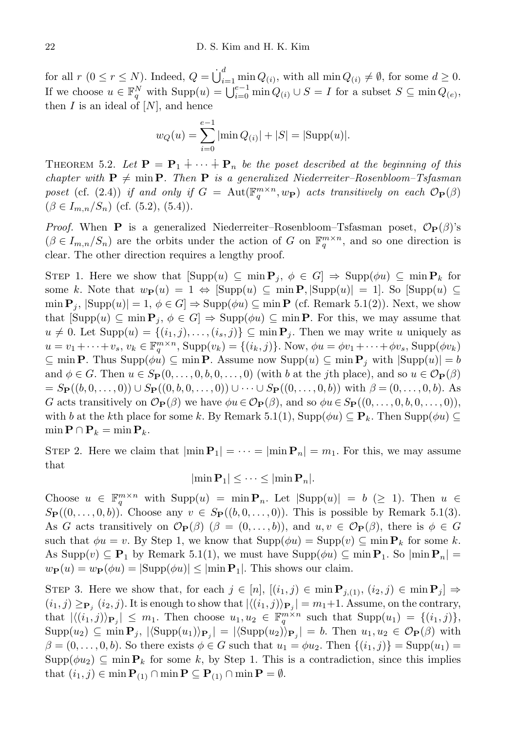for all  $r (0 \le r \le N)$ . Indeed,  $Q = \dot{\bigcup}_{i=1}^{d} \min Q_{(i)}$ , with all  $\min Q_{(i)} \neq \emptyset$ , for some  $d \ge 0$ . If we choose  $u \in \mathbb{F}_q^N$  with  $\text{Supp}(u) = \bigcup_{i=0}^{e-1} \min Q_{(i)} \cup S = I$  for a subset  $S \subseteq \min Q_{(e)}$ , then  $I$  is an ideal of  $[N]$ , and hence

$$
w_Q(u) = \sum_{i=0}^{e-1} |\min Q_{(i)}| + |S| = |\text{Supp}(u)|.
$$

THEOREM 5.2. Let  $\mathbf{P} = \mathbf{P}_1 + \cdots + \mathbf{P}_n$  be the poset described at the beginning of this chapter with  $P \neq \min P$ . Then P is a generalized Niederreiter–Rosenbloom–Tsfasman poset (cf. (2.4)) if and only if  $G = \text{Aut}(\mathbb{F}_q^{m \times n}, w_{\mathbf{P}})$  acts transitively on each  $\mathcal{O}_{\mathbf{P}}(\beta)$  $(\beta \in I_{m,n}/S_n)$  (cf. (5.2), (5.4)).

*Proof.* When **P** is a generalized Niederreiter–Rosenbloom–Tsfasman poset,  $\mathcal{O}_P(\beta)$ 's  $(\beta \in I_{m,n}/S_n)$  are the orbits under the action of G on  $\mathbb{F}_q^{m \times n}$ , and so one direction is clear. The other direction requires a lengthy proof.

STEP 1. Here we show that  $[\text{Supp}(u) \subseteq \min P_j, \phi \in G] \Rightarrow \text{Supp}(\phi u) \subseteq \min P_k$  for some k. Note that  $w_{\mathbf{P}}(u) = 1 \Leftrightarrow [\text{Supp}(u) \subseteq \min \mathbf{P}, |\text{Supp}(u)| = 1].$  So  $[\text{Supp}(u) \subseteq$  $\min \mathbf{P}_j$ ,  $|\text{Supp}(u)| = 1, \phi \in G$   $\Rightarrow$   $\text{Supp}(\phi u) \subseteq \min \mathbf{P}$  (cf. Remark 5.1(2)). Next, we show that  $[\text{Supp}(u) \subseteq \min \mathbf{P}_i, \phi \in G] \Rightarrow \text{Supp}(\phi u) \subseteq \min \mathbf{P}$ . For this, we may assume that  $u \neq 0$ . Let  $\text{Supp}(u) = \{(i_1, j), \ldots, (i_s, j)\} \subseteq \min P_j$ . Then we may write u uniquely as  $u = v_1 + \cdots + v_s, v_k \in \mathbb{F}_q^{m \times n}$ ,  $\text{Supp}(v_k) = \{(i_k, j)\}\text{. Now, } \phi u = \phi v_1 + \cdots + \phi v_s$ ,  $\text{Supp}(\phi v_k)$  $\subseteq$  min **P**. Thus  $\text{Supp}(\phi u) \subseteq \min \mathbf{P}$ . Assume now  $\text{Supp}(u) \subseteq \min \mathbf{P}_i$  with  $|\text{Supp}(u)| = b$ and  $\phi \in G$ . Then  $u \in S_{\mathbf{P}}(0, \ldots, 0, b, 0, \ldots, 0)$  (with b at the jth place), and so  $u \in \mathcal{O}_{\mathbf{P}}(\beta)$  $= S_{\mathbf{P}}((b,0,\ldots,0)) \cup S_{\mathbf{P}}((0,b,0,\ldots,0)) \cup \cdots \cup S_{\mathbf{P}}((0,\ldots,0,b))$  with  $\beta = (0,\ldots,0,b)$ . As G acts transitively on  $\mathcal{O}_{\mathbf{P}}(\beta)$  we have  $\phi u \in \mathcal{O}_{\mathbf{P}}(\beta)$ , and so  $\phi u \in S_{\mathbf{P}}((0,\ldots,0,b,0,\ldots,0)),$ with b at the kth place for some k. By Remark 5.1(1),  $\text{Supp}(\phi u) \subseteq \mathbf{P}_k$ . Then  $\text{Supp}(\phi u) \subseteq$  $\min \mathbf{P} \cap \mathbf{P}_k = \min \mathbf{P}_k.$ 

STEP 2. Here we claim that  $|\min P_1| = \cdots = |\min P_n| = m_1$ . For this, we may assume that

$$
|\min \mathbf{P}_1| \leq \cdots \leq |\min \mathbf{P}_n|.
$$

Choose  $u \in \mathbb{F}_q^{m \times n}$  with  $\text{Supp}(u) = \min P_n$ . Let  $|\text{Supp}(u)| = b \geq 1$ . Then  $u \in$  $S_{\mathbf{P}}((0,\ldots,0,b))$ . Choose any  $v \in S_{\mathbf{P}}((b,0,\ldots,0))$ . This is possible by Remark 5.1(3). As G acts transitively on  $\mathcal{O}_{\mathbf{P}}(\beta)$  ( $\beta = (0, \ldots, b)$ ), and  $u, v \in \mathcal{O}_{\mathbf{P}}(\beta)$ , there is  $\phi \in G$ such that  $\phi u = v$ . By Step 1, we know that  $\text{Supp}(\phi u) = \text{Supp}(v) \subseteq \min \mathbf{P}_k$  for some k. As Supp $(v) \subseteq \mathbf{P}_1$  by Remark 5.1(1), we must have Supp $(\phi u) \subseteq \min \mathbf{P}_1$ . So  $|\min \mathbf{P}_n|$  $w_{\mathbf{P}}(u) = w_{\mathbf{P}}(\phi u) = |\text{Supp}(\phi u)| \leq |\text{min } \mathbf{P}_1|$ . This shows our claim.

STEP 3. Here we show that, for each  $j \in [n]$ ,  $[(i_1, j) \in \min P_{j, (1)}, (i_2, j) \in \min P_j] \Rightarrow$  $(i_1, j) \geq_{\mathbf{P}_j} (i_2, j)$ . It is enough to show that  $|\langle (i_1, j) \rangle_{\mathbf{P}_j}| = m_1 + 1$ . Assume, on the contrary, that  $|\langle (i_1, j) \rangle_{\mathbf{P}_j}| \leq m_1$ . Then choose  $u_1, u_2 \in \mathbb{F}_q^{m \times n}$  such that  $\text{Supp}(u_1) = \{(i_1, j)\},$  $\text{Supp}(u_2) \subseteq \min \mathbf{P}_j, |\langle \text{Supp}(u_1) \rangle_{\mathbf{P}_j}| = |\langle \text{Supp}(u_2) \rangle_{\mathbf{P}_j}| = b.$  Then  $u_1, u_2 \in \mathcal{O}_{\mathbf{P}}(\beta)$  with  $\beta = (0, \ldots, 0, b)$ . So there exists  $\phi \in G$  such that  $u_1 = \phi u_2$ . Then  $\{(i_1, j)\}\$  = Supp $(u_1)$  =  $\text{Supp}(\phi u_2) \subseteq \min \mathbf{P}_k$  for some k, by Step 1. This is a contradiction, since this implies that  $(i_1, j) \in \min \mathbf{P}_{(1)} \cap \min \mathbf{P} \subseteq \mathbf{P}_{(1)} \cap \min \mathbf{P} = \emptyset$ .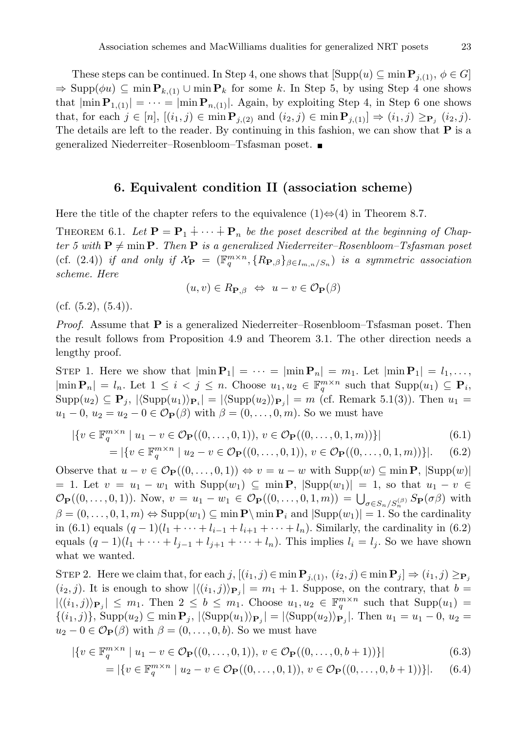These steps can be continued. In Step 4, one shows that  $[\text{Supp}(u) \subseteq \min \mathbf{P}_{j,(1)}, \phi \in G]$  $\Rightarrow$  Supp( $\phi u$ )  $\subseteq$  min  $P_{k,(1)}$   $\cup$  min  $P_k$  for some k. In Step 5, by using Step 4 one shows that  $|\min P_{1,(1)}| = \cdots = |\min P_{n,(1)}|$ . Again, by exploiting Step 4, in Step 6 one shows that, for each  $j \in [n]$ ,  $[(i_1, j) \in \min P_{j,(2)} \text{ and } (i_2, j) \in \min P_{j,(1)}] \Rightarrow (i_1, j) \ge_{\mathbf{P}_j} (i_2, j).$ The details are left to the reader. By continuing in this fashion, we can show that  $P$  is a generalized Niederreiter–Rosenbloom–Tsfasman poset.

## 6. Equivalent condition II (association scheme)

<span id="page-20-0"></span>Here the title of the chapter refers to the equivalence  $(1) \Leftrightarrow (4)$  in Theorem 8.7.

THEOREM 6.1. Let  $\mathbf{P} = \mathbf{P}_1 + \cdots + \mathbf{P}_n$  be the poset described at the beginning of Chapter 5 with  $P \neq \min P$ . Then P is a generalized Niederreiter–Rosenbloom–Tsfasman poset (cf. (2.4)) if and only if  $\mathcal{X}_{\mathbf{P}} = (\mathbb{F}_q^{m \times n}, \{R_{\mathbf{P},\beta}\}_{\beta \in I_{m,n}/S_n})$  is a symmetric association scheme. Here

$$
(u, v) \in R_{\mathbf{P}, \beta} \Leftrightarrow u - v \in \mathcal{O}_{\mathbf{P}}(\beta)
$$

(cf.  $(5.2)$ ,  $(5.4)$ ).

*Proof.* Assume that  $P$  is a generalized Niederreiter–Rosenbloom–Tsfasman poset. Then the result follows from Proposition 4.9 and Theorem 3.1. The other direction needs a lengthy proof.

STEP 1. Here we show that  $|\min P_1| = \cdots = |\min P_n| = m_1$ . Let  $|\min P_1| = l_1, \ldots$ ,  $|\min \mathbf{P}_n| = l_n$ . Let  $1 \leq i < j \leq n$ . Choose  $u_1, u_2 \in \mathbb{F}_q^{m \times n}$  such that  $\text{Supp}(u_1) \subseteq \mathbf{P}_i$ ,  $\text{Supp}(u_2) \subseteq \mathbf{P}_j$ ,  $|\langle \text{Supp}(u_1) \rangle_{\mathbf{P}_i}| = |\langle \text{Supp}(u_2) \rangle_{\mathbf{P}_j}| = m$  (cf. Remark 5.1(3)). Then  $u_1 =$  $u_1 - 0$ ,  $u_2 = u_2 - 0 \in \mathcal{O}_P(\beta)$  with  $\beta = (0, \ldots, 0, m)$ . So we must have

$$
|\{v \in \mathbb{F}_q^{m \times n} \mid u_1 - v \in \mathcal{O}_{\mathbf{P}}((0, ..., 0, 1)), v \in \mathcal{O}_{\mathbf{P}}((0, ..., 0, 1, m))\}|
$$
(6.1)  
= |\{v \in \mathbb{F}\_q^{m \times n} \mid u\_2 - v \in \mathcal{O}\_{\mathbf{P}}((0, ..., 0, 1)), v \in \mathcal{O}\_{\mathbf{P}}((0, ..., 0, 1, m))\}|. (6.2)

Observe that  $u - v \in \mathcal{O}_{\mathbf{P}}((0, \ldots, 0, 1)) \Leftrightarrow v = u - w$  with  $\text{Supp}(w) \subseteq \min \mathbf{P}, |\text{Supp}(w)|$ = 1. Let  $v = u_1 - w_1$  with  $\text{Supp}(w_1) \subseteq \min P$ ,  $|\text{Supp}(w_1)| = 1$ , so that  $u_1 - v \in$  $\mathcal{O}_{\mathbf{P}}((0,\ldots,0,1)).$  Now,  $v = u_1 - w_1 \in \mathcal{O}_{\mathbf{P}}((0,\ldots,0,1,m)) = \bigcup_{\sigma \in S_n/S_n^{(\beta)}} S_{\mathbf{P}}(\sigma \beta)$  with  $\beta = (0, \ldots, 0, 1, m) \Leftrightarrow \text{Supp}(w_1) \subseteq \min \mathbf{P}_i$  and  $|\text{Supp}(w_1)| = 1$ . So the cardinality in (6.1) equals  $(q - 1)(l_1 + \cdots + l_{i-1} + l_{i+1} + \cdots + l_n)$ . Similarly, the cardinality in (6.2) equals  $(q-1)(l_1+\cdots+l_{j-1}+l_{j+1}+\cdots+l_n)$ . This implies  $l_i=l_j$ . So we have shown what we wanted.

STEP 2. Here we claim that, for each j,  $[(i_1, j) \in \min \mathbf{P}_{j,1}, (i_2, j) \in \min \mathbf{P}_j] \Rightarrow (i_1, j) \geq_{\mathbf{P}_j}$  $(i_2, j)$ . It is enough to show  $\left|\langle (i_1, j)\rangle_{\mathbf{P}_j}\right| = m_1 + 1$ . Suppose, on the contrary, that  $b =$  $|\langle (i_1,j)\rangle_{\mathbf{P}_j}|\leq m_1$ . Then  $2\leq b\leq m_1$ . Choose  $u_1,u_2\in \mathbb{F}_q^{m\times n}$  such that  $\text{Supp}(u_1)=$  $\{(i_1,j)\}\$ , Supp $(u_2) \subseteq \min P_j$ ,  $|\langle \text{Supp}(u_1) \rangle_{P_j}| = |\langle \text{Supp}(u_2) \rangle_{P_j}|$ . Then  $u_1 = u_1 - 0$ ,  $u_2 =$  $u_2 - 0 \in \mathcal{O}_P(\beta)$  with  $\beta = (0, \ldots, 0, b)$ . So we must have

$$
|\{v \in \mathbb{F}_q^{m \times n} \mid u_1 - v \in \mathcal{O}_{\mathbf{P}}((0, ..., 0, 1)), v \in \mathcal{O}_{\mathbf{P}}((0, ..., 0, b+1))\}|
$$
(6.3)

$$
= |\{v \in \mathbb{F}_q^{m \times n} \mid u_2 - v \in \mathcal{O}_{\mathbf{P}}((0, \dots, 0, 1)), v \in \mathcal{O}_{\mathbf{P}}((0, \dots, 0, b+1))\}|. \quad (6.4)
$$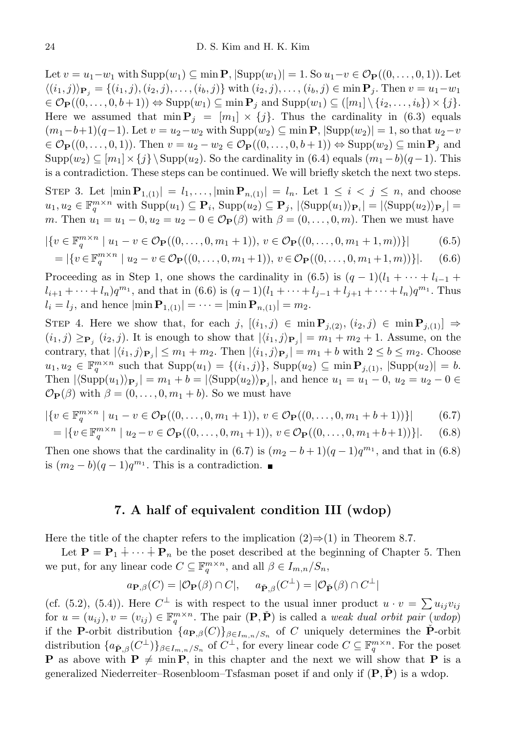Let  $v = u_1 - w_1$  with  $\text{Supp}(w_1) \subseteq \min P$ ,  $|\text{Supp}(w_1)| = 1$ . So  $u_1 - v \in \mathcal{O}_P((0, \ldots, 0, 1))$ . Let  $\langle (i_1, j) \rangle_{\mathbf{P}_i} = \{(i_1, j), (i_2, j), \dots, (i_b, j)\}\$  with  $(i_2, j), \dots, (i_b, j) \in \min \mathbf{P}_j$ . Then  $v = u_1 - w_1$  $\in \mathcal{O}_{\mathbf{P}}((0,\ldots,0,b+1)) \Leftrightarrow \text{Supp}(w_1) \subseteq \min \mathbf{P}_i \text{ and } \text{Supp}(w_1) \subseteq (\lfloor m_1 \rfloor \setminus \{i_2,\ldots,i_b\}) \times \{j\}.$ Here we assumed that  $\min P_j = [m_1] \times \{j\}$ . Thus the cardinality in (6.3) equals  $(m_1-b+1)(q-1)$ . Let  $v=u_2-w_2$  with  $\text{Supp}(w_2) \subseteq \min \mathbf{P}, |\text{Supp}(w_2)| = 1$ , so that  $u_2-v$  $\in \mathcal{O}_{\mathbf{P}}((0,\ldots,0,1))$ . Then  $v = u_2 - w_2 \in \mathcal{O}_{\mathbf{P}}((0,\ldots,0,b+1)) \Leftrightarrow \text{Supp}(w_2) \subseteq \min \mathbf{P}_j$  and  $\text{Supp}(w_2) \subseteq [m_1] \times \{j\} \backslash \text{Supp}(u_2)$ . So the cardinality in (6.4) equals  $(m_1 - b)(q - 1)$ . This is a contradiction. These steps can be continued. We will briefly sketch the next two steps.

STEP 3. Let  $|\min \mathbf{P}_{1,(1)}| = l_1, \ldots, |\min \mathbf{P}_{n,(1)}| = l_n$ . Let  $1 \leq i \leq j \leq n$ , and choose  $u_1, u_2 \in \mathbb{F}_q^{m \times n}$  with  $\text{Supp}(u_1) \subseteq \mathbf{P}_i$ ,  $\text{Supp}(u_2) \subseteq \mathbf{P}_j$ ,  $|\langle \text{Supp}(u_1) \rangle_{\mathbf{P}_i}| = |\langle \text{Supp}(u_2) \rangle_{\mathbf{P}_j}|$ m. Then  $u_1 = u_1 - 0, u_2 = u_2 - 0 \in \mathcal{O}_P(\beta)$  with  $\beta = (0, \ldots, 0, m)$ . Then we must have

$$
|\{v \in \mathbb{F}_q^{m \times n} \mid u_1 - v \in \mathcal{O}_{\mathbf{P}}((0, \dots, 0, m_1 + 1)), v \in \mathcal{O}_{\mathbf{P}}((0, \dots, 0, m_1 + 1, m))\}| \tag{6.5}
$$

$$
= |\{v \in \mathbb{F}_q^{m \times n} \mid u_2 - v \in \mathcal{O}_{\mathbf{P}}((0, \dots, 0, m_1 + 1)), v \in \mathcal{O}_{\mathbf{P}}((0, \dots, 0, m_1 + 1, m))\}|. \quad (6.6)
$$

Proceeding as in Step 1, one shows the cardinality in  $(6.5)$  is  $(q-1)(l_1 + \cdots + l_{i-1} +$  $l_{i+1} + \cdots + l_n)q^{m_1}$ , and that in (6.6) is  $(q-1)(l_1 + \cdots + l_{j-1} + l_{j+1} + \cdots + l_n)q^{m_1}$ . Thus  $l_i = l_j$ , and hence  $|\min \mathbf{P}_{1,(1)}| = \cdots = |\min \mathbf{P}_{n,(1)}| = m_2$ .

STEP 4. Here we show that, for each j,  $[(i_1, j) \in \min P_{j,(2)}, (i_2, j) \in \min P_{j,(1)}] \Rightarrow$  $(i_1, j) \geq_{\mathbf{P}_j} (i_2, j)$ . It is enough to show that  $|\langle i_1, j \rangle_{\mathbf{P}_j}| = m_1 + m_2 + 1$ . Assume, on the contrary, that  $|\langle i_1, j \rangle_{\mathbf{P}_j}| \leq m_1 + m_2$ . Then  $|\langle i_1, j \rangle_{\mathbf{P}_j}| = m_1 + b$  with  $2 \leq b \leq m_2$ . Choose  $u_1, u_2 \in \mathbb{F}_q^{m \times n}$  such that  $\text{Supp}(u_1) = \{(i_1, j)\}\$ ,  $\text{Supp}(u_2) \subseteq \min \mathbf{P}_{j,(1)}$ ,  $|\text{Supp}(u_2)| = b$ . Then  $|\langle \text{Supp}(u_1) \rangle_{\mathbf{P}_j}| = m_1 + b = |\langle \text{Supp}(u_2) \rangle_{\mathbf{P}_j}|$ , and hence  $u_1 = u_1 - 0$ ,  $u_2 = u_2 - 0$  $\mathcal{O}_{\mathbf{P}}(\beta)$  with  $\beta = (0, \ldots, 0, m_1 + b)$ . So we must have

$$
|\{v \in \mathbb{F}_q^{m \times n} \mid u_1 - v \in \mathcal{O}_{\mathbf{P}}((0, \dots, 0, m_1 + 1)), v \in \mathcal{O}_{\mathbf{P}}((0, \dots, 0, m_1 + b + 1))\}| \tag{6.7}
$$

$$
= |\{v \in \mathbb{F}_q^{m \times n} \mid u_2 - v \in \mathcal{O}_{\mathbf{P}}((0, \dots, 0, m_1 + 1)), v \in \mathcal{O}_{\mathbf{P}}((0, \dots, 0, m_1 + b + 1))\}|. \quad (6.8)
$$

<span id="page-21-0"></span>Then one shows that the cardinality in  $(6.7)$  is  $(m_2 - b + 1)(q - 1)q^{m_1}$ , and that in  $(6.8)$ is  $(m_2 - b)(q - 1)q^{m_1}$ . This is a contradiction.

#### 7. A half of equivalent condition III (wdop)

Here the title of the chapter refers to the implication  $(2) \Rightarrow (1)$  in Theorem 8.7.

Let  $\mathbf{P} = \mathbf{P}_1 + \cdots + \mathbf{P}_n$  be the poset described at the beginning of Chapter 5. Then we put, for any linear code  $C \subseteq \mathbb{F}_q^{m \times n}$ , and all  $\beta \in I_{m,n}/S_n$ ,

$$
a_{\mathbf{P},\beta}(C) = |\mathcal{O}_{\mathbf{P}}(\beta) \cap C|, \quad a_{\check{\mathbf{P}},\beta}(C^{\perp}) = |\mathcal{O}_{\check{\mathbf{P}}}(\beta) \cap C^{\perp}|
$$

(cf. (5.2), (5.4)). Here  $C^{\perp}$  is with respect to the usual inner product  $u \cdot v = \sum u_{ij}v_{ij}$ for  $u = (u_{ij}), v = (v_{ij}) \in \mathbb{F}_q^{m \times n}$ . The pair  $(\mathbf{P}, \check{\mathbf{P}})$  is called a *weak dual orbit pair*  $(wdop)$ if the P-orbit distribution  $\{a_{\mathbf{P},\beta}(C)\}_{\beta\in I_{m,n}/S_n}$  of C uniquely determines the P-orbit distribution  $\{a_{\check{P},\beta}(C^{\perp})\}_{\beta \in I_{m,n}/S_n}$  of  $C^{\perp}$ , for every linear code  $C \subseteq \mathbb{F}_q^{m \times n}$ . For the poset **P** as above with  $P \neq \min P$ , in this chapter and the next we will show that P is a generalized Niederreiter–Rosenbloom–Tsfasman poset if and only if  $(P, P)$  is a wdop.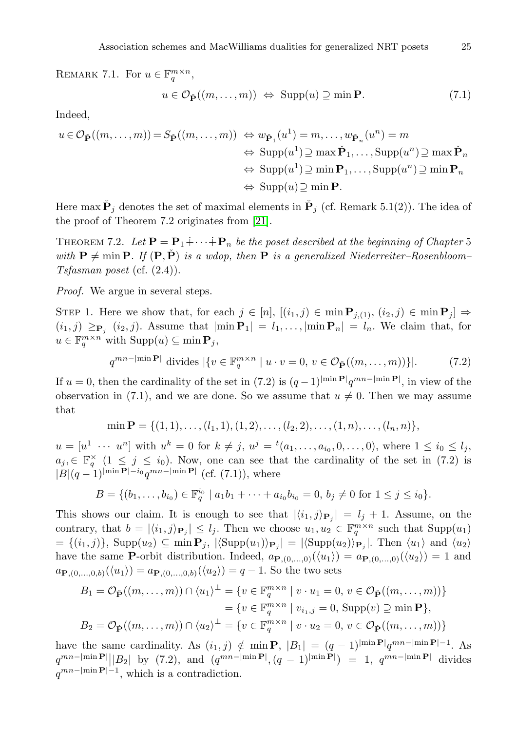REMARK 7.1. For  $u \in \mathbb{F}_q^{m \times n}$ ,

$$
u \in \mathcal{O}_{\check{\mathbf{P}}}((m,\ldots,m)) \iff \text{Supp}(u) \supseteq \min \mathbf{P}. \tag{7.1}
$$

Indeed,

$$
u \in \mathcal{O}_{\check{\mathbf{P}}}((m,\ldots,m)) = S_{\check{\mathbf{P}}}((m,\ldots,m)) \iff w_{\check{\mathbf{P}}_1}(u^1) = m,\ldots,w_{\check{\mathbf{P}}_n}(u^n) = m
$$
  

$$
\iff \operatorname{Supp}(u^1) \supseteq \max \check{\mathbf{P}}_1,\ldots,\operatorname{Supp}(u^n) \supseteq \max \check{\mathbf{P}}_n
$$
  

$$
\iff \operatorname{Supp}(u^1) \supseteq \min \mathbf{P}_1,\ldots,\operatorname{Supp}(u^n) \supseteq \min \mathbf{P}_n
$$
  

$$
\iff \operatorname{Supp}(u) \supseteq \min \mathbf{P}.
$$

Here max  $\check{\mathbf{P}}_j$  denotes the set of maximal elements in  $\check{\mathbf{P}}_j$  (cf. Remark 5.1(2)). The idea of the proof of Theorem 7.2 originates from [\[21\]](#page-46-1).

THEOREM 7.2. Let  $\mathbf{P} = \mathbf{P}_1 + \cdots + \mathbf{P}_n$  be the poset described at the beginning of Chapter 5 with  $P \neq min P$ . If  $(P, \check{P})$  is a wdop, then P is a generalized Niederreiter–Rosenbloom– Tsfasman poset (cf.  $(2.4)$ ).

*Proof.* We argue in several steps.

STEP 1. Here we show that, for each  $j \in [n]$ ,  $[(i_1, j) \in \min P_{j, (1)}, (i_2, j) \in \min P_j] \Rightarrow$  $(i_1, j) \geq_{\mathbf{P}_j} (i_2, j)$ . Assume that  $|\min \mathbf{P}_1| = l_1, \dots, |\min \mathbf{P}_n| = l_n$ . We claim that, for  $u \in \mathbb{F}_q^{m \times n}$  with  $\text{Supp}(u) \subseteq \min \mathbf{P}_j$ ,

$$
q^{mn-|\min \mathbf{P}|} \text{ divides } |\{v \in \mathbb{F}_q^{m \times n} \mid u \cdot v = 0, v \in \mathcal{O}_{\check{\mathbf{P}}}((m,\dots,m))\}|. \tag{7.2}
$$

If  $u = 0$ , then the cardinality of the set in  $(7.2)$  is  $(q-1)^{\min P}q^{mn-\min P}$ , in view of the observation in (7.1), and we are done. So we assume that  $u \neq 0$ . Then we may assume that

 $\min \mathbf{P} = \{(1, 1), \ldots, (l_1, 1), (1, 2), \ldots, (l_2, 2), \ldots, (1, n), \ldots, (l_n, n)\},\$ 

 $u = [u^1 \cdots u^n]$  with  $u^k = 0$  for  $k \neq j$ ,  $u^j = {}^t(a_1, \ldots, a_{i_0}, 0, \ldots, 0)$ , where  $1 \leq i_0 \leq l_j$ ,  $a_j \in \mathbb{F}_q^{\times}$   $(1 \leq j \leq i_0)$ . Now, one can see that the cardinality of the set in (7.2) is  $|B|(q-1)^{|\min \mathbf{P}|-i_0} q^{mn-|\min \mathbf{P}|}$  (cf. (7.1)), where

$$
B = \{ (b_1, \ldots, b_{i_0}) \in \mathbb{F}_q^{i_0} \mid a_1b_1 + \cdots + a_{i_0}b_{i_0} = 0, \, b_j \neq 0 \, \text{ for } 1 \leq j \leq i_0 \}.
$$

This shows our claim. It is enough to see that  $|\langle i_1, j \rangle_{\mathbf{P}_j}| = l_j + 1$ . Assume, on the contrary, that  $b = |\langle i_1, j \rangle_{\mathbf{P}_j}| \leq l_j$ . Then we choose  $u_1, u_2 \in \mathbb{F}_q^{m \times n}$  such that  $\text{Supp}(u_1)$  $=\{(i_1,j)\}\$ , Supp $(u_2)\subseteq \min P_j$ ,  $|\langle \text{Supp}(u_1)\rangle_{\mathbf{P}_j}|=|\langle \text{Supp}(u_2)\rangle_{\mathbf{P}_j}|$ . Then  $\langle u_1\rangle$  and  $\langle u_2\rangle$ have the same **P**-orbit distribution. Indeed,  $a_{\mathbf{P},(0,...,0)}(\langle u_1 \rangle) = a_{\mathbf{P},(0,...,0)}(\langle u_2 \rangle) = 1$  and  $a_{\mathbf{P},(0,...,0,b)}(\langle u_1 \rangle) = a_{\mathbf{P},(0,...,0,b)}(\langle u_2 \rangle) = q-1$ . So the two sets

$$
B_1 = \mathcal{O}_{\check{\mathbf{P}}}((m,\ldots,m)) \cap \langle u_1 \rangle^{\perp} = \{ v \in \mathbb{F}_q^{m \times n} \mid v \cdot u_1 = 0, v \in \mathcal{O}_{\check{\mathbf{P}}}((m,\ldots,m)) \}
$$
  

$$
= \{ v \in \mathbb{F}_q^{m \times n} \mid v_{i_1,j} = 0, \text{ Supp}(v) \supseteq \min \mathbf{P} \},
$$
  

$$
B_2 = \mathcal{O}_{\check{\mathbf{P}}}((m,\ldots,m)) \cap \langle u_2 \rangle^{\perp} = \{ v \in \mathbb{F}_q^{m \times n} \mid v \cdot u_2 = 0, v \in \mathcal{O}_{\check{\mathbf{P}}}((m,\ldots,m)) \}
$$

have the same cardinality. As  $(i_1, j) \notin \min P$ ,  $|B_1| = (q-1)^{\min P}q^{mn - \min P-1}$ . As  $q^{mn-|\min \mathbf{P}|}||B_2||$  by (7.2), and  $(q^{mn-|\min \mathbf{P}|}, (q-1)^{|\min \mathbf{P}|}) = 1$ ,  $q^{mn-|\min \mathbf{P}|}$  divides  $q^{mn-|\min P|-1}$ , which is a contradiction.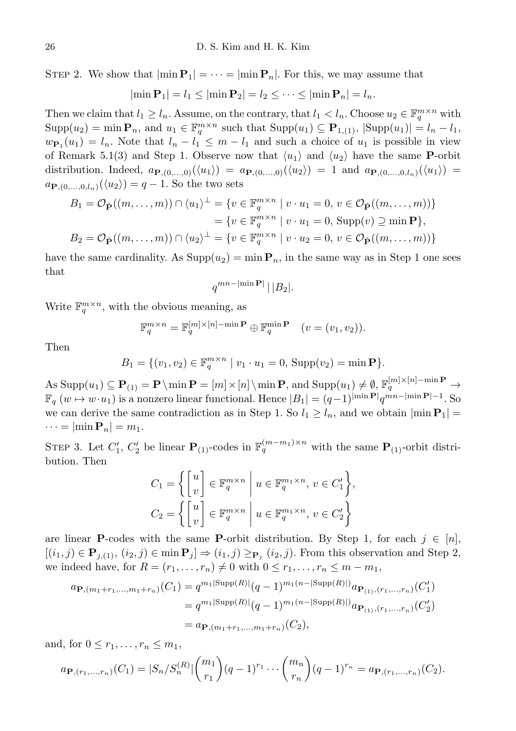STEP 2. We show that  $|\min P_1| = \cdots = |\min P_n|$ . For this, we may assume that

$$
|\min \mathbf{P}_1| = l_1 \leq |\min \mathbf{P}_2| = l_2 \leq \cdots \leq |\min \mathbf{P}_n| = l_n.
$$

Then we claim that  $l_1 \geq l_n$ . Assume, on the contrary, that  $l_1 < l_n$ . Choose  $u_2 \in \mathbb{F}_q^{m \times n}$  with  $\text{Supp}(u_2) = \min \mathbf{P}_n$ , and  $u_1 \in \mathbb{F}_q^{m \times n}$  such that  $\text{Supp}(u_1) \subseteq \mathbf{P}_{1,(1)}$ ,  $|\text{Supp}(u_1)| = l_n - l_1$ ,  $w_{\mathbf{P}_1}(u_1) = l_n$ . Note that  $l_n - l_1 \leq m - l_1$  and such a choice of  $u_1$  is possible in view of Remark 5.1(3) and Step 1. Observe now that  $\langle u_1 \rangle$  and  $\langle u_2 \rangle$  have the same P-orbit distribution. Indeed,  $a_{\mathbf{P},(0,...,0)}(\langle u_1 \rangle) = a_{\mathbf{P},(0,...,0)}(\langle u_2 \rangle) = 1$  and  $a_{\mathbf{P},(0,...,0,l_n)}(\langle u_1 \rangle) =$  $a_{\mathbf{P},(0,\ldots,0,l_n)}(\langle u_2\rangle) = q-1$ . So the two sets

$$
B_1 = \mathcal{O}_{\check{\mathbf{P}}}((m, \dots, m)) \cap \langle u_1 \rangle^{\perp} = \{ v \in \mathbb{F}_q^{m \times n} \mid v \cdot u_1 = 0, v \in \mathcal{O}_{\check{\mathbf{P}}}((m, \dots, m)) \}
$$
  
=  $\{ v \in \mathbb{F}_q^{m \times n} \mid v \cdot u_1 = 0, \text{ Supp}(v) \supseteq \min \mathbf{P} \},$   

$$
B_2 = \mathcal{O}_{\check{\mathbf{P}}}((m, \dots, m)) \cap \langle u_2 \rangle^{\perp} = \{ v \in \mathbb{F}_q^{m \times n} \mid v \cdot u_2 = 0, v \in \mathcal{O}_{\check{\mathbf{P}}}((m, \dots, m)) \}
$$

have the same cardinality. As  $\text{Supp}(u_2) = \min P_n$ , in the same way as in Step 1 one sees that

$$
q^{mn-|\min \mathbf{P}|} \, \vert \, \vert B_2 \vert.
$$

Write  $\mathbb{F}_q^{m \times n}$ , with the obvious meaning, as

$$
\mathbb{F}_q^{m \times n} = \mathbb{F}_q^{[m] \times [n] - \min \mathbf{P}} \oplus \mathbb{F}_q^{\min \mathbf{P}} \quad (v = (v_1, v_2)).
$$

Then

$$
B_1 = \{ (v_1, v_2) \in \mathbb{F}_q^{m \times n} \mid v_1 \cdot u_1 = 0, \text{Supp}(v_2) = \min \mathbf{P} \}.
$$

 $\mathrm{As~Supp}(u_1)\subseteq \mathbf{P}_{(1)}=\mathbf{P}\setminus \min \mathbf{P}=[m]\times [n]\setminus \min \mathbf{P}, \text{ and~Supp}(u_1)\neq \emptyset, \mathbb{F}_q^{[m]\times [n]-\min \mathbf{P}}\rightarrow \min \mathbf{P}$  $\mathbb{F}_q$   $(w \mapsto w \cdot u_1)$  is a nonzero linear functional. Hence  $|B_1| = (q-1)^{\min \mathbf{P}} |q^{mn-\min \mathbf{P}}| - 1$ . So we can derive the same contradiction as in Step 1. So  $l_1 \geq l_n$ , and we obtain  $|\min P_1|$  =  $\cdots = |\min P_n| = m_1.$ 

STEP 3. Let  $C'_1$ ,  $C'_2$  be linear  $\mathbf{P}_{(1)}$ -codes in  $\mathbb{F}_q^{(m-m_1)\times n}$  with the same  $\mathbf{P}_{(1)}$ -orbit distribution. Then

$$
C_1 = \left\{ \begin{bmatrix} u \\ v \end{bmatrix} \in \mathbb{F}_q^{m \times n} \middle| u \in \mathbb{F}_q^{m_1 \times n}, v \in C_1' \right\},
$$
  

$$
C_2 = \left\{ \begin{bmatrix} u \\ v \end{bmatrix} \in \mathbb{F}_q^{m \times n} \middle| u \in \mathbb{F}_q^{m_1 \times n}, v \in C_2' \right\}
$$

are linear **P**-codes with the same **P**-orbit distribution. By Step 1, for each  $j \in [n]$ ,  $[(i_1, j) \in \mathbf{P}_{j,1}, (i_2, j) \in \min \mathbf{P}_j] \Rightarrow (i_1, j) \ge_{\mathbf{P}_j} (i_2, j)$ . From this observation and Step 2, we indeed have, for  $R = (r_1, \ldots, r_n) \neq 0$  with  $0 \leq r_1, \ldots, r_n \leq m - m_1$ ,

$$
a_{\mathbf{P},(m_1+r_1,\ldots,m_1+r_n)}(C_1) = q^{m_1|\text{Supp}(R)|}(q-1)^{m_1(n-|\text{Supp}(R)|)}a_{\mathbf{P}_{(1)},(r_1,\ldots,r_n)}(C'_1)
$$
  
=  $q^{m_1|\text{Supp}(R)|}(q-1)^{m_1(n-|\text{Supp}(R)|)}a_{\mathbf{P}_{(1)},(r_1,\ldots,r_n)}(C'_2)$   
=  $a_{\mathbf{P},(m_1+r_1,\ldots,m_1+r_n)}(C_2),$ 

and, for  $0 \leq r_1, \ldots, r_n \leq m_1$ ,

$$
a_{\mathbf{P},(r_1,\ldots,r_n)}(C_1) = |S_n/S_n^{(R)}| \binom{m_1}{r_1} (q-1)^{r_1} \cdots \binom{m_n}{r_n} (q-1)^{r_n} = a_{\mathbf{P},(r_1,\ldots,r_n)}(C_2).
$$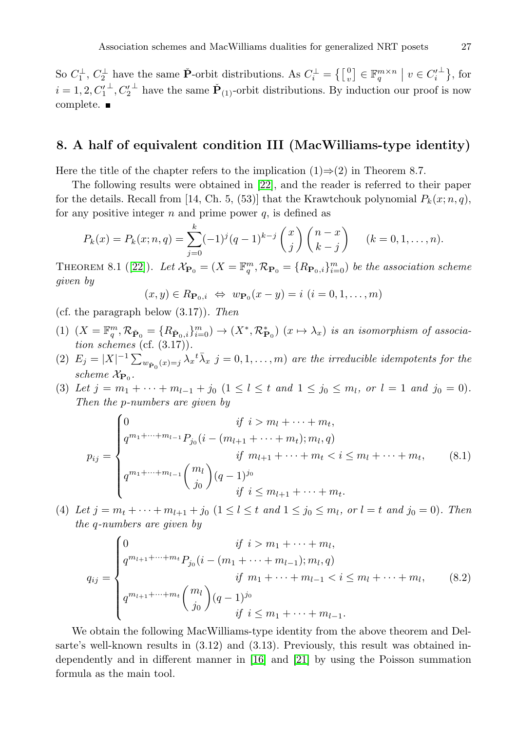So  $C_1^{\perp}$ ,  $C_2^{\perp}$  have the same  $\check{P}$ -orbit distributions. As  $C_i^{\perp} = \{ \begin{bmatrix} 0 \\ v \end{bmatrix} \in \mathbb{F}_q^{m \times n} \mid v \in C_i^{\perp} \}$ , for  $i = 1, 2, C_1'^{\perp}, C_2'^{\perp}$  have the same  $\check{\mathbf{P}}_{(1)}$ -orbit distributions. By induction our proof is now complete. ■

## <span id="page-24-0"></span>8. A half of equivalent condition III (MacWilliams-type identity)

Here the title of the chapter refers to the implication  $(1) \Rightarrow (2)$  in Theorem 8.7.

The following results were obtained in [\[22\]](#page-46-7), and the reader is referred to their paper for the details. Recall from [14, Ch. 5, (53)] that the Krawtchouk polynomial  $P_k(x; n, q)$ , for any positive integer  $n$  and prime power  $q$ , is defined as

$$
P_k(x) = P_k(x; n, q) = \sum_{j=0}^k (-1)^j (q-1)^{k-j} {x \choose j} {n-x \choose k-j} \quad (k = 0, 1, ..., n).
$$

THEOREM8.1 ([\[22\]](#page-46-7)). Let  $\mathcal{X}_{\mathbf{P}_0} = (X = \mathbb{F}_q^m, \mathcal{R}_{\mathbf{P}_0} = \{R_{\mathbf{P}_0,i}\}_{i=0}^m$ ) be the association scheme given by

$$
(x,y) \in R_{\mathbf{P}_0,i} \Leftrightarrow w_{\mathbf{P}_0}(x-y) = i \ (i=0,1,\ldots,m)
$$

- (cf. the paragraph below  $(3.17)$ ). Then
- (1)  $(X = \mathbb{F}_q^m, \mathcal{R}_{\check{\mathbf{P}}_0} = \{R_{\check{\mathbf{P}}_0,i}\}_{i=0}^m) \to (X^*, \mathcal{R}_{\mathbf{P}_0}^*)$   $(x \mapsto \lambda_x)$  is an isomorphism of association schemes (cf.  $(3.17)$ ).
- (2)  $E_j = |X|^{-1} \sum_{w_{\mathbf{P}_0}(x) = j} \lambda_x^{\dagger} \overline{\lambda}_x j = 0, 1, \ldots, m$  are the irreducible idempotents for the scheme  $\mathcal{X}_{\mathbf{P}_0}$ .
- (3) Let  $j = m_1 + \cdots + m_{l-1} + j_0$   $(1 \le l \le t \text{ and } 1 \le j_0 \le m_l, \text{ or } l = 1 \text{ and } j_0 = 0).$ Then the p-numbers are given by

$$
p_{ij} = \begin{cases} 0 & \text{if } i > m_l + \dots + m_t, \\ q^{m_1 + \dots + m_{l-1}} P_{j_0} (i - (m_{l+1} + \dots + m_t); m_l, q) \\ & \text{if } m_{l+1} + \dots + m_t < i \le m_l + \dots + m_t, \\ q^{m_1 + \dots + m_{l-1}} {m_l \choose j_0} (q-1)^{j_0} & \text{if } i \le m_{l+1} + \dots + m_t. \end{cases} (8.1)
$$

(4) Let  $j = m_t + \cdots + m_{l+1} + j_0$   $(1 \leq l \leq t \text{ and } 1 \leq j_0 \leq m_l, \text{ or } l = t \text{ and } j_0 = 0)$ . Then the q-numbers are given by

$$
q_{ij} = \begin{cases} 0 & \text{if } i > m_1 + \dots + m_l, \\ q^{m_{l+1} + \dots + m_t} P_{j_0} (i - (m_1 + \dots + m_{l-1}); m_l, q) & \text{if } m_1 + \dots + m_{l-1} < i \le m_l + \dots + m_l, \\ q^{m_{l+1} + \dots + m_t} {m_l \choose j_0} (q-1)^{j_0} & \text{if } i \le m_1 + \dots + m_{l-1}. \end{cases} \tag{8.2}
$$

We obtain the following MacWilliams-type identity from the above theorem and Delsarte's well-known results in (3.12) and (3.13). Previously, this result was obtained independently and in different manner in [\[16\]](#page-45-4) and [\[21\]](#page-46-1) by using the Poisson summation formula as the main tool.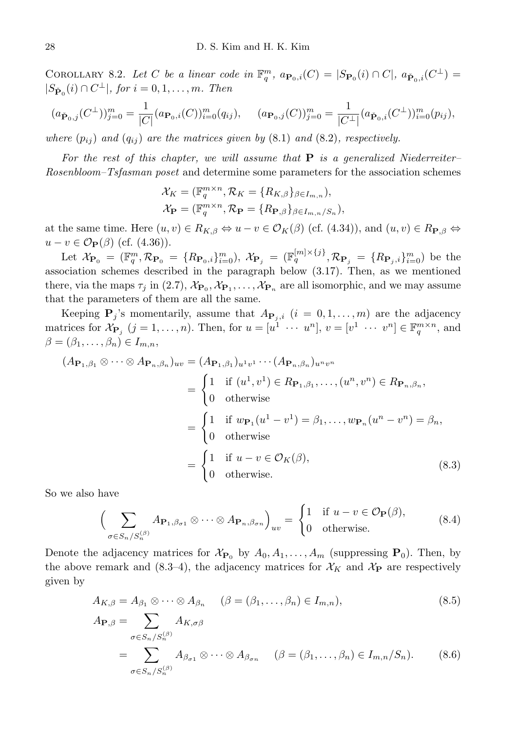COROLLARY 8.2. Let C be a linear code in  $\mathbb{F}_q^m$ ,  $a_{\mathbf{P}_0,i}(C) = |S_{\mathbf{P}_0}(i) \cap C|$ ,  $a_{\check{\mathbf{P}}_0,i}(C^{\perp}) =$  $|S_{\check{\mathbf{P}}_0}(i) \cap C^{\perp}|$ , for  $i = 0, 1, \ldots, m$ . Then

$$
(a_{\check{\mathbf{P}}_{0},j}(C^{\perp}))_{j=0}^{m} = \frac{1}{|C|}(a_{\mathbf{P}_{0},i}(C))_{i=0}^{m}(q_{ij}), \quad (a_{\mathbf{P}_{0},j}(C))_{j=0}^{m} = \frac{1}{|C^{\perp}|}(a_{\check{\mathbf{P}}_{0},i}(C^{\perp}))_{i=0}^{m}(p_{ij}),
$$

where  $(p_{ij})$  and  $(q_{ij})$  are the matrices given by  $(8.1)$  and  $(8.2)$ , respectively.

For the rest of this chapter, we will assume that  $P$  is a generalized Niederreiter-Rosenbloom–Tsfasman poset and determine some parameters for the association schemes

$$
\mathcal{X}_K = (\mathbb{F}_q^{m \times n}, \mathcal{R}_K = \{R_{K,\beta}\}_{\beta \in I_{m,n}}),
$$
  

$$
\mathcal{X}_{\mathbf{P}} = (\mathbb{F}_q^{m \times n}, \mathcal{R}_{\mathbf{P}} = \{R_{\mathbf{P},\beta}\}_{\beta \in I_{m,n}/S_n}),
$$

at the same time. Here  $(u, v) \in R_{K,\beta} \Leftrightarrow u - v \in \mathcal{O}_K(\beta)$  (cf. (4.34)), and  $(u, v) \in R_{\mathbf{P}, \beta} \Leftrightarrow$  $u - v \in \mathcal{O}_\mathbf{P}(\beta)$  (cf. (4.36)).

Let  $\mathcal{X}_{\mathbf{P}_0} = (\mathbb{F}_q^m, \mathcal{R}_{\mathbf{P}_0} = \{R_{\mathbf{P}_0,i}\}_{i=0}^m$ ,  $\mathcal{X}_{\mathbf{P}_j} = (\mathbb{F}_q^{[m] \times \{j\}}, \mathcal{R}_{\mathbf{P}_j} = \{R_{\mathbf{P}_j,i}\}_{i=0}^m)$  be the association schemes described in the paragraph below (3.17). Then, as we mentioned there, via the maps  $\tau_j$  in (2.7),  $\mathcal{X}_{\mathbf{P}_0}, \mathcal{X}_{\mathbf{P}_1}, \ldots, \mathcal{X}_{\mathbf{P}_n}$  are all isomorphic, and we may assume that the parameters of them are all the same.

Keeping  $P_j$ 's momentarily, assume that  $A_{P_j,i}$   $(i = 0,1,\ldots,m)$  are the adjacency matrices for  $\mathcal{X}_{\mathbf{P}_j}$   $(j = 1, ..., n)$ . Then, for  $u = [u^1 \cdots u^n]$ ,  $v = [v^1 \cdots v^n] \in \mathbb{F}_q^{m \times n}$ , and  $\beta = (\beta_1, \ldots, \beta_n) \in I_{m,n},$ 

$$
(A_{\mathbf{P}_1,\beta_1} \otimes \cdots \otimes A_{\mathbf{P}_n,\beta_n})_{uv} = (A_{\mathbf{P}_1,\beta_1})_{u^1v^1} \cdots (A_{\mathbf{P}_n,\beta_n})_{u^nv^n}
$$
  
\n
$$
= \begin{cases} 1 & \text{if } (u^1,v^1) \in R_{\mathbf{P}_1,\beta_1}, \ldots, (u^n,v^n) \in R_{\mathbf{P}_n,\beta_n}, \\ 0 & \text{otherwise} \end{cases}
$$
  
\n
$$
= \begin{cases} 1 & \text{if } w_{\mathbf{P}_1}(u^1 - v^1) = \beta_1, \ldots, w_{\mathbf{P}_n}(u^n - v^n) = \beta_n, \\ 0 & \text{otherwise} \end{cases}
$$
  
\n
$$
= \begin{cases} 1 & \text{if } u - v \in \mathcal{O}_K(\beta), \\ 0 & \text{otherwise.} \end{cases}
$$
 (8.3)

So we also have

$$
\left(\sum_{\sigma \in S_n/S_n^{(\beta)}} A_{\mathbf{P}_1, \beta_{\sigma 1}} \otimes \cdots \otimes A_{\mathbf{P}_n, \beta_{\sigma n}}\right)_{uv} = \begin{cases} 1 & \text{if } u - v \in \mathcal{O}_{\mathbf{P}}(\beta), \\ 0 & \text{otherwise.} \end{cases}
$$
(8.4)

Denote the adjacency matrices for  $\mathcal{X}_{\mathbf{P}_0}$  by  $A_0, A_1, \ldots, A_m$  (suppressing  $\mathbf{P}_0$ ). Then, by the above remark and  $(8.3-4)$ , the adjacency matrices for  $\mathcal{X}_K$  and  $\mathcal{X}_P$  are respectively given by

$$
A_{K,\beta} = A_{\beta_1} \otimes \cdots \otimes A_{\beta_n} \quad (\beta = (\beta_1, \dots, \beta_n) \in I_{m,n}),
$$
\n(8.5)

$$
A_{\mathbf{P},\beta} = \sum_{\sigma \in S_n / S_n^{(\beta)}} A_{K,\sigma\beta}
$$
  
= 
$$
\sum_{\sigma \in S_n / S_n^{(\beta)}} A_{\beta_{\sigma 1}} \otimes \cdots \otimes A_{\beta_{\sigma n}} \quad (\beta = (\beta_1, \dots, \beta_n) \in I_{m,n} / S_n).
$$
 (8.6)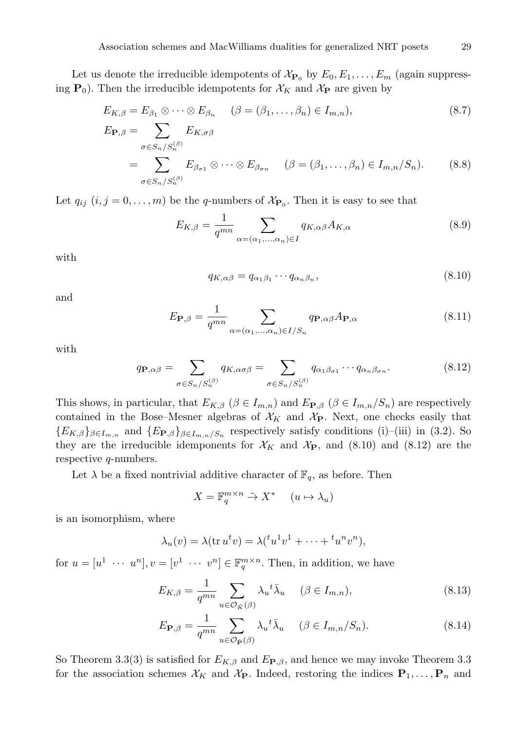Let us denote the irreducible idempotents of  $\mathcal{X}_{\mathbf{P}_0}$  by  $E_0, E_1, \ldots, E_m$  (again suppressing  $P_0$ ). Then the irreducible idempotents for  $\mathcal{X}_K$  and  $\mathcal{X}_P$  are given by

$$
E_{K,\beta} = E_{\beta_1} \otimes \cdots \otimes E_{\beta_n} \quad (\beta = (\beta_1, \dots, \beta_n) \in I_{m,n}),
$$
  
\n
$$
E_{\mathbf{P},\beta} = \sum E_{K,\sigma\beta} \quad E_{K,\sigma\beta}
$$
\n(8.7)

$$
P_{\beta} = \sum_{\sigma \in S_n / S_n^{(\beta)}} E_{\beta_{\sigma 1}} \otimes \cdots \otimes E_{\beta_{\sigma n}} \quad (\beta = (\beta_1, \dots, \beta_n) \in I_{m,n} / S_n). \tag{8.8}
$$

Let  $q_{ij}$   $(i, j = 0, \ldots, m)$  be the q-numbers of  $\mathcal{X}_{\mathbf{P}_0}$ . Then it is easy to see that

$$
E_{K,\beta} = \frac{1}{q^{mn}} \sum_{\alpha = (\alpha_1, \dots, \alpha_n) \in I} q_{K,\alpha\beta} A_{K,\alpha} \tag{8.9}
$$

with

$$
q_{K,\alpha\beta} = q_{\alpha_1\beta_1} \cdots q_{\alpha_n\beta_n},\tag{8.10}
$$

and

$$
E_{\mathbf{P},\beta} = \frac{1}{q^{mn}} \sum_{\alpha = (\alpha_1,\dots,\alpha_n) \in I/S_n} q_{\mathbf{P},\alpha\beta} A_{\mathbf{P},\alpha}
$$
 (8.11)

with

$$
q_{\mathbf{P},\alpha\beta} = \sum_{\sigma \in S_n/S_n^{(\beta)}} q_{K,\alpha\sigma\beta} = \sum_{\sigma \in S_n/S_n^{(\beta)}} q_{\alpha_1\beta_{\sigma1}} \cdots q_{\alpha_n\beta_{\sigma n}}.
$$
(8.12)

This shows, in particular, that  $E_{K,\beta}$  ( $\beta \in I_{m,n}$ ) and  $E_{\mathbf{P},\beta}$  ( $\beta \in I_{m,n}/S_n$ ) are respectively contained in the Bose–Mesner algebras of  $\mathcal{X}_K$  and  $\mathcal{X}_P$ . Next, one checks easily that  ${E_{K,\beta}}_{\beta \in I_{m,n}}$  and  ${E_{\mathbf{P},\beta}}_{\beta \in I_{m,n}/S_n}$  respectively satisfy conditions (i)–(iii) in (3.2). So they are the irreducible idemponents for  $\mathcal{X}_K$  and  $\mathcal{X}_P$ , and (8.10) and (8.12) are the respective q-numbers.

Let  $\lambda$  be a fixed nontrivial additive character of  $\mathbb{F}_q$ , as before. Then

$$
X = \mathbb{F}_q^{m \times n} \stackrel{\sim}{\to} X^* \qquad (u \mapsto \lambda_u)
$$

is an isomorphism, where

$$
\lambda_u(v) = \lambda(\text{tr } u^t v) = \lambda({}^t u^1 v^1 + \dots + {}^t u^n v^n),
$$

for  $u = [u^1 \cdots u^n], v = [v^1 \cdots v^n] \in \mathbb{F}_q^{m \times n}$ . Then, in addition, we have

$$
E_{K,\beta} = \frac{1}{q^{mn}} \sum_{u \in \mathcal{O}_{\check{K}}(\beta)} \lambda_u^{t} \bar{\lambda}_u \quad (\beta \in I_{m,n}),
$$
\n(8.13)

$$
E_{\mathbf{P},\beta} = \frac{1}{q^{mn}} \sum_{u \in \mathcal{O}_{\mathbf{P}}(\beta)} \lambda_u^{t} \bar{\lambda}_u \quad (\beta \in I_{m,n}/S_n). \tag{8.14}
$$

So Theorem 3.3(3) is satisfied for  $E_{K,\beta}$  and  $E_{\mathbf{P},\beta}$ , and hence we may invoke Theorem 3.3 for the association schemes  $\mathcal{X}_K$  and  $\mathcal{X}_P$ . Indeed, restoring the indices  $P_1, \ldots, P_n$  and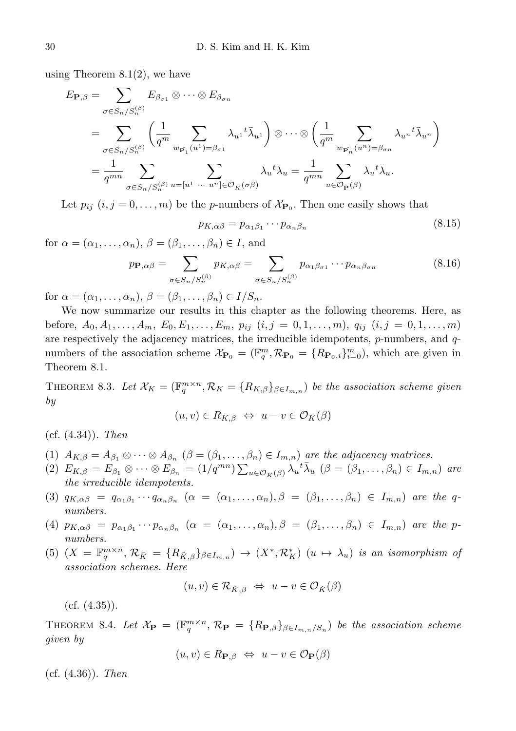using Theorem  $8.1(2)$ , we have

$$
E_{\mathbf{P},\beta} = \sum_{\sigma \in S_n/S_n^{(\beta)}} E_{\beta_{\sigma 1}} \otimes \cdots \otimes E_{\beta_{\sigma n}}
$$
  
= 
$$
\sum_{\sigma \in S_n/S_n^{(\beta)}} \left( \frac{1}{q^m} \sum_{w_{\mathbf{P}_1}(u^1) = \beta_{\sigma 1}} \lambda_{u^1} \tau \overline{\lambda}_{u^1} \right) \otimes \cdots \otimes \left( \frac{1}{q^m} \sum_{w_{\mathbf{P}_n}(u^n) = \beta_{\sigma n}} \lambda_{u^n} \tau \overline{\lambda}_{u^n} \right)
$$
  
= 
$$
\frac{1}{q^{mn}} \sum_{\sigma \in S_n/S_n^{(\beta)}} \sum_{u = [u^1 \cdots u^n] \in \mathcal{O}_{\tilde{K}}(\sigma \beta)} \lambda_u \tau \lambda_{u} = \frac{1}{q^{mn}} \sum_{u \in \mathcal{O}_{\tilde{\mathbf{P}}}(\beta)} \lambda_u \tau \overline{\lambda}_{u}.
$$

Let  $p_{ij}$   $(i, j = 0, \ldots, m)$  be the *p*-numbers of  $\mathcal{X}_{\mathbf{P}_0}$ . Then one easily shows that

$$
p_{K,\alpha\beta} = p_{\alpha_1\beta_1} \cdots p_{\alpha_n\beta_n} \tag{8.15}
$$

for  $\alpha = (\alpha_1, \ldots, \alpha_n)$ ,  $\beta = (\beta_1, \ldots, \beta_n) \in I$ , and

$$
p_{\mathbf{P},\alpha\beta} = \sum_{\sigma \in S_n/S_n^{(\beta)}} p_{K,\alpha\beta} = \sum_{\sigma \in S_n/S_n^{(\beta)}} p_{\alpha_1\beta_{\sigma_1}} \cdots p_{\alpha_n\beta_{\sigma_n}}
$$
(8.16)

for  $\alpha = (\alpha_1, \ldots, \alpha_n), \, \beta = (\beta_1, \ldots, \beta_n) \in I/S_n.$ 

We now summarize our results in this chapter as the following theorems. Here, as before,  $A_0, A_1, \ldots, A_m, E_0, E_1, \ldots, E_m, p_{ij}$   $(i, j = 0, 1, \ldots, m), q_{ij}$   $(i, j = 0, 1, \ldots, m)$ are respectively the adjacency matrices, the irreducible idempotents,  $p$ -numbers, and  $q$ numbers of the association scheme  $\mathcal{X}_{\mathbf{P}_0} = (\mathbb{F}_q^m, \mathcal{R}_{\mathbf{P}_0} = \{R_{\mathbf{P}_0,i}\}_{i=0}^m$ , which are given in Theorem 8.1.

THEOREM 8.3. Let  $\mathcal{X}_K = (\mathbb{F}_q^{m \times n}, \mathcal{R}_K = \{R_{K,\beta}\}_{\beta \in I_{m,n}})$  be the association scheme given by

$$
(u, v) \in R_{K, \beta} \iff u - v \in \mathcal{O}_K(\beta)
$$

 $(cf. (4.34))$ . Then

- (1)  $A_{K,\beta} = A_{\beta_1} \otimes \cdots \otimes A_{\beta_n}$   $(\beta = (\beta_1, \ldots, \beta_n) \in I_{m,n})$  are the adjacency matrices.
- (2)  $E_{K,\beta} = E_{\beta_1} \otimes \cdots \otimes E_{\beta_n} = (1/q^{mn}) \sum_{u \in \mathcal{O}_{\tilde{K}}(\beta)} \lambda_u^{\dagger} \overline{\lambda}_u \quad (\beta = (\beta_1, \ldots, \beta_n) \in I_{m,n})$  are the irreducible idempotents.
- (3)  $q_{K,\alpha\beta} = q_{\alpha_1\beta_1}\cdots q_{\alpha_n\beta_n}$   $(\alpha = (\alpha_1,\ldots,\alpha_n), \beta = (\beta_1,\ldots,\beta_n) \in I_{m,n}$  are the qnumbers.
- (4)  $p_{K,\alpha\beta} = p_{\alpha_1\beta_1} \cdots p_{\alpha_n\beta_n}$   $(\alpha = (\alpha_1,\ldots,\alpha_n), \beta = (\beta_1,\ldots,\beta_n) \in I_{m,n}$  are the pnumbers.
- (5)  $(X = \mathbb{F}_q^{m \times n}, \mathcal{R}_{\check{K}} = \{R_{\check{K},\beta}\}_{\beta \in I_{m,n}}) \to (X^*, \mathcal{R}_K^*)$   $(u \mapsto \lambda_u)$  is an isomorphism of association schemes. Here

$$
(u, v) \in \mathcal{R}_{\check{K}, \beta} \iff u - v \in \mathcal{O}_{\check{K}}(\beta)
$$

 $(cf. (4.35)).$ 

THEOREM 8.4. Let  $\mathcal{X}_{\mathbf{P}} = (\mathbb{F}_q^{m \times n}, \mathcal{R}_{\mathbf{P}} = \{R_{\mathbf{P},\beta}\}_{\beta \in I_{m,n}/S_n}$  be the association scheme given by

$$
(u, v) \in R_{\mathbf{P}, \beta} \Leftrightarrow u - v \in \mathcal{O}_{\mathbf{P}}(\beta)
$$

 $(cf. (4.36))$ . Then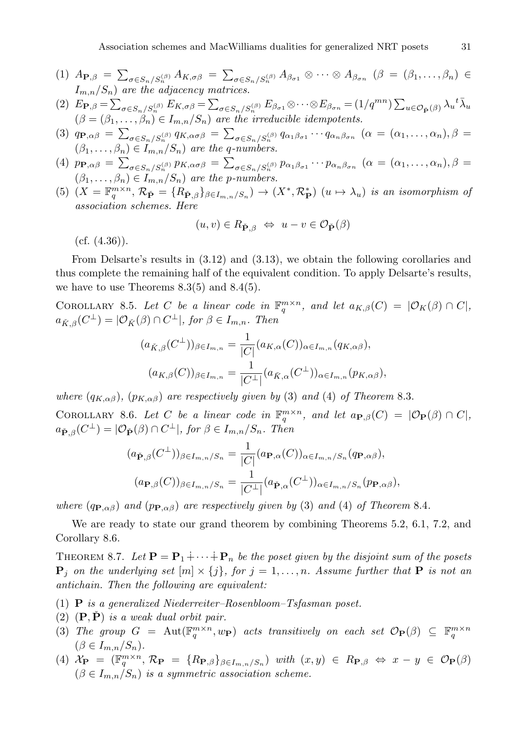- (1)  $A_{\mathbf{P},\beta} = \sum_{\sigma \in S_n/S_n^{(\beta)}} A_{K,\sigma\beta} = \sum_{\sigma \in S_n/S_n^{(\beta)}} A_{\beta_{\sigma1}} \otimes \cdots \otimes A_{\beta_{\sigman}} (\beta = (\beta_1,\ldots,\beta_n) \in \mathbb{C}$  $I_{m,n}/S_n$ ) are the adjacency matrices.
- (2)  $E_{\mathbf{P},\beta} = \sum_{\sigma \in S_n/S_n^{(\beta)}} E_{K,\sigma\beta} = \sum_{\sigma \in S_n/S_n^{(\beta)}} E_{\beta_{\sigma1}} \otimes \cdots \otimes E_{\beta_{\sigma n}} = (1/q^{mn}) \sum_{u \in \mathcal{O}_{\tilde{\mathbf{P}}}(\beta)} \lambda_u{}^t \bar{\lambda}_u$  $(\beta = (\beta_1, \ldots, \beta_n) \in I_{m,n}/S_n)$  are the irreducible idempotents.
- (3)  $q_{\mathbf{P},\alpha\beta} = \sum_{\sigma \in S_n/S_n^{(\beta)}} q_{K,\alpha\sigma\beta} = \sum_{\sigma \in S_n/S_n^{(\beta)}} q_{\alpha_1\beta_{\sigma1}} \cdots q_{\alpha_n\beta_{\sigma_n}} \ (\alpha = (\alpha_1,\ldots,\alpha_n),\beta = \alpha_1,\ldots,\alpha_n$  $(\beta_1, \ldots, \beta_n) \in I_{m,n}/S_n$  are the q-numbers.
- (4)  $p_{\mathbf{P},\alpha\beta} = \sum_{\sigma \in S_n/S_n^{(\beta)}} p_{K,\alpha\sigma\beta} = \sum_{\sigma \in S_n/S_n^{(\beta)}} p_{\alpha_1\beta_{\sigma1}} \cdots p_{\alpha_n\beta_{\sigma_n}} \ (\alpha = (\alpha_1,\ldots,\alpha_n),\beta = \alpha_1,\ldots,\alpha_n$  $(\beta_1, \ldots, \beta_n) \in I_{m,n}/S_n$  are the p-numbers.
- (5)  $(X = \mathbb{F}_q^{m \times n}, \mathcal{R}_{\check{P}} = \{R_{\check{P},\beta}\}_{\beta \in I_{m,n}/S_n} \to (X^*, \mathcal{R}_{\check{P}}^*) \ (u \mapsto \lambda_u)$  is an isomorphism of association schemes. Here

$$
(u, v) \in R_{\check{\mathbf{P}}, \beta} \iff u - v \in \mathcal{O}_{\check{\mathbf{P}}}(\beta)
$$

 $(cf. (4.36)).$ 

From Delsarte's results in (3.12) and (3.13), we obtain the following corollaries and thus complete the remaining half of the equivalent condition. To apply Delsarte's results, we have to use Theorems  $8.3(5)$  and  $8.4(5)$ .

COROLLARY 8.5. Let C be a linear code in  $\mathbb{F}_q^{m \times n}$ , and let  $a_{K,\beta}(C) = |\mathcal{O}_K(\beta) \cap C|$ ,  $a_{\check{K},\beta}(C^{\perp}) = |\mathcal{O}_{\check{K}}(\beta) \cap C^{\perp}|$ , for  $\beta \in I_{m,n}$ . Then

$$
(a_{\check{K},\beta}(C^{\perp}))_{\beta \in I_{m,n}} = \frac{1}{|C|} (a_{K,\alpha}(C))_{\alpha \in I_{m,n}} (q_{K,\alpha\beta}),
$$

$$
(a_{K,\beta}(C))_{\beta \in I_{m,n}} = \frac{1}{|C^{\perp}|} (a_{\check{K},\alpha}(C^{\perp}))_{\alpha \in I_{m,n}} (p_{K,\alpha\beta}),
$$

where  $(q_{K,\alpha\beta})$ ,  $(p_{K,\alpha\beta})$  are respectively given by (3) and (4) of Theorem 8.3.

COROLLARY 8.6. Let C be a linear code in  $\mathbb{F}_q^{m \times n}$ , and let  $a_{\mathbf{P},\beta}(C) = |\mathcal{O}_{\mathbf{P}}(\beta) \cap C|$ ,  $a_{\check{\mathbf{P}},\beta}(C^{\perp}) = |\mathcal{O}_{\check{\mathbf{P}}}(\beta) \cap C^{\perp}|$ , for  $\beta \in I_{m,n}/S_n$ . Then

$$
(a_{\check{\mathbf{P}},\beta}(C^{\perp}))_{\beta \in I_{m,n}/S_n} = \frac{1}{|C|} (a_{\mathbf{P},\alpha}(C))_{\alpha \in I_{m,n}/S_n} (q_{\mathbf{P},\alpha\beta}),
$$

$$
(a_{\mathbf{P},\beta}(C))_{\beta \in I_{m,n}/S_n} = \frac{1}{|C^{\perp}|} (a_{\check{\mathbf{P}},\alpha}(C^{\perp}))_{\alpha \in I_{m,n}/S_n} (p_{\mathbf{P},\alpha\beta}),
$$

where (qp, $_{\alpha\beta}$ ) and (pp, $_{\alpha\beta}$ ) are respectively given by (3) and (4) of Theorem 8.4.

We are ready to state our grand theorem by combining Theorems 5.2, 6.1, 7.2, and Corollary 8.6.

THEOREM 8.7. Let  $\mathbf{P} = \mathbf{P}_1 \dot{+} \cdots \dot{+} \mathbf{P}_n$  be the poset given by the disjoint sum of the posets  ${\bf P}_j$  on the underlying set  $[m] \times \{j\}$ , for  $j = 1, \ldots, n$ . Assume further that  ${\bf P}$  is not an antichain. Then the following are equivalent:

- (1) **P** is a generalized Niederreiter–Rosenbloom–Tsfasman poset.
- (2)  $(P, \tilde{P})$  is a weak dual orbit pair.
- (3) The group  $G = \text{Aut}(\mathbb{F}_q^{m \times n}, w_{\mathbf{P}})$  acts transitively on each set  $\mathcal{O}_{\mathbf{P}}(\beta) \subseteq \mathbb{F}_q^{m \times n}$  $(\beta \in I_{m,n}/S_n).$
- (4)  $\mathcal{X}_{\mathbf{P}} = (\mathbb{F}_{q}^{m \times n}, \mathcal{R}_{\mathbf{P}} = \{R_{\mathbf{P},\beta}\}_{\beta \in I_{m,n}/S_n} )$  with  $(x,y) \in R_{\mathbf{P},\beta} \Leftrightarrow x y \in \mathcal{O}_{\mathbf{P}}(\beta)$  $(\beta \in I_{m,n}/S_n)$  is a symmetric association scheme.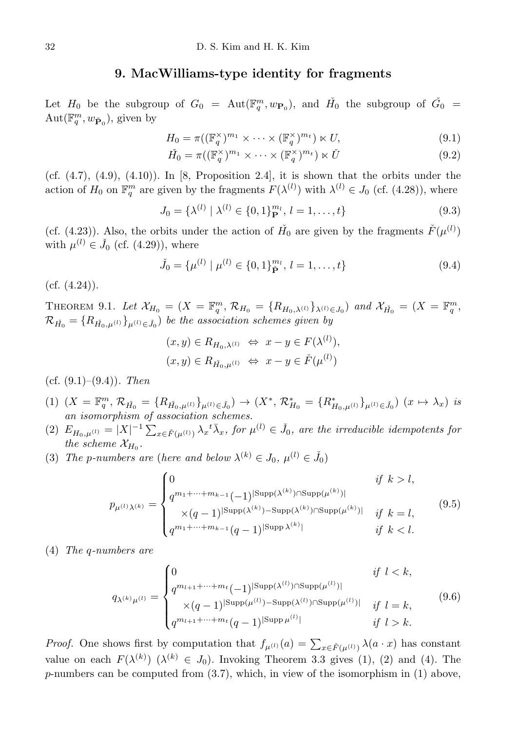#### 9. MacWilliams-type identity for fragments

<span id="page-29-0"></span>Let  $H_0$  be the subgroup of  $G_0$  =  $Aut(\mathbb{F}_q^m, w_{\mathbf{P}_0})$ , and  $H_0$  the subgroup of  $\check{G}_0$  =  $\mathrm{Aut}(\mathbb{F}_q^m,w_{\check{\mathbf{P}}_0}),$  given by

$$
H_0 = \pi((\mathbb{F}_q^{\times})^{m_1} \times \cdots \times (\mathbb{F}_q^{\times})^{m_t}) \ltimes U,
$$
\n(9.1)

$$
\check{H}_0 = \pi((\mathbb{F}_q^{\times})^{m_1} \times \dots \times (\mathbb{F}_q^{\times})^{m_t}) \ltimes \check{U}
$$
\n(9.2)

(cf.  $(4.7)$ ,  $(4.9)$ ,  $(4.10)$ ). In [8, Proposition 2.4], it is shown that the orbits under the action of  $H_0$  on  $\mathbb{F}_q^m$  are given by the fragments  $F(\lambda^{(l)})$  with  $\lambda^{(l)} \in J_0$  (cf. (4.28)), where

$$
J_0 = \{ \lambda^{(l)} \mid \lambda^{(l)} \in \{0, 1\}^{m_l}_P, l = 1, \dots, t \}
$$
\n(9.3)

(cf. (4.23)). Also, the orbits under the action of  $H_0$  are given by the fragments  $\check{F}(\mu^{(l)})$ with  $\mu^{(l)} \in \check{J}_0$  (cf. (4.29)), where

$$
\tilde{J}_0 = \{\mu^{(l)} \mid \mu^{(l)} \in \{0, 1\}_{\tilde{\mathbf{P}}}^{m_l}, \, l = 1, \dots, t\} \tag{9.4}
$$

 $(cf. (4.24)).$ 

THEOREM 9.1. Let  $\mathcal{X}_{H_0} = (X = \mathbb{F}_q^m, \mathcal{R}_{H_0} = \{R_{H_0,\lambda^{(l)}}\}_{\lambda^{(l)} \in J_0}$  and  $\mathcal{X}_{\check{H}_0} = (X = \mathbb{F}_q^m,$  $\mathcal{R}_{\check{H_{0}}} = \{R_{\check{H_{0}},\mu^{(l)}}\}_{\mu^{(l)} \in \check{J_{0}}}$ ) be the association schemes given by

$$
(x, y) \in R_{H_0, \lambda^{(l)}} \Leftrightarrow x - y \in F(\lambda^{(l)}),
$$
  

$$
(x, y) \in R_{\check{H}_0, \mu^{(l)}} \Leftrightarrow x - y \in \check{F}(\mu^{(l)})
$$

- (cf.  $(9.1)$ – $(9.4)$ ). Then
- (1)  $(X = \mathbb{F}_q^m, \mathcal{R}_{\check{H}_0} = \{R_{\check{H}_0, \mu^{(l)}}\}_{\mu^{(l)} \in \check{J}_0}) \to (X^*, \mathcal{R}_{H_0}^* = \{R_{H_0, \mu^{(l)}}^*\}_{\mu^{(l)} \in \check{J}_0}) \ (x \mapsto \lambda_x)$  is an isomorphism of association schemes.
- (2)  $E_{H_0,\mu^{(l)}} = |X|^{-1} \sum_{x \in \check{F}(\mu^{(l)})} \lambda_x^{\{t\}} \bar{\lambda}_x$ , for  $\mu^{(l)} \in \check{J}_0$ , are the irreducible idempotents for the scheme  $\mathcal{X}_{H_0}$ .
- (3) The p-numbers are (here and below  $\lambda^{(k)} \in J_0$ ,  $\mu^{(l)} \in \check{J}_0$ )

$$
p_{\mu^{(l)}\lambda^{(k)}} = \begin{cases} 0 & \text{if } k > l, \\ q^{m_1 + \dots + m_{k-1}} (-1)^{|\text{Supp}(\lambda^{(k)}) \cap \text{Supp}(\mu^{(k)})|} & \\ \times (q-1)^{|\text{Supp}(\lambda^{(k)}) - \text{Supp}(\lambda^{(k)}) \cap \text{Supp}(\mu^{(k)})|} & \text{if } k = l, \\ q^{m_1 + \dots + m_{k-1}} (q-1)^{|\text{Supp}(\lambda^{(k)})|} & \text{if } k < l. \end{cases}
$$
(9.5)

(4) The q-numbers are

$$
q_{\lambda^{(k)}\mu^{(l)}} = \begin{cases} 0 & \text{if } l < k, \\ q^{m_{l+1} + \dots + m_t} (-1)^{|\text{Supp}(\lambda^{(l)}) \cap \text{Supp}(\mu^{(l)})|} \\ \times (q-1)^{|\text{Supp}(\mu^{(l)}) - \text{Supp}(\lambda^{(l)}) \cap \text{Supp}(\mu^{(l)})|} & \text{if } l = k, \\ q^{m_{l+1} + \dots + m_t} (q-1)^{|\text{Supp}(\mu^{(l)})|} & \text{if } l > k. \end{cases}
$$
(9.6)

*Proof.* One shows first by computation that  $f_{\mu^{(l)}}(a) = \sum_{x \in \check{F}(\mu^{(l)})} \lambda(a \cdot x)$  has constant value on each  $F(\lambda^{(k)})$  ( $\lambda^{(k)} \in J_0$ ). Invoking Theorem 3.3 gives (1), (2) and (4). The  $p$ -numbers can be computed from  $(3.7)$ , which, in view of the isomorphism in  $(1)$  above,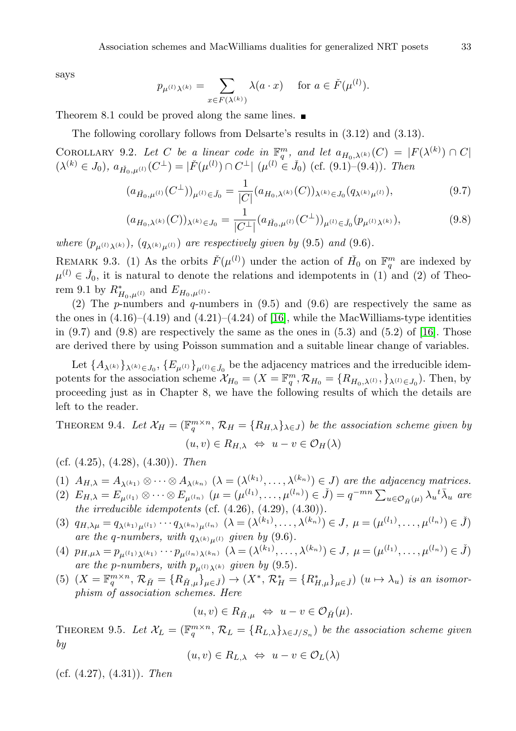says

$$
p_{\mu^{(l)}\lambda^{(k)}} = \sum_{x \in F(\lambda^{(k)})} \lambda(a \cdot x) \quad \text{ for } a \in \check{F}(\mu^{(l)}).
$$

Theorem 8.1 could be proved along the same lines.

The following corollary follows from Delsarte's results in (3.12) and (3.13).

COROLLARY 9.2. Let C be a linear code in  $\mathbb{F}_q^m$ , and let  $a_{H_0,\lambda^{(k)}}(C) = |F(\lambda^{(k)}) \cap C|$  $(\lambda^{(k)} \in J_0), \ a_{\check{H}_0,\mu^{(l)}}(C^{\perp}) = |\check{F}(\mu^{(l)}) \cap C^{\perp}| \ (\mu^{(l)} \in \check{J}_0) \ (\text{cf. (9.1)}-(9.4)).$  Then

$$
(a_{\vec{H}_0,\mu^{(l)}}(C^{\perp}))_{\mu^{(l)} \in \check{J}_0} = \frac{1}{|C|} (a_{H_0,\lambda^{(k)}}(C))_{\lambda^{(k)} \in J_0}(q_{\lambda^{(k)}\mu^{(l)}}),
$$
\n(9.7)

$$
(a_{H_0,\lambda^{(k)}}(C))_{\lambda^{(k)}\in J_0} = \frac{1}{|C^\perp|} (a_{\check{H}_0,\mu^{(l)}}(C^\perp))_{\mu^{(l)}\in \check{J}_0}(p_{\mu^{(l)}\lambda^{(k)}}),\tag{9.8}
$$

where  $(p_{\mu^{(l)}\lambda^{(k)}}), (q_{\lambda^{(k)}\mu^{(l)}})$  are respectively given by (9.5) and (9.6).

REMARK 9.3. (1) As the orbits  $\check{F}(\mu^{(l)})$  under the action of  $\check{H}_0$  on  $\mathbb{F}_q^m$  are indexed by  $\mu^{(l)} \in \check{J}_0$ , it is natural to denote the relations and idempotents in (1) and (2) of Theorem 9.1 by  $R^*_{H_0,\mu^{(l)}}$  and  $E_{H_0,\mu^{(l)}}$ .

(2) The p-numbers and q-numbers in  $(9.5)$  and  $(9.6)$  are respectively the same as the ones in  $(4.16)$ – $(4.19)$  and  $(4.21)$ – $(4.24)$  of [\[16\]](#page-45-4), while the MacWilliams-type identities in  $(9.7)$  and  $(9.8)$  are respectively the same as the ones in  $(5.3)$  and  $(5.2)$  of [\[16\]](#page-45-4). Those are derived there by using Poisson summation and a suitable linear change of variables.

Let  $\{A_{\lambda^{(k)}}\}_{\lambda^{(k)}\in J_0}, \{E_{\mu^{(l)}}\}_{\mu^{(l)}\in J_0}$  be the adjacency matrices and the irreducible idempotents for the association scheme  $\mathcal{X}_{H_0} = (X = \mathbb{F}_q^m, \mathcal{R}_{H_0} = \{R_{H_0,\lambda^{(1)}}, \mathcal{F}_{\lambda^{(1)} \in J_0}\}$ . Then, by proceeding just as in Chapter 8, we have the following results of which the details are left to the reader.

THEOREM 9.4. Let  $\mathcal{X}_H = (\mathbb{F}_q^{m \times n}, \mathcal{R}_H = \{R_{H,\lambda}\}_{\lambda \in J})$  be the association scheme given by  $(u, v) \in R_{H, \lambda} \Leftrightarrow u - v \in \mathcal{O}_H(\lambda)$ 

(cf.  $(4.25)$ ,  $(4.28)$ ,  $(4.30)$ ). Then

(1) 
$$
A_{H,\lambda} = A_{\lambda^{(k_1)}} \otimes \cdots \otimes A_{\lambda^{(k_n)}} \; (\lambda = (\lambda^{(k_1)}, \ldots, \lambda^{(k_n)}) \in J)
$$
 are the adjacency matrices.

- (2)  $E_{H,\lambda} = E_{\mu^{(l_1)}} \otimes \cdots \otimes E_{\mu^{(l_n)}} \ (\mu = (\mu^{(l_1)}, \dots, \mu^{(l_n)}) \in \check{J}) = q^{-mn} \sum_{u \in \mathcal{O}_{\check{H}}(\mu)} \lambda_u^{\dagger} \bar{\lambda}_u$  are the irreducible idempotents (cf.  $(4.26)$ ,  $(4.29)$ ,  $(4.30)$ ).
- (3)  $q_{H,\lambda\mu} = q_{\lambda^{(k_1)}\mu^{(l_1)}} \cdots q_{\lambda^{(k_n)}\mu^{(l_n)}} \ (\lambda = (\lambda^{(k_1)}, \ldots, \lambda^{(k_n)}) \in J, \ \mu = (\mu^{(l_1)}, \ldots, \mu^{(l_n)}) \in \check{J})$ are the q-numbers, with  $q_{\lambda^{(k)}\mu^{(l)}}$  given by (9.6).
- (4)  $p_{H,\mu\lambda} = p_{\mu^{(l_1)}\lambda^{(k_1)}} \cdots p_{\mu^{(l_n)}\lambda^{(k_n)}} \; (\lambda = (\lambda^{(k_1)}, \ldots, \lambda^{(k_n)}) \in J, \; \mu = (\mu^{(l_1)}, \ldots, \mu^{(l_n)}) \in \check{J})$ are the p-numbers, with  $p_{\mu^{(1)}\lambda^{(k)}}$  given by (9.5).
- (5)  $(X = \mathbb{F}_q^{m \times n}, \mathcal{R}_{\check{H}} = \{R_{\check{H},\mu}\}_{\mu \in \check{J}}) \to (X^*, \mathcal{R}_{H}^* = \{R_{H,\mu}^*\}_{\mu \in \check{J}})$   $(u \mapsto \lambda_u)$  is an isomorphism of association schemes. Here

$$
(u,v) \in R_{\check{H},\mu} \iff u - v \in \mathcal{O}_{\check{H}}(\mu).
$$

THEOREM 9.5. Let  $\mathcal{X}_L = (\mathbb{F}_q^{m \times n}, \mathcal{R}_L = \{R_{L,\lambda}\}_{\lambda \in J/S_n})$  be the association scheme given by

$$
(u, v) \in R_{L,\lambda} \iff u - v \in \mathcal{O}_L(\lambda)
$$

(cf.  $(4.27), (4.31)$ ). Then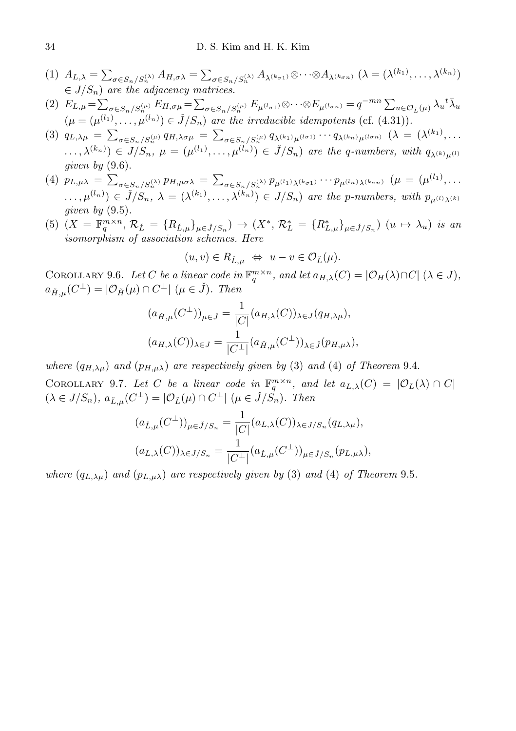- (1)  $A_{L,\lambda} = \sum_{\sigma \in S_n/S_n^{(\lambda)}} A_{H,\sigma\lambda} = \sum_{\sigma \in S_n/S_n^{(\lambda)}} A_{\lambda^{(k_{\sigma1})}} \otimes \cdots \otimes A_{\lambda^{(k_{\sigma n})}} (\lambda = (\lambda^{(k_1)}, \ldots, \lambda^{(k_n)})$  $\in J/S_n$ ) are the adjacency matrices.
- (2)  $E_{L,\mu} = \sum_{\sigma \in S_n/S_n^{(\mu)}} E_{H,\sigma\mu} = \sum_{\sigma \in S_n/S_n^{(\mu)}} E_{\mu^{(l_{\sigma1})}} \otimes \cdots \otimes E_{\mu^{(l_{\sigma n})}} = q^{-mn} \sum_{u \in \mathcal{O}_{\tilde{L}}(\mu)} \lambda_u^{-t} \bar{\lambda}_u$  $(\mu = (\mu^{(l_1)}, \ldots, \mu^{(l_n)}) \in \check{J}/S_n)$  are the irreducible idempotents (cf. (4.31)).
- $(3)$   $q_{L,\lambda\mu} = \sum_{\sigma \in S_n/S_n^{(\mu)}} q_{H,\lambda\sigma\mu} = \sum_{\sigma \in S_n/S_n^{(\mu)}} q_{\lambda^{(k_1)}\mu^{(l\sigma1)}} \cdots q_{\lambda^{(k_n)}\mu^{(l\sigma n)}} \; (\lambda = (\lambda^{(k_1)}, \ldots)$  $(\ldots, \lambda^{(k_n)}) \in J/S_n$ ,  $\mu = (\mu^{(l_1)}, \ldots, \mu^{(l_n)}) \in \check{J}/S_n$  are the q-numbers, with  $q_{\lambda^{(k)}\mu^{(l)}}$ given by  $(9.6)$ .
- (4)  $p_{L,\mu\lambda} = \sum_{\sigma \in S_n/S_n^{(\lambda)}} p_{H,\mu\sigma\lambda} = \sum_{\sigma \in S_n/S_n^{(\lambda)}} p_{\mu^{(l_1)}\lambda^{(k_{\sigma1})}} \cdots p_{\mu^{(l_n)}\lambda^{(k_{\sigma n})}} (\mu = (\mu^{(l_1)}, \ldots, \mu^{(l_n)}),$  $(\ldots,\mu^{(l_n)}) \in \check{J}/S_n$ ,  $\lambda = (\lambda^{(k_1)},\ldots,\lambda^{(k_n)}) \in J/S_n$  are the p-numbers, with  $p_{\mu^{(l)}\lambda^{(k)}}$ given by  $(9.5)$ .
- (5)  $(X = \mathbb{F}_q^{m \times n}, \mathcal{R}_{\check{L}} = \{R_{\check{L},\mu}\}_{\mu \in \check{J}/S_n} \rightarrow (X^*, \mathcal{R}^*_{\check{L}} = \{R^*_{L,\mu}\}_{\mu \in \check{J}/S_n} (u \mapsto \lambda_u)$  is an isomorphism of association schemes. Here

$$
(u, v) \in R_{\check{L}, \mu} \iff u - v \in \mathcal{O}_{\check{L}}(\mu).
$$

COROLLARY 9.6. Let C be a linear code in  $\mathbb{F}_q^{m \times n}$ , and let  $a_{H,\lambda}(C) = |\mathcal{O}_H(\lambda) \cap C|$   $(\lambda \in J)$ ,  $a_{\check{H},\mu}(C^{\perp}) = |\mathcal{O}_{\check{H}}(\mu) \cap C^{\perp}| \ (\mu \in \check{J}).$  Then

$$
(a_{\tilde{H},\mu}(C^{\perp}))_{\mu \in \tilde{J}} = \frac{1}{|C|} (a_{H,\lambda}(C))_{\lambda \in J} (q_{H,\lambda\mu}),
$$
  

$$
(a_{H,\lambda}(C))_{\lambda \in J} = \frac{1}{|C^{\perp}|} (a_{\tilde{H},\mu}(C^{\perp}))_{\lambda \in \tilde{J}} (p_{H,\mu\lambda}),
$$

where  $(q_{H,\lambda\mu})$  and  $(p_{H,\mu\lambda})$  are respectively given by (3) and (4) of Theorem 9.4.

COROLLARY 9.7. Let C be a linear code in  $\mathbb{F}_q^{m \times n}$ , and let  $a_{L,\lambda}(C) = |\mathcal{O}_L(\lambda) \cap C|$  $(\lambda \in J/S_n)$ ,  $a_{\check{L},\mu}(C^{\perp}) = |\mathcal{O}_{\check{L}}(\mu) \cap C^{\perp}| \ (\mu \in \check{J}/\check{S_n})$ . Then

$$
(a_{\check{L},\mu}(C^{\perp}))_{\mu \in \check{J}/S_n} = \frac{1}{|C|} (a_{L,\lambda}(C))_{\lambda \in J/S_n} (q_{L,\lambda\mu}),
$$
  

$$
(a_{L,\lambda}(C))_{\lambda \in J/S_n} = \frac{1}{|C^{\perp}|} (a_{\check{L},\mu}(C^{\perp}))_{\mu \in \check{J}/S_n} (p_{L,\mu\lambda}),
$$

where  $(q_{L,\lambda\mu})$  and  $(p_{L,\mu\lambda})$  are respectively given by (3) and (4) of Theorem 9.5.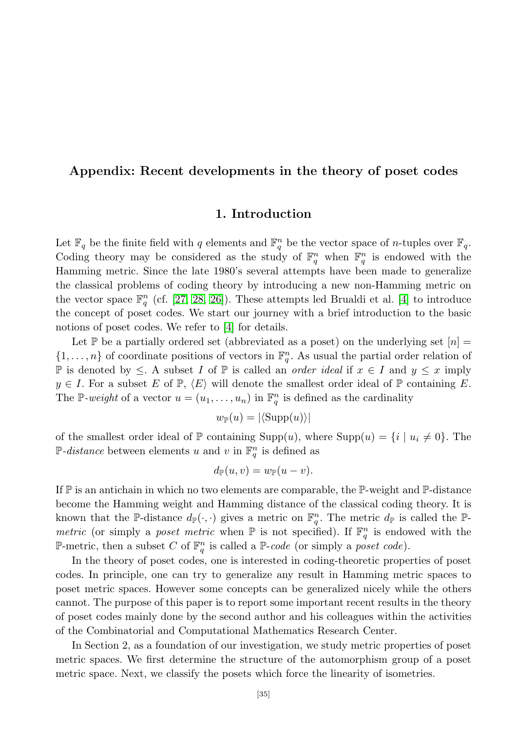## <span id="page-32-1"></span><span id="page-32-0"></span>Appendix: Recent developments in the theory of poset codes

## 1. Introduction

Let  $\mathbb{F}_q$  be the finite field with q elements and  $\mathbb{F}_q^n$  be the vector space of n-tuples over  $\mathbb{F}_q$ . Coding theory may be considered as the study of  $\mathbb{F}_q^n$  when  $\mathbb{F}_q^n$  is endowed with the Hamming metric. Since the late 1980's several attempts have been made to generalize the classical problems of coding theory by introducing a new non-Hamming metric on the vector space  $\mathbb{F}_q^n$  (cf. [\[27,](#page-46-0) [28,](#page-46-4) [26\]](#page-46-9)). These attempts led Brualdi et al. [\[4\]](#page-45-1) to introduce the concept of poset codes. We start our journey with a brief introduction to the basic notions of poset codes. We refer to [\[4\]](#page-45-1) for details.

Let  $\mathbb P$  be a partially ordered set (abbreviated as a poset) on the underlying set  $[n] =$  $\{1,\ldots,n\}$  of coordinate positions of vectors in  $\mathbb{F}_q^n$ . As usual the partial order relation of P is denoted by ≤. A subset I of  $\mathbb P$  is called an *order ideal* if  $x \in I$  and  $y \leq x$  imply  $y \in I$ . For a subset E of  $\mathbb{P}, \langle E \rangle$  will denote the smallest order ideal of  $\mathbb{P}$  containing E. The P-weight of a vector  $u = (u_1, \ldots, u_n)$  in  $\mathbb{F}_q^n$  is defined as the cardinality

$$
w_{\mathbb{P}}(u) = |\langle \text{Supp}(u) \rangle|
$$

of the smallest order ideal of  $\mathbb P$  containing Supp $(u)$ , where Supp $(u) = \{i \mid u_i \neq 0\}$ . The  $\mathbb{P}\text{-}distance$  between elements u and v in  $\mathbb{F}_q^n$  is defined as

$$
d_{\mathbb{P}}(u,v) = w_{\mathbb{P}}(u-v).
$$

If  $\mathbb P$  is an antichain in which no two elements are comparable, the  $\mathbb P$ -weight and  $\mathbb P$ -distance become the Hamming weight and Hamming distance of the classical coding theory. It is known that the P-distance  $d_{\mathbb{P}}(\cdot,\cdot)$  gives a metric on  $\mathbb{F}_q^n$ . The metric  $d_{\mathbb{P}}$  is called the P*metric* (or simply a *poset metric* when  $\mathbb P$  is not specified). If  $\mathbb F_q^n$  is endowed with the P-metric, then a subset C of  $\mathbb{F}_q^n$  is called a P-code (or simply a poset code).

In the theory of poset codes, one is interested in coding-theoretic properties of poset codes. In principle, one can try to generalize any result in Hamming metric spaces to poset metric spaces. However some concepts can be generalized nicely while the others cannot. The purpose of this paper is to report some important recent results in the theory of poset codes mainly done by the second author and his colleagues within the activities of the Combinatorial and Computational Mathematics Research Center.

In Section 2, as a foundation of our investigation, we study metric properties of poset metric spaces. We first determine the structure of the automorphism group of a poset metric space. Next, we classify the posets which force the linearity of isometries.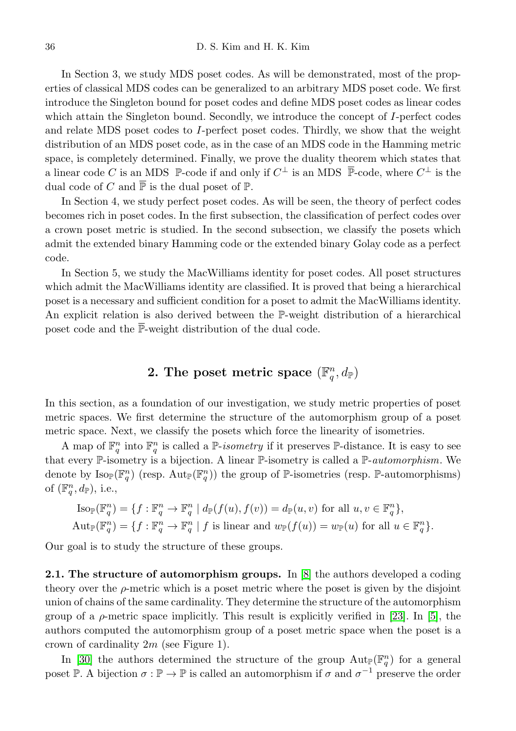In Section 3, we study MDS poset codes. As will be demonstrated, most of the properties of classical MDS codes can be generalized to an arbitrary MDS poset code. We first introduce the Singleton bound for poset codes and define MDS poset codes as linear codes which attain the Singleton bound. Secondly, we introduce the concept of I-perfect codes and relate MDS poset codes to I-perfect poset codes. Thirdly, we show that the weight distribution of an MDS poset code, as in the case of an MDS code in the Hamming metric space, is completely determined. Finally, we prove the duality theorem which states that a linear code C is an MDS  $\mathbb{P}\text{-code}$  if and only if  $C^{\perp}$  is an MDS  $\overline{\mathbb{P}}\text{-code}$ , where  $C^{\perp}$  is the dual code of C and  $\overline{P}$  is the dual poset of  $\mathbb{P}$ .

In Section 4, we study perfect poset codes. As will be seen, the theory of perfect codes becomes rich in poset codes. In the first subsection, the classification of perfect codes over a crown poset metric is studied. In the second subsection, we classify the posets which admit the extended binary Hamming code or the extended binary Golay code as a perfect code.

In Section 5, we study the MacWilliams identity for poset codes. All poset structures which admit the MacWilliams identity are classified. It is proved that being a hierarchical poset is a necessary and sufficient condition for a poset to admit the MacWilliams identity. An explicit relation is also derived between the P-weight distribution of a hierarchical poset code and the  $\overline{\mathbb{P}}$ -weight distribution of the dual code.

# 2. The poset metric space  $(\mathbb{F}_q^n, d_{\mathbb{P}})$

<span id="page-33-0"></span>In this section, as a foundation of our investigation, we study metric properties of poset metric spaces. We first determine the structure of the automorphism group of a poset metric space. Next, we classify the posets which force the linearity of isometries.

A map of  $\mathbb{F}_q^n$  into  $\mathbb{F}_q^n$  is called a P-isometry if it preserves P-distance. It is easy to see that every  $\mathbb{P}\text{-isometry}$  is a bijection. A linear  $\mathbb{P}\text{-isometry}$  is called a  $\mathbb{P}\text{-}automorphism$ . We denote by  $\text{Iso}_{\mathbb{P}}(\mathbb{F}_q^n)$  (resp.  $\text{Aut}_{\mathbb{P}}(\mathbb{F}_q^n)$ ) the group of  $\mathbb{P}\text{-isometries}$  (resp.  $\mathbb{P}\text{-automorphisms}$ ) of  $(\mathbb{F}_q^n, d_\mathbb{P})$ , i.e.,

$$
\text{Iso}_{\mathbb{P}}(\mathbb{F}_q^n) = \{ f : \mathbb{F}_q^n \to \mathbb{F}_q^n \mid d_{\mathbb{P}}(f(u), f(v)) = d_{\mathbb{P}}(u, v) \text{ for all } u, v \in \mathbb{F}_q^n \},
$$
  
\n
$$
\text{Aut}_{\mathbb{P}}(\mathbb{F}_q^n) = \{ f : \mathbb{F}_q^n \to \mathbb{F}_q^n \mid f \text{ is linear and } w_{\mathbb{P}}(f(u)) = w_{\mathbb{P}}(u) \text{ for all } u \in \mathbb{F}_q^n \}.
$$

Our goal is to study the structure of these groups.

2.1. The structure of automorphism groups. In [\[8\]](#page-45-7) the authors developed a coding theory over the  $\rho$ -metric which is a poset metric where the poset is given by the disjoint union of chains of the same cardinality. They determine the structure of the automorphism group of a  $\rho$ -metric space implicitly. This result is explicitly verified in [\[23\]](#page-46-6). In [\[5\]](#page-45-12), the authors computed the automorphism group of a poset metric space when the poset is a crown of cardinality  $2m$  (see Figure 1).

In [\[30\]](#page-46-10) the authors determined the structure of the group  $\text{Aut}_{\mathbb{P}}(\mathbb{F}_q^n)$  for a general poset P. A bijection  $\sigma : \mathbb{P} \to \mathbb{P}$  is called an automorphism if  $\sigma$  and  $\sigma^{-1}$  preserve the order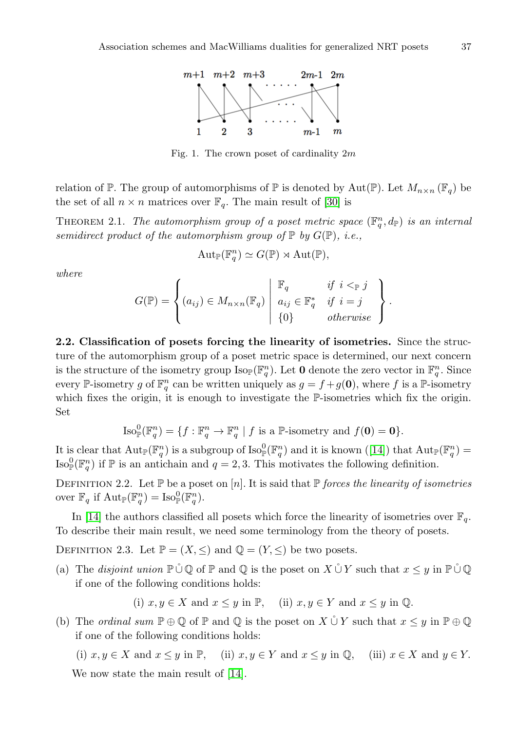

Fig. 1. The crown poset of cardinality 2m

relation of P. The group of automorphisms of P is denoted by Aut(P). Let  $M_{n\times n}(\mathbb{F}_q)$  be the set of all  $n \times n$  matrices over  $\mathbb{F}_q$ . The main result of [\[30\]](#page-46-10) is

THEOREM 2.1. The automorphism group of a poset metric space  $(\mathbb{F}_q^n, d_{\mathbb{P}})$  is an internal semidirect product of the automorphism group of  $\mathbb P$  by  $G(\mathbb P)$ , i.e.,

$$
\mathrm{Aut}_{\mathbb{P}}(\mathbb{F}_q^n) \simeq G(\mathbb{P}) \rtimes \mathrm{Aut}(\mathbb{P}),
$$

where

$$
G(\mathbb{P}) = \left\{ (a_{ij}) \in M_{n \times n}(\mathbb{F}_q) \middle| \begin{array}{ll} \mathbb{F}_q & \text{if } i <_{\mathbb{P}} j \\ a_{ij} \in \mathbb{F}_q^* & \text{if } i = j \\ \{0\} & \text{otherwise} \end{array} \right\}.
$$

2.2. Classification of posets forcing the linearity of isometries. Since the structure of the automorphism group of a poset metric space is determined, our next concern is the structure of the isometry group  $\text{Iso}_{\mathbb{P}}(\mathbb{F}_q^n)$ . Let **0** denote the zero vector in  $\mathbb{F}_q^n$ . Since every P-isometry g of  $\mathbb{F}_q^n$  can be written uniquely as  $g = f + g(\mathbf{0})$ , where f is a P-isometry which fixes the origin, it is enough to investigate the P-isometries which fix the origin. Set

$$
\operatorname{Iso}_{\mathbb{P}}^0(\mathbb{F}_q^n) = \{ f : \mathbb{F}_q^n \to \mathbb{F}_q^n \mid f \text{ is a } \mathbb{P}\text{-isometry and } f(\mathbf{0}) = \mathbf{0} \}.
$$

Itis clear that  $\mathrm{Aut}_{\mathbb{P}}(\mathbb{F}_q^n)$  is a subgroup of  $\mathrm{Iso}_{\mathbb{P}}^0(\mathbb{F}_q^n)$  and it is known ([\[14\]](#page-45-13)) that  $\mathrm{Aut}_{\mathbb{P}}(\mathbb{F}_q^n)$ Iso $^0_{\mathbb{P}}(\mathbb{F}_q^n)$  if  $\mathbb{P}$  is an antichain and  $q=2,3$ . This motivates the following definition.

DEFINITION 2.2. Let  $\mathbb P$  be a poset on [n]. It is said that  $\mathbb P$  forces the linearity of isometries over  $\mathbb{F}_q$  if  $\mathrm{Aut}_{\mathbb{P}}(\mathbb{F}_q^n) = \mathrm{Iso}_{\mathbb{P}}^0(\mathbb{F}_q^n)$ .

In [\[14\]](#page-45-13) the authors classified all posets which force the linearity of isometries over  $\mathbb{F}_q$ . To describe their main result, we need some terminology from the theory of posets.

DEFINITION 2.3. Let  $\mathbb{P} = (X, \leq)$  and  $\mathbb{Q} = (Y, \leq)$  be two posets.

(a) The disjoint union  $\mathbb{P} \cup \mathbb{Q}$  of  $\mathbb{P}$  and  $\mathbb{Q}$  is the poset on  $X \cup Y$  such that  $x \leq y$  in  $\mathbb{P} \cup \mathbb{Q}$ if one of the following conditions holds:

(i)  $x, y \in X$  and  $x \leq y$  in  $\mathbb{P}$ , (ii)  $x, y \in Y$  and  $x \leq y$  in  $\mathbb{Q}$ .

(b) The *ordinal sum*  $\mathbb{P} \oplus \mathbb{Q}$  of  $\mathbb{P}$  and  $\mathbb{Q}$  is the poset on  $X \cup Y$  such that  $x \leq y$  in  $\mathbb{P} \oplus \mathbb{Q}$ if one of the following conditions holds:

(i)  $x, y \in X$  and  $x \leq y$  in  $\mathbb{P}$ , (ii)  $x, y \in Y$  and  $x \leq y$  in  $\mathbb{Q}$ , (iii)  $x \in X$  and  $y \in Y$ . We now state the main result of [\[14\]](#page-45-13).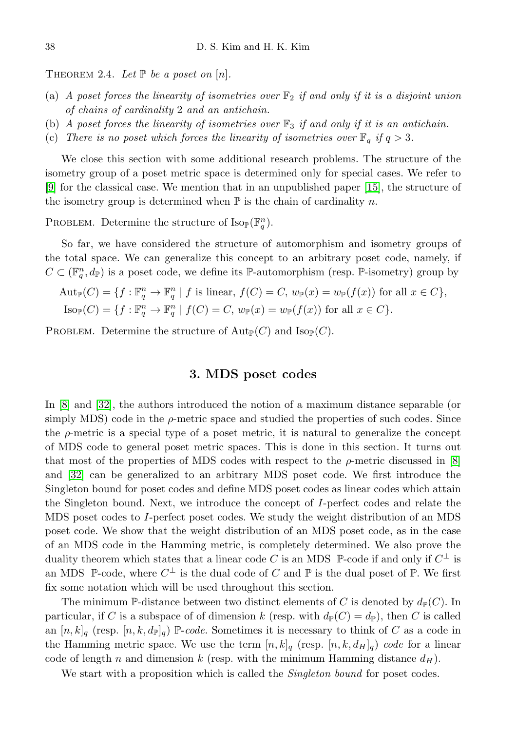THEOREM 2.4. Let  $\mathbb P$  be a poset on  $[n]$ .

- (a) A poset forces the linearity of isometries over  $\mathbb{F}_2$  if and only if it is a disjoint union of chains of cardinality 2 and an antichain.
- (b) A poset forces the linearity of isometries over  $\mathbb{F}_3$  if and only if it is an antichain.
- (c) There is no poset which forces the linearity of isometries over  $\mathbb{F}_q$  if  $q > 3$ .

We close this section with some additional research problems. The structure of the isometry group of a poset metric space is determined only for special cases. We refer to [\[9\]](#page-45-14) for the classical case. We mention that in an unpublished paper [\[15\]](#page-45-15), the structure of the isometry group is determined when  $\mathbb P$  is the chain of cardinality n.

PROBLEM. Determine the structure of  $\text{Iso}_{\mathbb{P}}(\mathbb{F}_q^n)$ .

So far, we have considered the structure of automorphism and isometry groups of the total space. We can generalize this concept to an arbitrary poset code, namely, if  $C \subset (\mathbb{F}_q^n, d_{\mathbb{P}})$  is a poset code, we define its P-automorphism (resp. P-isometry) group by

$$
Aut_{\mathbb{P}}(C) = \{ f : \mathbb{F}_q^n \to \mathbb{F}_q^n \mid f \text{ is linear, } f(C) = C, w_{\mathbb{P}}(x) = w_{\mathbb{P}}(f(x)) \text{ for all } x \in C \},
$$
  
\n
$$
Iso_{\mathbb{P}}(C) = \{ f : \mathbb{F}_q^n \to \mathbb{F}_q^n \mid f(C) = C, w_{\mathbb{P}}(x) = w_{\mathbb{P}}(f(x)) \text{ for all } x \in C \}.
$$

<span id="page-35-0"></span>PROBLEM. Determine the structure of  $\text{Aut}_{\mathbb{P}}(C)$  and  $\text{Iso}_{\mathbb{P}}(C)$ .

## 3. MDS poset codes

In [\[8\]](#page-45-7) and [\[32\]](#page-46-5), the authors introduced the notion of a maximum distance separable (or simply MDS) code in the  $\rho$ -metric space and studied the properties of such codes. Since the  $\rho$ -metric is a special type of a poset metric, it is natural to generalize the concept of MDS code to general poset metric spaces. This is done in this section. It turns out that most of the properties of MDS codes with respect to the  $\rho$ -metric discussed in [\[8\]](#page-45-7) and [\[32\]](#page-46-5) can be generalized to an arbitrary MDS poset code. We first introduce the Singleton bound for poset codes and define MDS poset codes as linear codes which attain the Singleton bound. Next, we introduce the concept of I-perfect codes and relate the MDS poset codes to I-perfect poset codes. We study the weight distribution of an MDS poset code. We show that the weight distribution of an MDS poset code, as in the case of an MDS code in the Hamming metric, is completely determined. We also prove the duality theorem which states that a linear code C is an MDS  $\mathbb{P}\text{-code}$  if and only if  $C^{\perp}$  is an MDS  $\bar{\mathbb{P}}$ -code, where  $C^{\perp}$  is the dual code of C and  $\bar{\mathbb{P}}$  is the dual poset of  $\mathbb{P}$ . We first fix some notation which will be used throughout this section.

The minimum P-distance between two distinct elements of C is denoted by  $d_{\mathbb{P}}(C)$ . In particular, if C is a subspace of of dimension k (resp. with  $d_{\mathbb{P}}(C) = d_{\mathbb{P}}$ ), then C is called an  $[n, k]_q$  (resp.  $[n, k, d_{\mathbb{P}}]_q$ ) P-code. Sometimes it is necessary to think of C as a code in the Hamming metric space. We use the term  $[n, k]_q$  (resp.  $[n, k, d_H]_q$ ) code for a linear code of length n and dimension k (resp. with the minimum Hamming distance  $d_H$ ).

We start with a proposition which is called the *Singleton bound* for poset codes.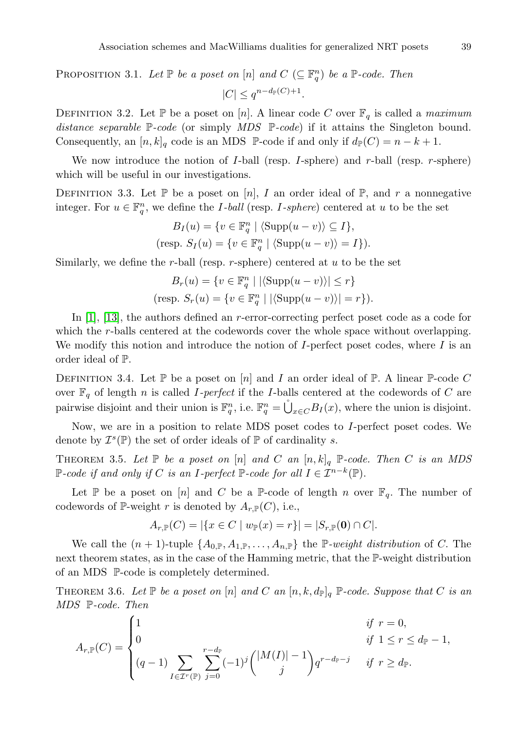PROPOSITION 3.1. Let  $\mathbb P$  be a poset on  $[n]$  and  $C \subseteq \mathbb F_q^n$ ) be a  $\mathbb P$ -code. Then  $|C| \leq q^{n-d_{\mathbb{P}}(C)+1}$ .

DEFINITION 3.2. Let  $\mathbb P$  be a poset on [n]. A linear code C over  $\mathbb F_q$  is called a maximum distance separable  $\mathbb{P}$ -code (or simply MDS  $\mathbb{P}$ -code) if it attains the Singleton bound. Consequently, an  $[n, k]_q$  code is an MDS P-code if and only if  $d_p(C) = n - k + 1$ .

We now introduce the notion of  $I$ -ball (resp.  $I$ -sphere) and  $r$ -ball (resp.  $r$ -sphere) which will be useful in our investigations.

DEFINITION 3.3. Let  $\mathbb P$  be a poset on [n], I an order ideal of  $\mathbb P$ , and r a nonnegative integer. For  $u \in \mathbb{F}_q^n$ , we define the *I-ball* (resp. *I-sphere*) centered at u to be the set

$$
B_I(u) = \{v \in \mathbb{F}_q^n \mid \langle \text{Supp}(u - v) \rangle \subseteq I\},\
$$
  
(resp. 
$$
S_I(u) = \{v \in \mathbb{F}_q^n \mid \langle \text{Supp}(u - v) \rangle = I\}.
$$

Similarly, we define the r-ball (resp. r-sphere) centered at  $u$  to be the set

$$
B_r(u) = \{v \in \mathbb{F}_q^n \mid |\langle \text{Supp}(u - v) \rangle| \le r\}
$$
  
(resp. 
$$
S_r(u) = \{v \in \mathbb{F}_q^n \mid |\langle \text{Supp}(u - v) \rangle| = r\}.
$$

In [\[1\]](#page-45-16), [\[13\]](#page-45-17), the authors defined an r-error-correcting perfect poset code as a code for which the *r*-balls centered at the codewords cover the whole space without overlapping. We modify this notion and introduce the notion of  $I$ -perfect poset codes, where  $I$  is an order ideal of P.

DEFINITION 3.4. Let  $\mathbb P$  be a poset on  $[n]$  and I an order ideal of  $\mathbb P$ . A linear  $\mathbb P$ -code C over  $\mathbb{F}_q$  of length n is called *I*-perfect if the *I*-balls centered at the codewords of *C* are pairwise disjoint and their union is  $\mathbb{F}_q^n$ , i.e.  $\mathbb{F}_q^n = \bigcup_{x \in C} B_I(x)$ , where the union is disjoint.

Now, we are in a position to relate MDS poset codes to I-perfect poset codes. We denote by  $\mathcal{I}^s(\mathbb{P})$  the set of order ideals of  $\mathbb P$  of cardinality s.

THEOREM 3.5. Let  $\mathbb P$  be a poset on  $[n]$  and C an  $[n, k]_q$   $\mathbb P$ -code. Then C is an MDS P-code if and only if C is an I-perfect P-code for all  $I \in \mathcal{I}^{n-k}(\mathbb{P})$ .

Let P be a poset on [n] and C be a P-code of length n over  $\mathbb{F}_q$ . The number of codewords of P-weight r is denoted by  $A_{r,\mathbb{P}}(C)$ , i.e.,

$$
A_{r,\mathbb{P}}(C) = |\{x \in C \mid w_{\mathbb{P}}(x) = r\}| = |S_{r,\mathbb{P}}(\mathbf{0}) \cap C|.
$$

We call the  $(n + 1)$ -tuple  $\{A_{0,\mathbb{P}}, A_{1,\mathbb{P}}, \ldots, A_{n,\mathbb{P}}\}$  the  $\mathbb{P}\text{-weight distribution of } C$ . The next theorem states, as in the case of the Hamming metric, that the P-weight distribution of an MDS P-code is completely determined.

THEOREM 3.6. Let  $\mathbb P$  be a poset on  $[n]$  and C an  $[n, k, d_{\mathbb{P}}]_q$   $\mathbb P$ -code. Suppose that C is an MDS P-code. Then

$$
A_{r,\mathbb{P}}(C) = \begin{cases} 1 & \text{if } r = 0, \\ 0 & \text{if } 1 \le r \le d_{\mathbb{P}} - 1, \\ (q-1) \sum_{I \in \mathcal{I}^r(\mathbb{P})} \sum_{j=0}^{r-d_{\mathbb{P}}} (-1)^j { |M(I)| - 1 \choose j} q^{r-d_{\mathbb{P}}-j} & \text{if } r \ge d_{\mathbb{P}}. \end{cases}
$$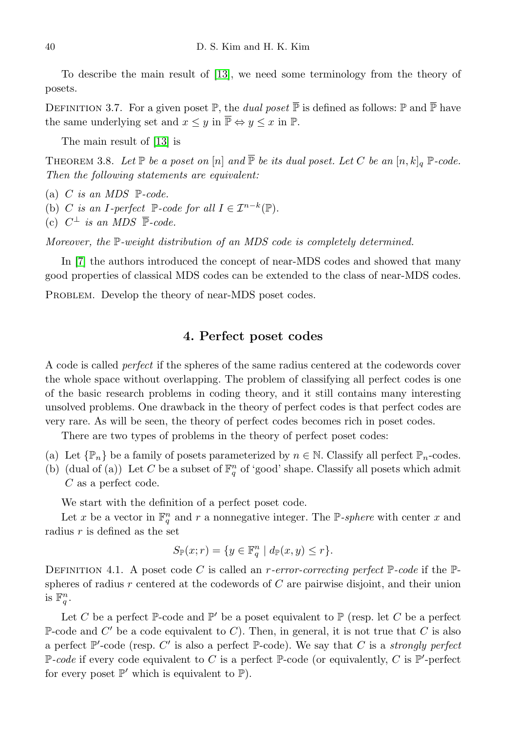To describe the main result of [\[13\]](#page-45-17), we need some terminology from the theory of posets.

DEFINITION 3.7. For a given poset  $\mathbb{P}$ , the *dual poset*  $\mathbb{\bar{P}}$  is defined as follows:  $\mathbb{P}$  and  $\mathbb{\bar{P}}$  have the same underlying set and  $x \leq y$  in  $\overline{\mathbb{P}} \Leftrightarrow y \leq x$  in  $\mathbb{P}$ .

The main result of [\[13\]](#page-45-17) is

THEOREM 3.8. Let  $\mathbb P$  be a poset on  $[n]$  and  $\overline{\mathbb P}$  be its dual poset. Let C be an  $[n, k]_q$   $\mathbb P$ -code. Then the following statements are equivalent:

- (a) C is an MDS  $\mathbb{P}\text{-code}.$
- (b) C is an I-perfect  $\mathbb{P}$ -code for all  $I \in \mathcal{I}^{n-k}(\mathbb{P})$ .
- (c)  $C^{\perp}$  is an MDS  $\overline{\mathbb{P}}$ -code.

Moreover, the P-weight distribution of an MDS code is completely determined.

In [\[7\]](#page-45-18) the authors introduced the concept of near-MDS codes and showed that many good properties of classical MDS codes can be extended to the class of near-MDS codes.

<span id="page-37-0"></span>PROBLEM. Develop the theory of near-MDS poset codes.

## 4. Perfect poset codes

A code is called perfect if the spheres of the same radius centered at the codewords cover the whole space without overlapping. The problem of classifying all perfect codes is one of the basic research problems in coding theory, and it still contains many interesting unsolved problems. One drawback in the theory of perfect codes is that perfect codes are very rare. As will be seen, the theory of perfect codes becomes rich in poset codes.

There are two types of problems in the theory of perfect poset codes:

- (a) Let  $\{\mathbb{P}_n\}$  be a family of posets parameterized by  $n \in \mathbb{N}$ . Classify all perfect  $\mathbb{P}_n$ -codes.
- (b) (dual of (a)) Let C be a subset of  $\mathbb{F}_q^n$  of 'good' shape. Classify all posets which admit C as a perfect code.

We start with the definition of a perfect poset code.

Let x be a vector in  $\mathbb{F}_q^n$  and r a nonnegative integer. The P-sphere with center x and radius  $r$  is defined as the set

$$
S_{\mathbb{P}}(x;r) = \{ y \in \mathbb{F}_q^n \mid d_{\mathbb{P}}(x,y) \le r \}.
$$

DEFINITION 4.1. A poset code C is called an *r*-error-correcting perfect  $\mathbb{P}$ -code if the  $\mathbb{P}$ spheres of radius r centered at the codewords of  $C$  are pairwise disjoint, and their union is  $\mathbb{F}_q^n$ .

Let C be a perfect  $\mathbb{P}$ -code and  $\mathbb{P}'$  be a poset equivalent to  $\mathbb{P}$  (resp. let C be a perfect P-code and  $C'$  be a code equivalent to C). Then, in general, it is not true that C is also a perfect  $\mathbb{P}'$ -code (resp. C' is also a perfect  $\mathbb{P}$ -code). We say that C is a *strongly perfect* P-code if every code equivalent to C is a perfect P-code (or equivalently, C is P'-perfect for every poset  $\mathbb{P}'$  which is equivalent to  $\mathbb{P}$ ).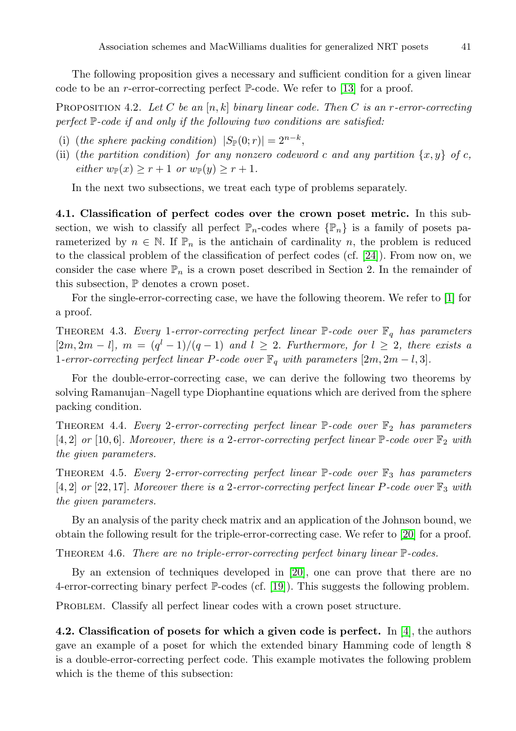The following proposition gives a necessary and sufficient condition for a given linear code to be an *r*-error-correcting perfect  $\mathbb{P}$ -code. We refer to [\[13\]](#page-45-17) for a proof.

PROPOSITION 4.2. Let C be an  $[n, k]$  binary linear code. Then C is an r-error-correcting perfect P-code if and only if the following two conditions are satisfied:

- (i) (the sphere packing condition)  $|S_{\mathbb{P}}(0;r)| = 2^{n-k}$ ,
- (ii) (the partition condition) for any nonzero codeword c and any partition  $\{x, y\}$  of c, either  $w_{\mathbb{P}}(x) \geq r+1$  or  $w_{\mathbb{P}}(y) \geq r+1$ .

In the next two subsections, we treat each type of problems separately.

4.1. Classification of perfect codes over the crown poset metric. In this subsection, we wish to classify all perfect  $\mathbb{P}_n$ -codes where  $\{\mathbb{P}_n\}$  is a family of posets parameterized by  $n \in \mathbb{N}$ . If  $\mathbb{P}_n$  is the antichain of cardinality n, the problem is reduced to the classical problem of the classification of perfect codes (cf. [\[24\]](#page-46-11)). From now on, we consider the case where  $\mathbb{P}_n$  is a crown poset described in Section 2. In the remainder of this subsection,  $\mathbb P$  denotes a crown poset.

For the single-error-correcting case, we have the following theorem. We refer to [\[1\]](#page-45-16) for a proof.

THEOREM 4.3. Every 1-error-correcting perfect linear  $\mathbb{P}$ -code over  $\mathbb{F}_q$  has parameters  $[2m, 2m-l], m = (q<sup>l</sup> - 1)/(q - 1)$  and  $l \geq 2$ . Furthermore, for  $l \geq 2$ , there exists a 1-error-correcting perfect linear P-code over  $\mathbb{F}_q$  with parameters  $[2m, 2m-l, 3]$ .

For the double-error-correcting case, we can derive the following two theorems by solving Ramanujan–Nagell type Diophantine equations which are derived from the sphere packing condition.

THEOREM 4.4. Every 2-error-correcting perfect linear  $\mathbb{P}\text{-}code$  over  $\mathbb{F}_2$  has parameters  $[4, 2]$  or  $[10, 6]$ . Moreover, there is a 2-error-correcting perfect linear  $\mathbb{P}$ -code over  $\mathbb{F}_2$  with the given parameters.

THEOREM 4.5. Every 2-error-correcting perfect linear  $\mathbb{P}$ -code over  $\mathbb{F}_3$  has parameters [4, 2] or [22, 17]. Moreover there is a 2-error-correcting perfect linear P-code over  $\mathbb{F}_3$  with the given parameters.

By an analysis of the parity check matrix and an application of the Johnson bound, we obtain the following result for the triple-error-correcting case. We refer to [\[20\]](#page-45-6) for a proof.

THEOREM 4.6. There are no triple-error-correcting perfect binary linear  $\mathbb{P}\text{-codes.}$ 

By an extension of techniques developed in [\[20\]](#page-45-6), one can prove that there are no 4-error-correcting binary perfect P-codes (cf. [\[19\]](#page-45-19)). This suggests the following problem.

PROBLEM. Classify all perfect linear codes with a crown poset structure.

4.2. Classification of posets for which a given code is perfect. In  $[4]$ , the authors gave an example of a poset for which the extended binary Hamming code of length 8 is a double-error-correcting perfect code. This example motivates the following problem which is the theme of this subsection: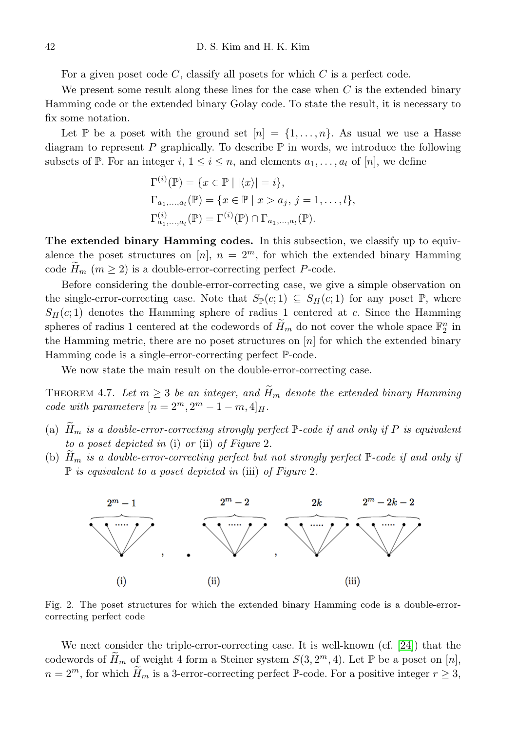For a given poset code C, classify all posets for which C is a perfect code.

We present some result along these lines for the case when  $C$  is the extended binary Hamming code or the extended binary Golay code. To state the result, it is necessary to fix some notation.

Let P be a poset with the ground set  $[n] = \{1, \ldots, n\}$ . As usual we use a Hasse diagram to represent  $P$  graphically. To describe  $\mathbb P$  in words, we introduce the following subsets of P. For an integer  $i, 1 \leq i \leq n$ , and elements  $a_1, \ldots, a_l$  of  $[n]$ , we define

$$
\Gamma^{(i)}(\mathbb{P}) = \{x \in \mathbb{P} \mid |\langle x \rangle| = i\},\
$$
  
\n
$$
\Gamma_{a_1,...,a_l}(\mathbb{P}) = \{x \in \mathbb{P} \mid x > a_j, j = 1,...,l\},\
$$
  
\n
$$
\Gamma^{(i)}_{a_1,...,a_l}(\mathbb{P}) = \Gamma^{(i)}(\mathbb{P}) \cap \Gamma_{a_1,...,a_l}(\mathbb{P}).
$$

The extended binary Hamming codes. In this subsection, we classify up to equivalence the poset structures on [n],  $n = 2^m$ , for which the extended binary Hamming code  $H_m$   $(m \geq 2)$  is a double-error-correcting perfect P-code.

Before considering the double-error-correcting case, we give a simple observation on the single-error-correcting case. Note that  $S_{\mathbb{P}}(c; 1) \subseteq S_H(c; 1)$  for any poset  $\mathbb{P}$ , where  $S_H(c; 1)$  denotes the Hamming sphere of radius 1 centered at c. Since the Hamming spheres of radius 1 centered at the codewords of  $\widetilde{H}_m$  do not cover the whole space  $\mathbb{F}_2^n$  in the Hamming metric, there are no poset structures on  $[n]$  for which the extended binary Hamming code is a single-error-correcting perfect P-code.

We now state the main result on the double-error-correcting case.

THEOREM 4.7. Let  $m \geq 3$  be an integer, and  $\tilde{H}_m$  denote the extended binary Hamming code with parameters  $[n = 2^m, 2^m - 1 - m, 4]_H$ .

- (a)  $H_m$  is a double-error-correcting strongly perfect  $\mathbb P$ -code if and only if P is equivalent to a poset depicted in (i) or (ii) of Figure 2.
- (b)  $H_m$  is a double-error-correcting perfect but not strongly perfect  $\mathbb P$ -code if and only if  $\mathbb P$  is equivalent to a poset depicted in (iii) of Figure 2.



Fig. 2. The poset structures for which the extended binary Hamming code is a double-errorcorrecting perfect code

We next consider the triple-error-correcting case. It is well-known (cf. [\[24\]](#page-46-11)) that the codewords of  $\widetilde{H}_m$  of weight 4 form a Steiner system  $S(3, 2<sup>m</sup>, 4)$ . Let  $\mathbb P$  be a poset on  $[n]$ ,  $n = 2^m$ , for which  $H_m$  is a 3-error-correcting perfect P-code. For a positive integer  $r \geq 3$ ,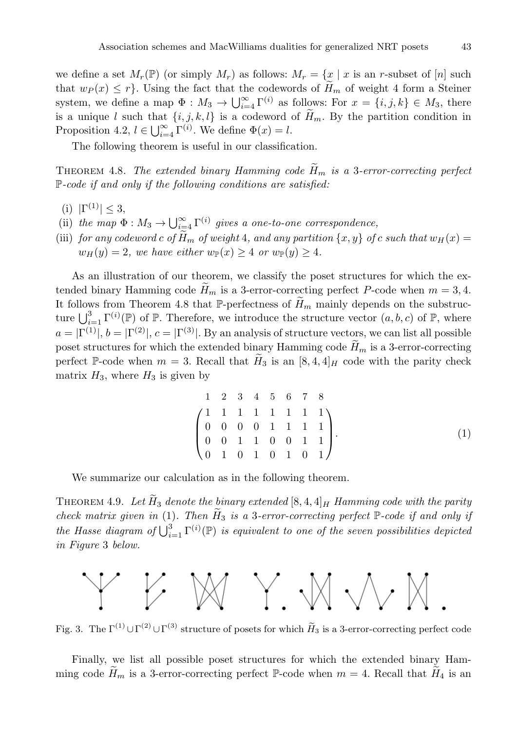we define a set  $M_r(\mathbb{P})$  (or simply  $M_r$ ) as follows:  $M_r = \{x \mid x$  is an r-subset of [n] such that  $w_P(x) \leq r$ . Using the fact that the codewords of  $H_m$  of weight 4 form a Steiner system, we define a map  $\Phi: M_3 \to \bigcup_{i=4}^{\infty} \Gamma^{(i)}$  as follows: For  $x = \{i, j, k\} \in M_3$ , there is a unique l such that  $\{i, j, k, l\}$  is a codeword of  $\widetilde{H}_m$ . By the partition condition in Proposition 4.2,  $l \in \bigcup_{i=4}^{\infty} \Gamma^{(i)}$ . We define  $\Phi(x) = l$ .

The following theorem is useful in our classification.

THEOREM 4.8. The extended binary Hamming code  $\widetilde{H}_m$  is a 3-error-correcting perfect  $P$ -code if and only if the following conditions are satisfied:

- (i)  $|\Gamma^{(1)}| \leq 3$ ,
- (ii) the map  $\Phi: M_3 \to \bigcup_{i=4}^{\infty} \Gamma^{(i)}$  gives a one-to-one correspondence,
- (iii) for any codeword c of  $\widetilde{H}_m$  of weight 4, and any partition  $\{x, y\}$  of c such that  $w_H(x) =$  $w_H(y) = 2$ , we have either  $w_{\mathbb{P}}(x) \geq 4$  or  $w_{\mathbb{P}}(y) \geq 4$ .

As an illustration of our theorem, we classify the poset structures for which the extended binary Hamming code  $H_m$  is a 3-error-correcting perfect P-code when  $m = 3, 4$ . It follows from Theorem 4.8 that P-perfectness of  $\widetilde{H}_m$  mainly depends on the substructure  $\bigcup_{i=1}^3 \Gamma^{(i)}(\mathbb{P})$  of  $\mathbb{P}$ . Therefore, we introduce the structure vector  $(a, b, c)$  of  $\mathbb{P}$ , where  $a = |\Gamma^{(1)}|, b = |\Gamma^{(2)}|, c = |\Gamma^{(3)}|$ . By an analysis of structure vectors, we can list all possible poset structures for which the extended binary Hamming code  $H_m$  is a 3-error-correcting perfect P-code when  $m = 3$ . Recall that  $H_3$  is an [8, 4, 4]<sub>H</sub> code with the parity check matrix  $H_3$ , where  $H_3$  is given by

$$
\begin{pmatrix}\n1 & 2 & 3 & 4 & 5 & 6 & 7 & 8 \\
1 & 1 & 1 & 1 & 1 & 1 & 1 \\
0 & 0 & 0 & 0 & 1 & 1 & 1 \\
0 & 0 & 1 & 1 & 0 & 0 & 1 & 1 \\
0 & 1 & 0 & 1 & 0 & 1 & 0 & 1\n\end{pmatrix}.
$$
\n(1)

We summarize our calculation as in the following theorem.

THEOREM 4.9. Let  $\widetilde{H}_3$  denote the binary extended [8, 4, 4]  $_H$  Hamming code with the parity check matrix given in (1). Then  $\widetilde{H}_3$  is a 3-error-correcting perfect  $\mathbb P$ -code if and only if the Hasse diagram of  $\bigcup_{i=1}^{3} \Gamma^{(i)}(\mathbb{P})$  is equivalent to one of the seven possibilities depicted in Figure 3 below.



Fig. 3. The  $\Gamma^{(1)} \cup \Gamma^{(2)} \cup \Gamma^{(3)}$  structure of posets for which  $H_3$  is a 3-error-correcting perfect code

Finally, we list all possible poset structures for which the extended binary Hamming code  $H_m$  is a 3-error-correcting perfect P-code when  $m = 4$ . Recall that  $H_4$  is an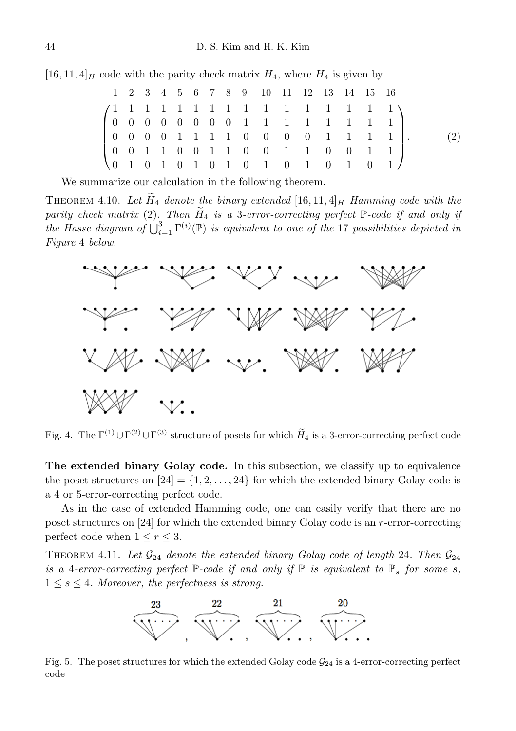$[16, 11, 4]$ <sub>H</sub> code with the parity check matrix  $H_4$ , where  $H_4$  is given by

|  |  |  |  |  | 1 2 3 4 5 6 7 8 9 10 11 12 13 14 15 16 |  |  |  |     |
|--|--|--|--|--|----------------------------------------|--|--|--|-----|
|  |  |  |  |  |                                        |  |  |  |     |
|  |  |  |  |  |                                        |  |  |  |     |
|  |  |  |  |  |                                        |  |  |  | (2) |
|  |  |  |  |  |                                        |  |  |  |     |
|  |  |  |  |  |                                        |  |  |  |     |

We summarize our calculation in the following theorem.

THEOREM 4.10. Let  $H_4$  denote the binary extended [16, 11, 4] $_H$  Hamming code with the parity check matrix (2). Then  $\widetilde{H}_4$  is a 3-error-correcting perfect P-code if and only if the Hasse diagram of  $\bigcup_{i=1}^{3} \Gamma^{(i)}(\mathbb{P})$  is equivalent to one of the 17 possibilities depicted in Figure 4 below.



Fig. 4. The  $\Gamma^{(1)} \cup \Gamma^{(2)} \cup \Gamma^{(3)}$  structure of posets for which  $H_4$  is a 3-error-correcting perfect code

The extended binary Golay code. In this subsection, we classify up to equivalence the poset structures on  $[24] = \{1, 2, \ldots, 24\}$  for which the extended binary Golay code is a 4 or 5-error-correcting perfect code.

As in the case of extended Hamming code, one can easily verify that there are no poset structures on  $|24|$  for which the extended binary Golay code is an r-error-correcting perfect code when  $1 \leq r \leq 3$ .

THEOREM 4.11. Let  $\mathcal{G}_{24}$  denote the extended binary Golay code of length 24. Then  $\mathcal{G}_{24}$ is a 4-error-correcting perfect  $\mathbb{P}$ -code if and only if  $\mathbb{P}$  is equivalent to  $\mathbb{P}_s$  for some s,  $1 \leq s \leq 4$ . Moreover, the perfectness is strong.



Fig. 5. The poset structures for which the extended Golay code  $\mathcal{G}_{24}$  is a 4-error-correcting perfect code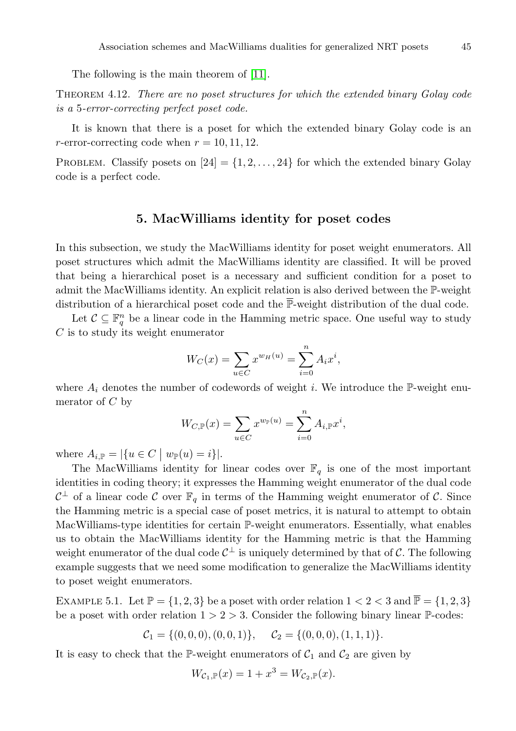The following is the main theorem of [\[11\]](#page-45-20).

Theorem 4.12. There are no poset structures for which the extended binary Golay code is a 5-error-correcting perfect poset code.

It is known that there is a poset for which the extended binary Golay code is an r-error-correcting code when  $r = 10, 11, 12$ .

<span id="page-42-0"></span>PROBLEM. Classify posets on  $[24] = \{1, 2, \ldots, 24\}$  for which the extended binary Golay code is a perfect code.

#### 5. MacWilliams identity for poset codes

In this subsection, we study the MacWilliams identity for poset weight enumerators. All poset structures which admit the MacWilliams identity are classified. It will be proved that being a hierarchical poset is a necessary and sufficient condition for a poset to admit the MacWilliams identity. An explicit relation is also derived between the P-weight distribution of a hierarchical poset code and the P-weight distribution of the dual code.

Let  $\mathcal{C} \subseteq \mathbb{F}_q^n$  be a linear code in the Hamming metric space. One useful way to study C is to study its weight enumerator

$$
W_C(x) = \sum_{u \in C} x^{w_H(u)} = \sum_{i=0}^n A_i x^i,
$$

where  $A_i$  denotes the number of codewords of weight i. We introduce the P-weight enumerator of  $C$  by

$$
W_{C,\mathbb{P}}(x) = \sum_{u \in C} x^{w_{\mathbb{P}}(u)} = \sum_{i=0}^{n} A_{i,\mathbb{P}} x^{i},
$$

where  $A_{i,\mathbb{P}} = |\{u \in C \mid w_{\mathbb{P}}(u) = i\}|.$ 

The MacWilliams identity for linear codes over  $\mathbb{F}_q$  is one of the most important identities in coding theory; it expresses the Hamming weight enumerator of the dual code  $\mathcal{C}^{\perp}$  of a linear code  $\mathcal C$  over  $\mathbb{F}_q$  in terms of the Hamming weight enumerator of  $\mathcal C$ . Since the Hamming metric is a special case of poset metrics, it is natural to attempt to obtain MacWilliams-type identities for certain P-weight enumerators. Essentially, what enables us to obtain the MacWilliams identity for the Hamming metric is that the Hamming weight enumerator of the dual code  $C^{\perp}$  is uniquely determined by that of C. The following example suggests that we need some modification to generalize the MacWilliams identity to poset weight enumerators.

EXAMPLE 5.1. Let  $\mathbb{P} = \{1, 2, 3\}$  be a poset with order relation  $1 < 2 < 3$  and  $\overline{\mathbb{P}} = \{1, 2, 3\}$ be a poset with order relation  $1 > 2 > 3$ . Consider the following binary linear P-codes:

$$
\mathcal{C}_1 = \{ (0,0,0), (0,0,1) \}, \quad \mathcal{C}_2 = \{ (0,0,0), (1,1,1) \}.
$$

It is easy to check that the P-weight enumerators of  $C_1$  and  $C_2$  are given by

$$
W_{\mathcal{C}_1, \mathbb{P}}(x) = 1 + x^3 = W_{\mathcal{C}_2, \mathbb{P}}(x).
$$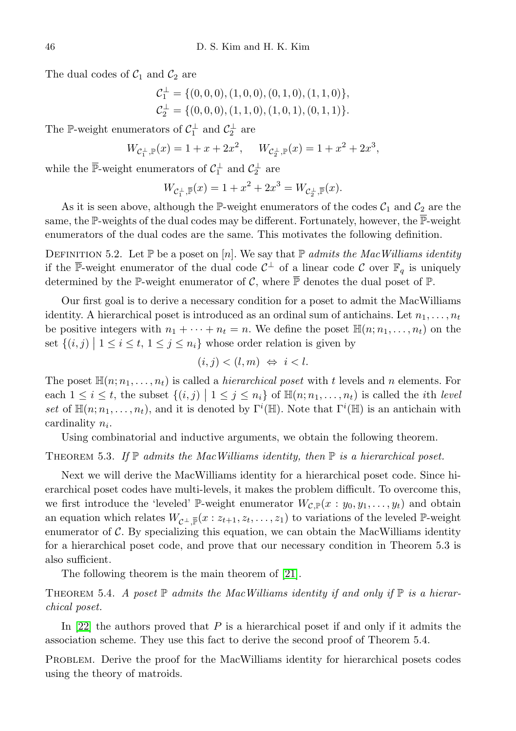The dual codes of  $C_1$  and  $C_2$  are

$$
\mathcal{C}_1^{\perp} = \{ (0,0,0), (1,0,0), (0,1,0), (1,1,0) \}, \n\mathcal{C}_2^{\perp} = \{ (0,0,0), (1,1,0), (1,0,1), (0,1,1) \}.
$$

The P-weight enumerators of  $C_1^{\perp}$  and  $C_2^{\perp}$  are

$$
W_{\mathcal{C}_1^\perp,\mathbb{P}}(x)=1+x+2x^2,\quad \ W_{\mathcal{C}_2^\perp,\mathbb{P}}(x)=1+x^2+2x^3,
$$

while the  $\overline{\mathbb{P}}$ -weight enumerators of  $\mathcal{C}_1^{\perp}$  and  $\mathcal{C}_2^{\perp}$  are

$$
W_{\mathcal{C}_1^{\perp}, \overline{\mathbb{P}}}(x) = 1 + x^2 + 2x^3 = W_{\mathcal{C}_2^{\perp}, \overline{\mathbb{P}}}(x).
$$

As it is seen above, although the P-weight enumerators of the codes  $C_1$  and  $C_2$  are the same, the P-weights of the dual codes may be different. Fortunately, however, the  $\overline{\mathbb{P}}$ -weight enumerators of the dual codes are the same. This motivates the following definition.

DEFINITION 5.2. Let P be a poset on [n]. We say that P admits the MacWilliams identity if the  $\overline{\mathbb{P}}$ -weight enumerator of the dual code  $C^{\perp}$  of a linear code C over  $\mathbb{F}_q$  is uniquely determined by the P-weight enumerator of C, where  $\overline{P}$  denotes the dual poset of P.

Our first goal is to derive a necessary condition for a poset to admit the MacWilliams identity. A hierarchical poset is introduced as an ordinal sum of antichains. Let  $n_1, \ldots, n_t$ be positive integers with  $n_1 + \cdots + n_t = n$ . We define the poset  $\mathbb{H}(n; n_1, \ldots, n_t)$  on the set  $\{(i, j) | 1 \le i \le t, 1 \le j \le n_i\}$  whose order relation is given by

$$
(i,j) < (l,m) \Leftrightarrow i < l.
$$

The poset  $\mathbb{H}(n; n_1, \ldots, n_t)$  is called a *hierarchical poset* with t levels and n elements. For each  $1 \leq i \leq t$ , the subset  $\{(i, j) \mid 1 \leq j \leq n_i\}$  of  $\mathbb{H}(n; n_1, \ldots, n_t)$  is called the *i*th *level* set of  $\mathbb{H}(n; n_1, \ldots, n_t)$ , and it is denoted by  $\Gamma^i(\mathbb{H})$ . Note that  $\Gamma^i(\mathbb{H})$  is an antichain with cardinality  $n_i$ .

Using combinatorial and inductive arguments, we obtain the following theorem.

#### THEOREM 5.3. If  $\mathbb P$  admits the MacWilliams identity, then  $\mathbb P$  is a hierarchical poset.

Next we will derive the MacWilliams identity for a hierarchical poset code. Since hierarchical poset codes have multi-levels, it makes the problem difficult. To overcome this, we first introduce the 'leveled' P-weight enumerator  $W_{\mathcal{C},\mathbb{P}}(x:y_0,y_1,\ldots,y_t)$  and obtain an equation which relates  $W_{\mathcal{C}^{\perp}, \bar{\mathbb{P}}}(x : z_{t+1}, z_t, \ldots, z_1)$  to variations of the leveled P-weight enumerator of  $\mathcal C$ . By specializing this equation, we can obtain the MacWilliams identity for a hierarchical poset code, and prove that our necessary condition in Theorem 5.3 is also sufficient.

The following theorem is the main theorem of [\[21\]](#page-46-1).

THEOREM 5.4. A poset  $\mathbb P$  admits the MacWilliams identity if and only if  $\mathbb P$  is a hierarchical poset.

In  $[22]$  the authors proved that P is a hierarchical poset if and only if it admits the association scheme. They use this fact to derive the second proof of Theorem 5.4.

Problem. Derive the proof for the MacWilliams identity for hierarchical posets codes using the theory of matroids.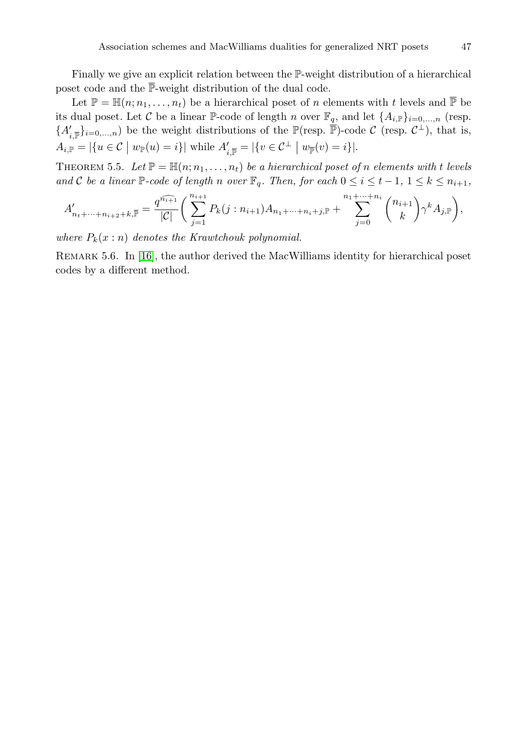Finally we give an explicit relation between the P-weight distribution of a hierarchical poset code and the  $\overline{\mathbb{P}}$ -weight distribution of the dual code.

Let  $\mathbb{P} = \mathbb{H}(n; n_1, \ldots, n_t)$  be a hierarchical poset of n elements with t levels and  $\overline{\mathbb{P}}$  be its dual poset. Let C be a linear P-code of length n over  $\mathbb{F}_q$ , and let  $\{A_{i,\mathbb{P}}\}_{i=0,\ldots,n}$  (resp.  ${A'_{i,\overline{p}}}_{i=0,\ldots,n}$  be the weight distributions of the  $\mathbb{P}(\text{resp. } \overline{\mathbb{P}})$ -code  $\mathcal{C}$  (resp.  $\mathcal{C}^{\perp}$ ), that is,  $A_{i,\mathbb{P}} = |\{u \in \mathcal{C} \mid w_{\mathbb{P}}(u) = i\}|$  while  $A'_{i,\overline{\mathbb{P}}} = |\{v \in \mathcal{C}^\perp \mid w_{\overline{\mathbb{P}}}(v) = i\}|$ .

THEOREM 5.5. Let  $\mathbb{P} = \mathbb{H}(n; n_1, \ldots, n_t)$  be a hierarchical poset of n elements with t levels and C be a linear  $\mathbb{P}$ -code of length n over  $\mathbb{F}_q$ . Then, for each  $0 \leq i \leq t-1, 1 \leq k \leq n_{i+1}$ ,

$$
A'_{n_t+\dots+n_{i+2}+k,\overline{\mathbb{P}}} = \frac{q^{\widehat{n_{i+1}}}}{|\mathcal{C}|} \bigg( \sum_{j=1}^{n_{i+1}} P_k(j:n_{i+1}) A_{n_1+\dots+n_i+j,\mathbb{P}} + \sum_{j=0}^{n_1+\dots+n_i} \binom{n_{i+1}}{k} \gamma^k A_{j,\mathbb{P}} \bigg),
$$

where  $P_k(x:n)$  denotes the Krawtchouk polynomial.

Remark 5.6. In [\[16\]](#page-45-4), the author derived the MacWilliams identity for hierarchical poset codes by a different method.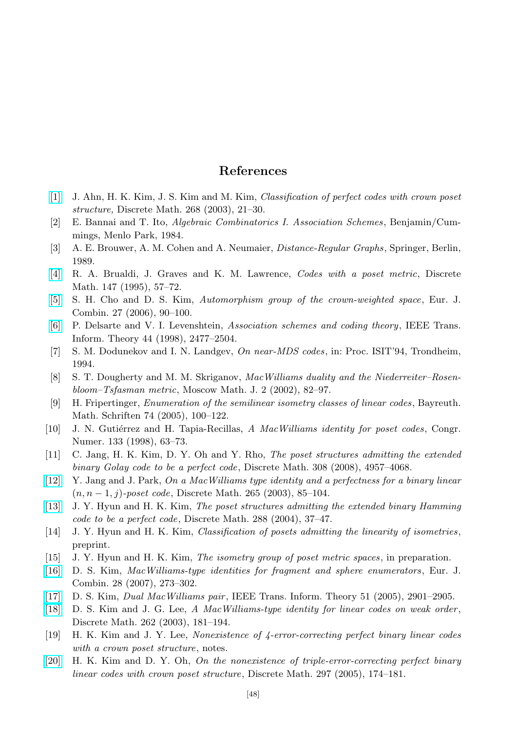## References

- <span id="page-45-16"></span><span id="page-45-0"></span>[\[1\]](http://dx.doi.org/10.1016/S0012-365X(02)00679-9) J. Ahn, H. K. Kim, J. S. Kim and M. Kim, Classification of perfect codes with crown poset structure, Discrete Math. 268 (2003), 21–30.
- <span id="page-45-9"></span>[2] E. Bannai and T. Ito, Algebraic Combinatorics I. Association Schemes, Benjamin/Cummings, Menlo Park, 1984.
- <span id="page-45-10"></span>[3] A. E. Brouwer, A. M. Cohen and A. Neumaier, Distance-Regular Graphs, Springer, Berlin, 1989.
- <span id="page-45-1"></span>[\[4\]](http://dx.doi.org/10.1016/0012-365X(94)00228-B) R. A. Brualdi, J. Graves and K. M. Lawrence, Codes with a poset metric, Discrete Math. 147 (1995), 57–72.
- <span id="page-45-12"></span>[\[5\]](http://dx.doi.org/10.1016/j.ejc.2004.07.011) S. H. Cho and D. S. Kim, Automorphism group of the crown-weighted space, Eur. J. Combin. 27 (2006), 90–100.
- <span id="page-45-11"></span>[\[6\]](http://dx.doi.org/10.1109/18.720545) P. Delsarte and V. I. Levenshtein, Association schemes and coding theory, IEEE Trans. Inform. Theory 44 (1998), 2477–2504.
- <span id="page-45-18"></span>[7] S. M. Dodunekov and I. N. Landgev, On near-MDS codes, in: Proc. ISIT'94, Trondheim, 1994.
- <span id="page-45-7"></span>[8] S. T. Dougherty and M. M. Skriganov, MacWilliams duality and the Niederreiter–Rosenbloom–Tsfasman metric, Moscow Math. J. 2 (2002), 82–97.
- <span id="page-45-14"></span>[9] H. Fripertinger, Enumeration of the semilinear isometry classes of linear codes , Bayreuth. Math. Schriften 74 (2005), 100–122.
- <span id="page-45-2"></span>[10] J. N. Gutiérrez and H. Tapia-Recillas, A MacWilliams identity for poset codes, Congr. Numer. 133 (1998), 63–73.
- <span id="page-45-20"></span>[11] C. Jang, H. K. Kim, D. Y. Oh and Y. Rho, The poset structures admitting the extended binary Golay code to be a perfect code, Discrete Math. 308 (2008), 4957–4068.
- <span id="page-45-3"></span>[\[12\]](http://dx.doi.org/10.1016/S0012-365X(02)00624-6) Y. Jang and J. Park, On a MacWilliams type identity and a perfectness for a binary linear  $(n, n-1, j)$ -poset code, Discrete Math. 265 (2003), 85–104.
- <span id="page-45-17"></span>[\[13\]](http://dx.doi.org/10.1016/j.disc.2004.07.010) J. Y. Hyun and H. K. Kim, The poset structures admitting the extended binary Hamming code to be a perfect code, Discrete Math. 288 (2004), 37–47.
- <span id="page-45-13"></span>[14] J. Y. Hyun and H. K. Kim, *Classification of posets admitting the linearity of isometries*, preprint.
- <span id="page-45-15"></span>[15] J. Y. Hyun and H. K. Kim, The isometry group of poset metric spaces, in preparation.
- <span id="page-45-4"></span>[\[16\]](http://dx.doi.org/10.1016/j.ejc.2005.07.018) D. S. Kim, MacWilliams-type identities for fragment and sphere enumerators , Eur. J. Combin. 28 (2007), 273–302.
- <span id="page-45-8"></span>[\[17\]](http://dx.doi.org/10.1109/TIT.2005.851765) D. S. Kim, Dual MacWilliams pair , IEEE Trans. Inform. Theory 51 (2005), 2901–2905.
- <span id="page-45-5"></span>[\[18\]](http://dx.doi.org/10.1016/S0012-365X(02)00498-3) D. S. Kim and J. G. Lee, A MacWilliams-type identity for linear codes on weak order, Discrete Math. 262 (2003), 181–194.
- <span id="page-45-19"></span>[19] H. K. Kim and J. Y. Lee, Nonexistence of 4-error-correcting perfect binary linear codes with a crown poset structure, notes.
- <span id="page-45-6"></span>[\[20\]](http://dx.doi.org/10.1016/j.disc.2005.03.018) H. K. Kim and D. Y. Oh, On the nonexistence of triple-error-correcting perfect binary linear codes with crown poset structure, Discrete Math. 297 (2005), 174–181.